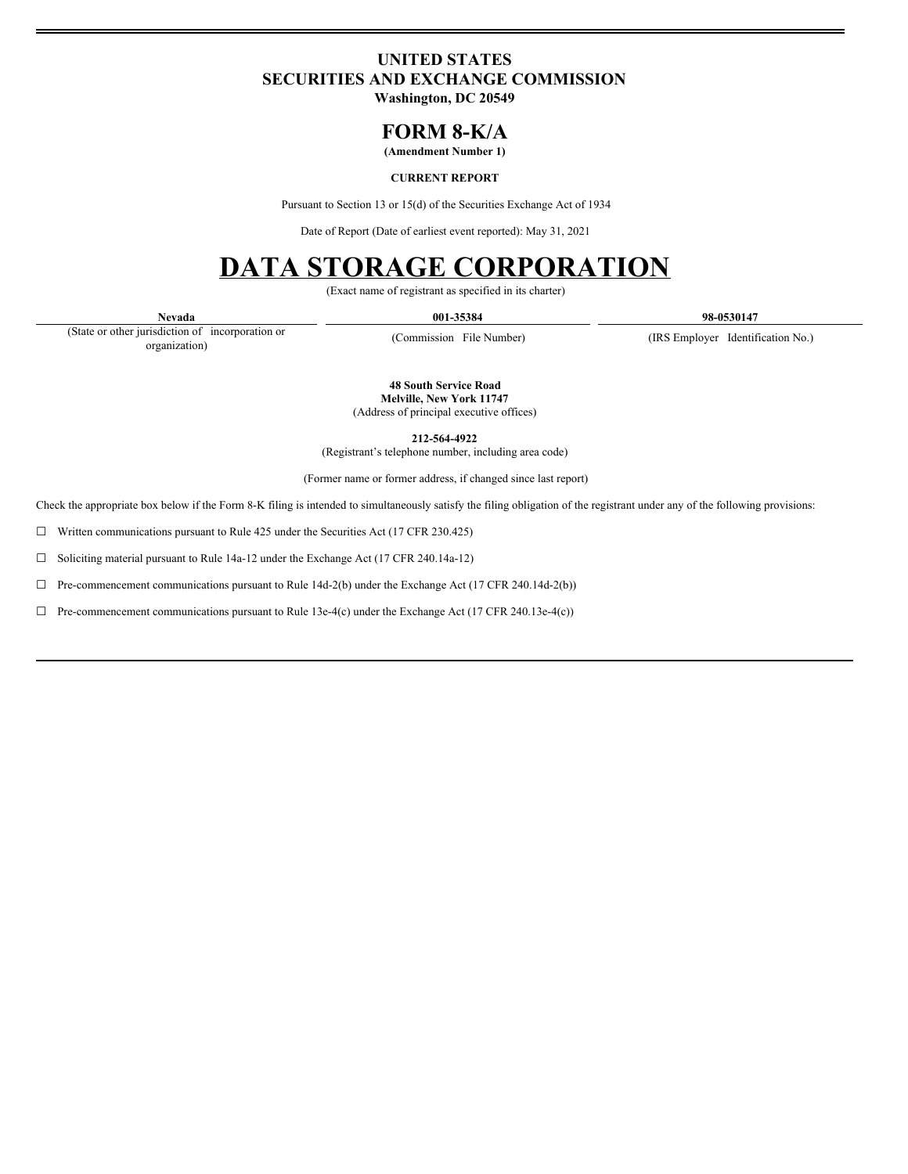# **UNITED STATES SECURITIES AND EXCHANGE COMMISSION**

**Washington, DC 20549**

# **FORM 8-K/A**

**(Amendment Number 1)**

# **CURRENT REPORT**

Pursuant to Section 13 or 15(d) of the Securities Exchange Act of 1934

Date of Report (Date of earliest event reported): May 31, 2021

# **DATA STORAGE CORPORATION**

(Exact name of registrant as specified in its charter)

**Nevada 001-35384 98-0530147**

(State or other jurisdiction of incorporation or organization)

(Commission File Number) (IRS Employer Identification No.)

**48 South Service Road Melville, New York 11747** (Address of principal executive offices)

**212-564-4922**

(Registrant's telephone number, including area code) (Former name or former address, if changed since last report)

Check the appropriate box below if the Form 8-K filing is intended to simultaneously satisfy the filing obligation of the registrant under any of the following provisions:

☐ Written communications pursuant to Rule 425 under the Securities Act (17 CFR 230.425)

☐ Soliciting material pursuant to Rule 14a-12 under the Exchange Act (17 CFR 240.14a-12)

☐ Pre-commencement communications pursuant to Rule 14d-2(b) under the Exchange Act (17 CFR 240.14d-2(b))

☐ Pre-commencement communications pursuant to Rule 13e-4(c) under the Exchange Act (17 CFR 240.13e-4(c))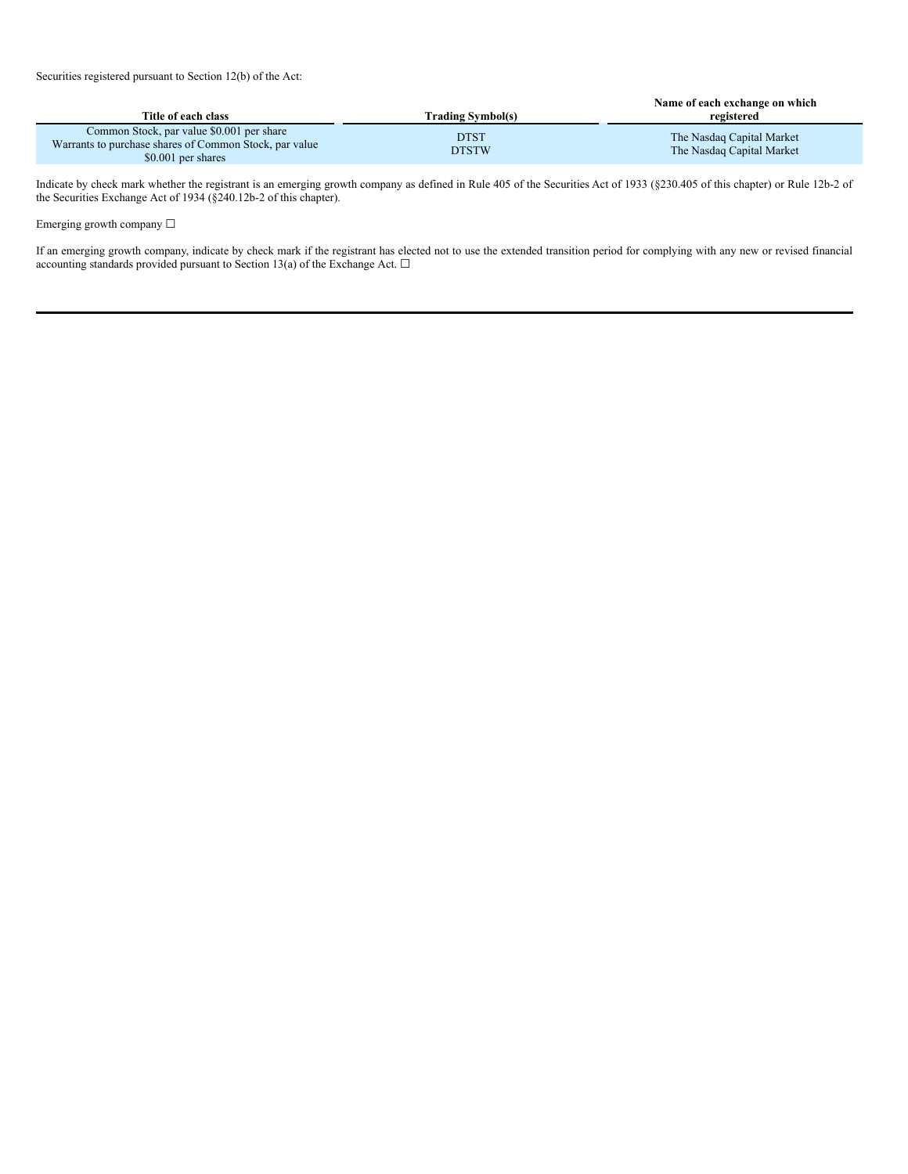| Title of each class                                                                                                       | Trading Svmbol(s)           | Name of each exchange on which<br>registered           |
|---------------------------------------------------------------------------------------------------------------------------|-----------------------------|--------------------------------------------------------|
| Common Stock, par value \$0.001 per share<br>Warrants to purchase shares of Common Stock, par value<br>\$0.001 per shares | <b>DTST</b><br><b>DTSTW</b> | The Nasdag Capital Market<br>The Nasdag Capital Market |

Indicate by check mark whether the registrant is an emerging growth company as defined in Rule 405 of the Securities Act of 1933 (§230.405 of this chapter) or Rule 12b-2 of the Securities Exchange Act of 1934 (§240.12b-2 of this chapter).

Emerging growth company  $\Box$ 

If an emerging growth company, indicate by check mark if the registrant has elected not to use the extended transition period for complying with any new or revised financial accounting standards provided pursuant to Section 13(a) of the Exchange Act.  $\Box$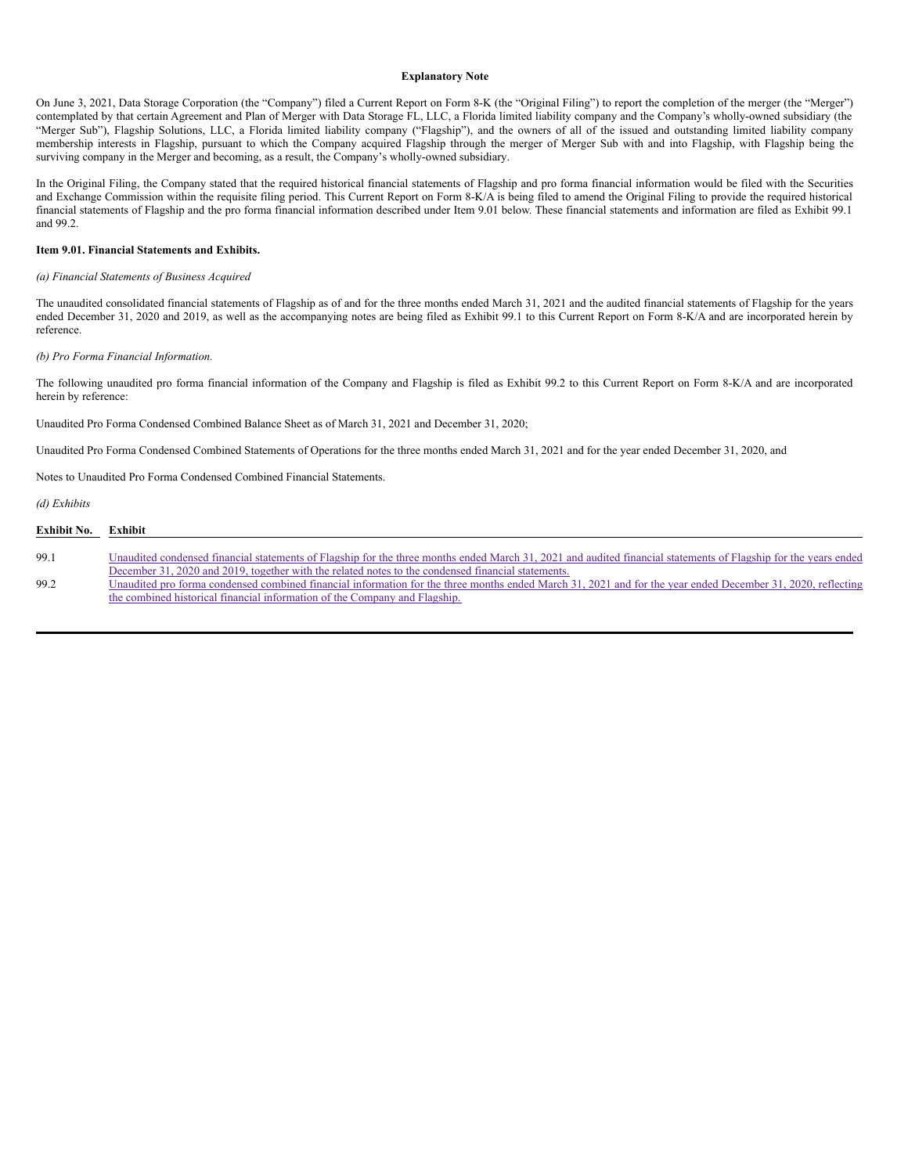#### **Explanatory Note**

On June 3, 2021, Data Storage Corporation (the "Company") filed a Current Report on Form 8-K (the "Original Filing") to report the completion of the merger (the "Merger") contemplated by that certain Agreement and Plan of Merger with Data Storage FL, LLC, a Florida limited liability company and the Company's wholly-owned subsidiary (the "Merger Sub"), Flagship Solutions, LLC, a Florida limited liability company ("Flagship"), and the owners of all of the issued and outstanding limited liability company membership interests in Flagship, pursuant to which the Company acquired Flagship through the merger of Merger Sub with and into Flagship, with Flagship being the surviving company in the Merger and becoming, as a result, the Company's wholly-owned subsidiary.

In the Original Filing, the Company stated that the required historical financial statements of Flagship and pro forma financial information would be filed with the Securities and Exchange Commission within the requisite filing period. This Current Report on Form 8-K/A is being filed to amend the Original Filing to provide the required historical financial statements of Flagship and the pro forma financial information described under Item 9.01 below. These financial statements and information are filed as Exhibit 99.1 and 99.2.

#### **Item 9.01. Financial Statements and Exhibits.**

#### *(a) Financial Statements of Business Acquired*

The unaudited consolidated financial statements of Flagship as of and for the three months ended March 31, 2021 and the audited financial statements of Flagship for the years ended December 31, 2020 and 2019, as well as the accompanying notes are being filed as Exhibit 99.1 to this Current Report on Form 8-K/A and are incorporated herein by reference.

#### *(b) Pro Forma Financial Information.*

The following unaudited pro forma financial information of the Company and Flagship is filed as Exhibit 99.2 to this Current Report on Form 8-K/A and are incorporated herein by reference:

Unaudited Pro Forma Condensed Combined Balance Sheet as of March 31, 2021 and December 31, 2020;

Unaudited Pro Forma Condensed Combined Statements of Operations for the three months ended March 31, 2021 and for the year ended December 31, 2020, and

Notes to Unaudited Pro Forma Condensed Combined Financial Statements.

*(d) Exhibits*

| Exhibit No. | Exhibit                                                                                                                                                                                                                                                               |
|-------------|-----------------------------------------------------------------------------------------------------------------------------------------------------------------------------------------------------------------------------------------------------------------------|
| 99.1        | Unaudited condensed financial statements of Flagship for the three months ended March 31, 2021 and audited financial statements of Flagship for the years ended<br>December 31, 2020 and 2019, together with the related notes to the condensed financial statements. |
| 99.2        | Unaudited pro forma condensed combined financial information for the three months ended March 31, 2021 and for the year ended December 31, 2020, reflecting<br>the combined historical financial information of the Company and Flagship.                             |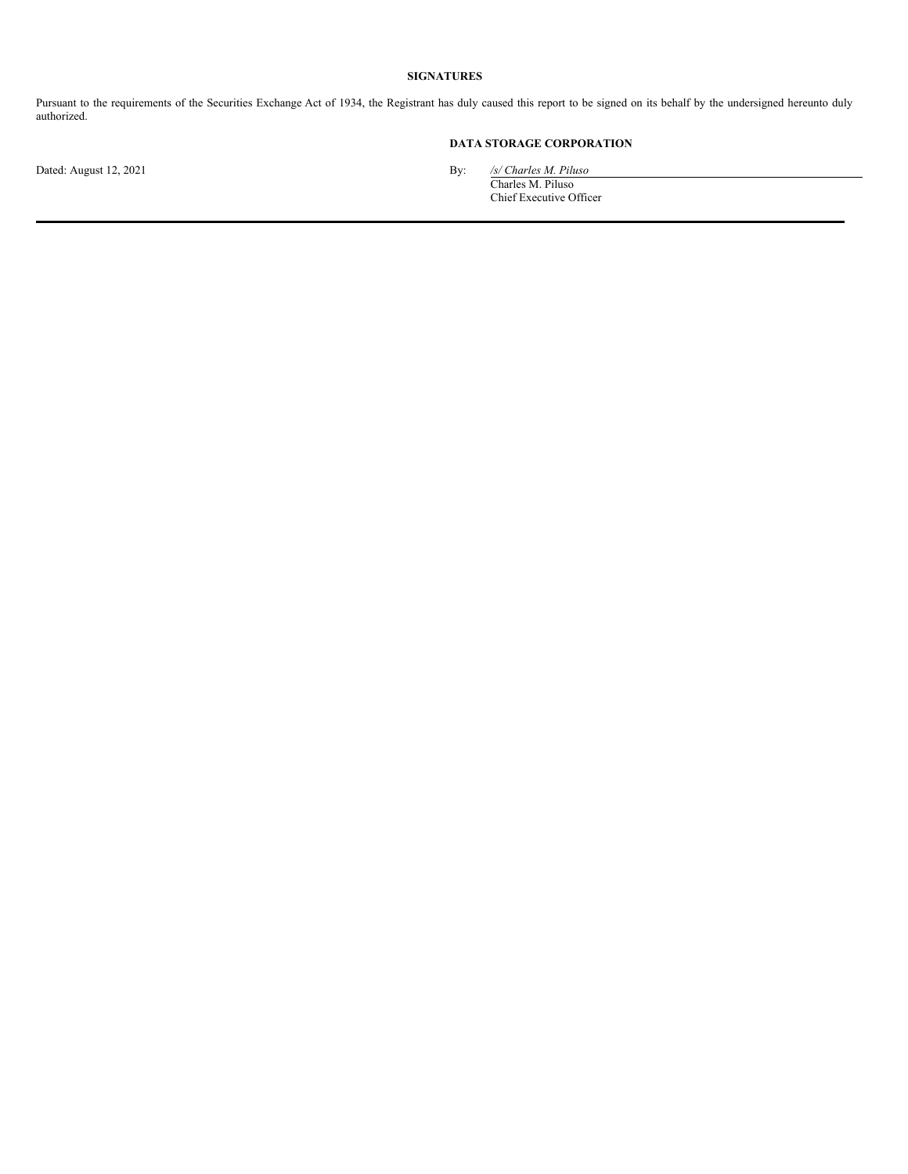# **SIGNATURES**

Pursuant to the requirements of the Securities Exchange Act of 1934, the Registrant has duly caused this report to be signed on its behalf by the undersigned hereunto duly authorized.

# **DATA STORAGE CORPORATION**

Dated: August 12, 2021 By: */s/ Charles M. Piluso*

Charles M. Piluso Chief Executive Officer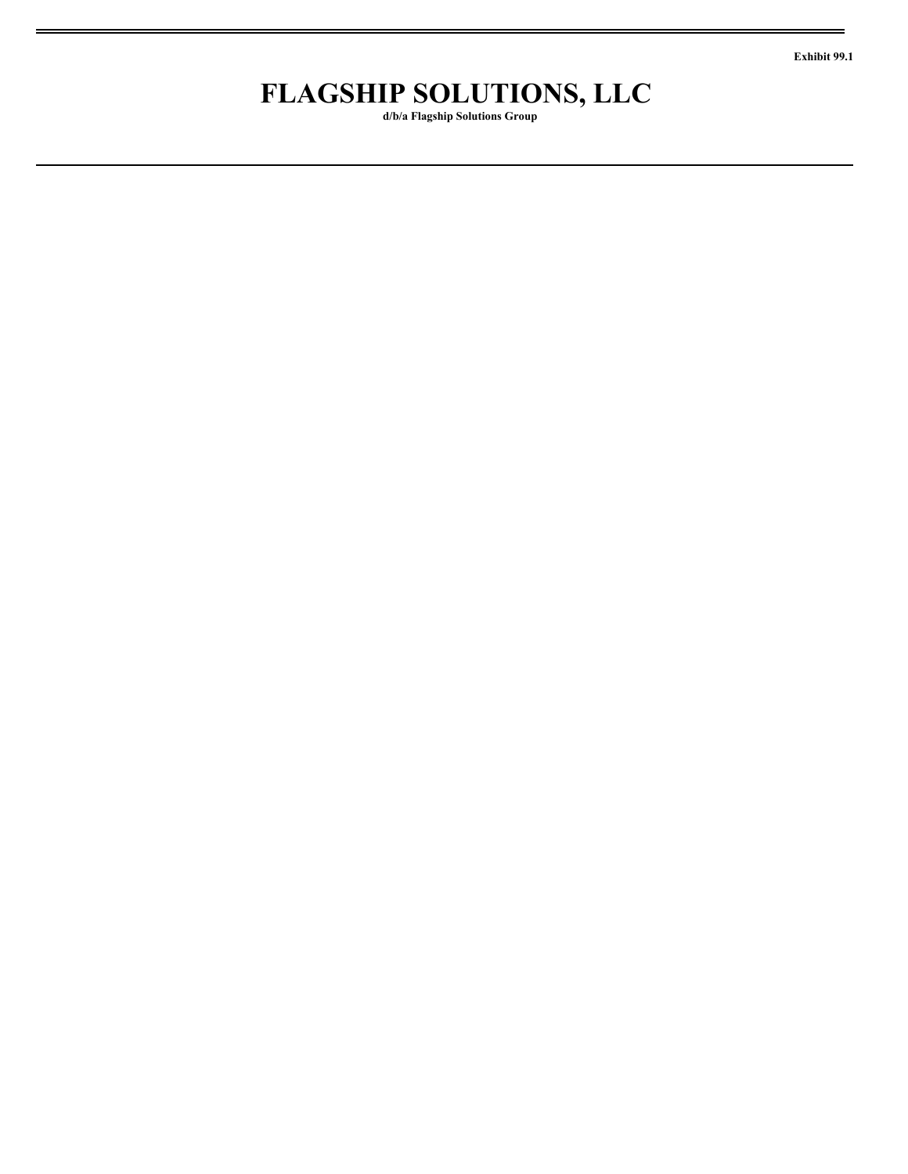**Exhibit 99.1**

# **FLAGSHIP SOLUTIONS, LLC**

**d/b/a Flagship Solutions Group**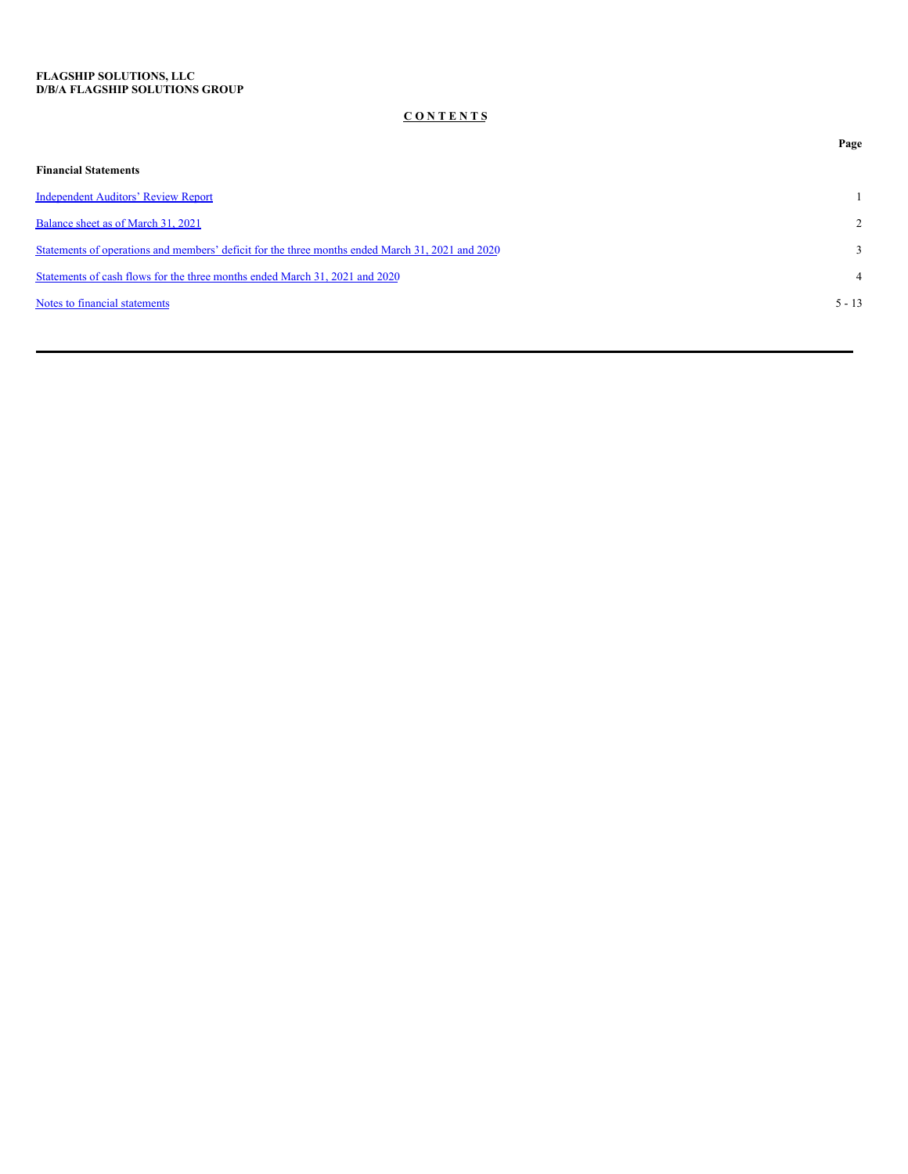# **C O N T E N T S**

|                                                                                                  | Page           |
|--------------------------------------------------------------------------------------------------|----------------|
| <b>Financial Statements</b>                                                                      |                |
| <b>Independent Auditors' Review Report</b>                                                       |                |
| Balance sheet as of March 31, 2021                                                               | $\overline{2}$ |
| Statements of operations and members' deficit for the three months ended March 31, 2021 and 2020 | $\mathbf{3}$   |
| Statements of cash flows for the three months ended March 31, 2021 and 2020                      | $\overline{4}$ |
| Notes to financial statements                                                                    | $5 - 13$       |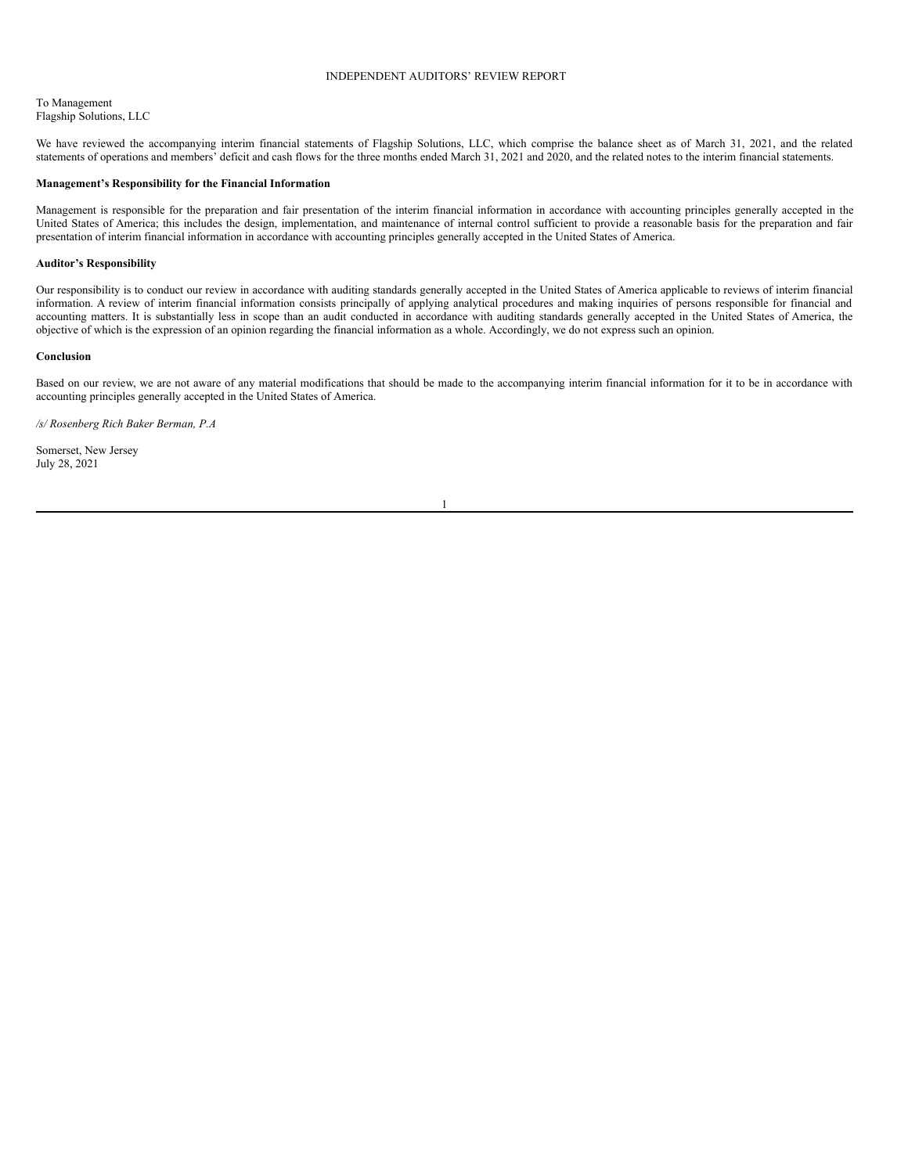# <span id="page-6-0"></span>INDEPENDENT AUDITORS' REVIEW REPORT

To Management Flagship Solutions, LLC

We have reviewed the accompanying interim financial statements of Flagship Solutions, LLC, which comprise the balance sheet as of March 31, 2021, and the related statements of operations and members' deficit and cash flows for the three months ended March 31, 2021 and 2020, and the related notes to the interim financial statements.

#### **Management's Responsibility for the Financial Information**

Management is responsible for the preparation and fair presentation of the interim financial information in accordance with accounting principles generally accepted in the United States of America; this includes the design, implementation, and maintenance of internal control sufficient to provide a reasonable basis for the preparation and fair presentation of interim financial information in accordance with accounting principles generally accepted in the United States of America.

### **Auditor's Responsibility**

Our responsibility is to conduct our review in accordance with auditing standards generally accepted in the United States of America applicable to reviews of interim financial information. A review of interim financial information consists principally of applying analytical procedures and making inquiries of persons responsible for financial and accounting matters. It is substantially less in scope than an audit conducted in accordance with auditing standards generally accepted in the United States of America, the objective of which is the expression of an opinion regarding the financial information as a whole. Accordingly, we do not express such an opinion.

#### **Conclusion**

Based on our review, we are not aware of any material modifications that should be made to the accompanying interim financial information for it to be in accordance with accounting principles generally accepted in the United States of America.

*/s/ Rosenberg Rich Baker Berman, P.A*

Somerset, New Jersey July 28, 2021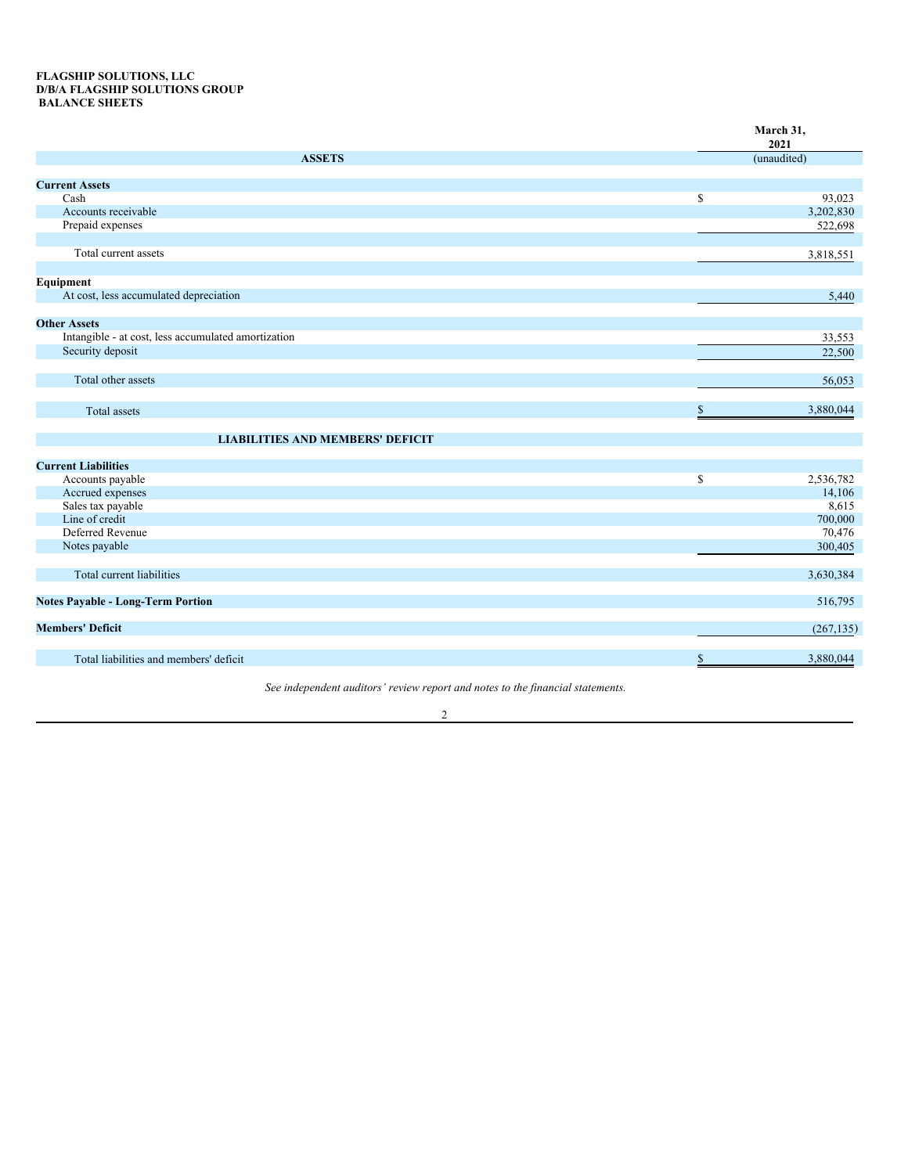# <span id="page-7-0"></span>**FLAGSHIP SOLUTIONS, LLC D/B/A FLAGSHIP SOLUTIONS GROUP BALANCE SHEETS**

|                                                     |              | March 31,<br>2021 |
|-----------------------------------------------------|--------------|-------------------|
| <b>ASSETS</b>                                       |              | (unaudited)       |
| <b>Current Assets</b>                               |              |                   |
| Cash                                                | $\mathbb{S}$ | 93,023            |
| Accounts receivable                                 |              | 3,202,830         |
| Prepaid expenses                                    |              | 522,698           |
|                                                     |              |                   |
| Total current assets                                |              | 3,818,551         |
| Equipment                                           |              |                   |
| At cost, less accumulated depreciation              |              | 5,440             |
| <b>Other Assets</b>                                 |              |                   |
| Intangible - at cost, less accumulated amortization |              | 33,553            |
| Security deposit                                    |              | 22,500            |
| Total other assets                                  |              | 56,053            |
| Total assets                                        | \$           | 3,880,044         |
| <b>LIABILITIES AND MEMBERS' DEFICIT</b>             |              |                   |
| <b>Current Liabilities</b>                          |              |                   |
| Accounts payable                                    | \$           | 2,536,782         |
| Accrued expenses                                    |              | 14,106            |
| Sales tax payable                                   |              | 8,615             |
| Line of credit                                      |              | 700,000           |
| Deferred Revenue                                    |              | 70,476            |
| Notes payable                                       |              | 300,405           |
| Total current liabilities                           |              | 3,630,384         |
| <b>Notes Payable - Long-Term Portion</b>            |              | 516,795           |
| <b>Members' Deficit</b>                             |              | (267, 135)        |
| Total liabilities and members' deficit              | $\mathbb{S}$ | 3,880,044         |
|                                                     |              |                   |

*See independent auditors' review report and notes to the financial statements.*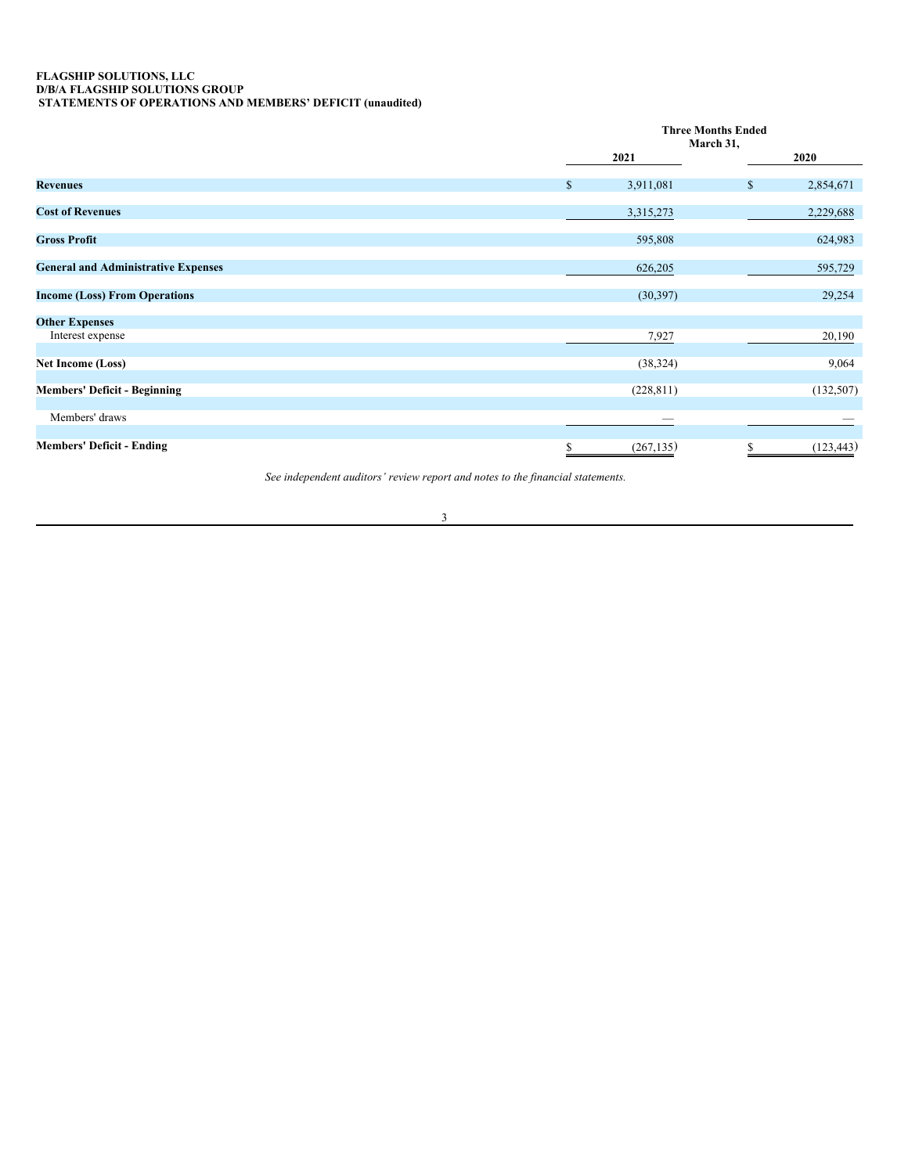# <span id="page-8-0"></span>**FLAGSHIP SOLUTIONS, LLC D/B/A FLAGSHIP SOLUTIONS GROUP STATEMENTS OF OPERATIONS AND MEMBERS' DEFICIT (unaudited)**

|                                            | <b>Three Months Ended</b><br>March 31, |              |            |
|--------------------------------------------|----------------------------------------|--------------|------------|
|                                            | 2021                                   |              | 2020       |
| <b>Revenues</b>                            | \$<br>3,911,081                        | $\mathbb{S}$ | 2,854,671  |
| <b>Cost of Revenues</b>                    | 3,315,273                              |              | 2,229,688  |
| <b>Gross Profit</b>                        | 595,808                                |              | 624,983    |
| <b>General and Administrative Expenses</b> | 626,205                                |              | 595,729    |
| <b>Income (Loss) From Operations</b>       | (30, 397)                              |              | 29,254     |
| <b>Other Expenses</b>                      |                                        |              |            |
| Interest expense                           | 7,927                                  |              | 20,190     |
| Net Income (Loss)                          | (38, 324)                              |              | 9,064      |
| <b>Members' Deficit - Beginning</b>        | (228, 811)                             |              | (132, 507) |
| Members' draws                             | _                                      |              |            |
| <b>Members' Deficit - Ending</b>           | \$<br>(267, 135)                       |              | (123, 443) |

*See independent auditors' review report and notes to the financial statements.*

3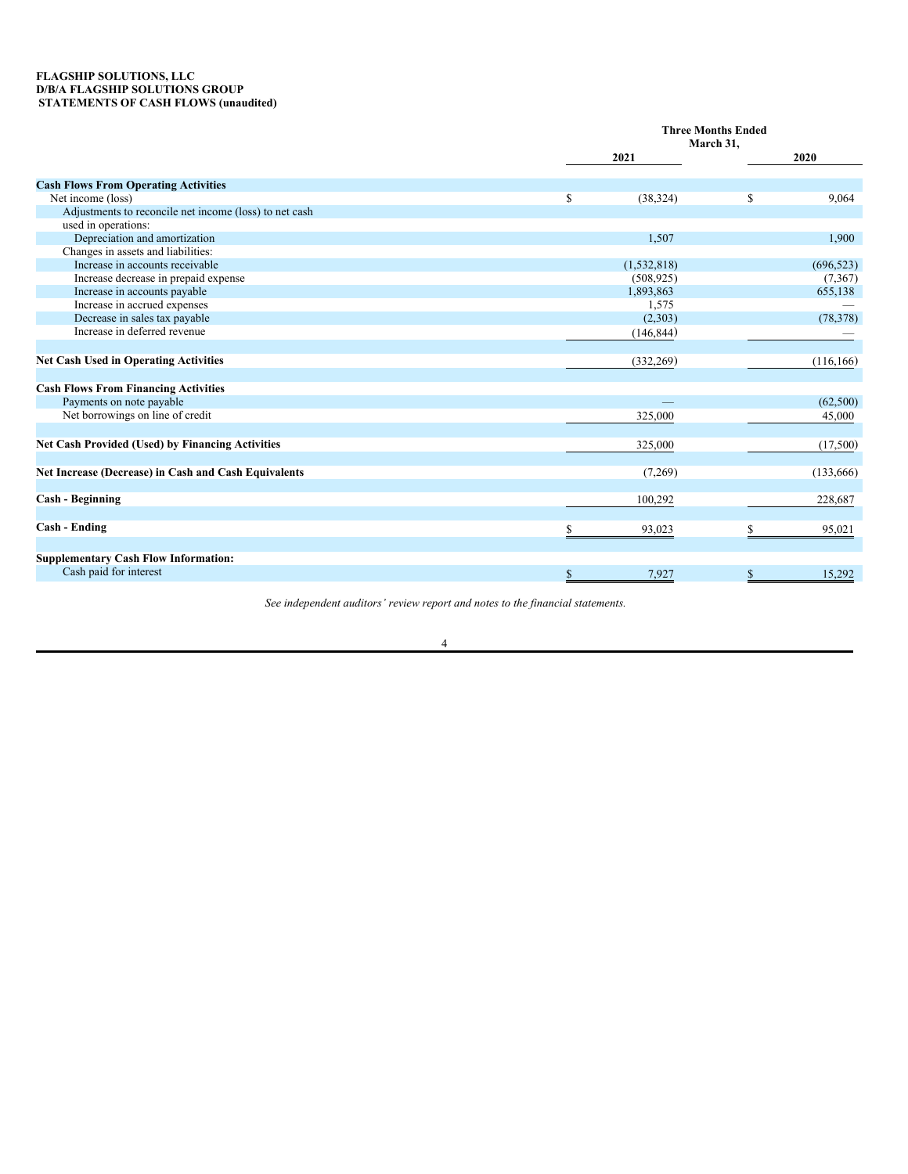# <span id="page-9-0"></span>**FLAGSHIP SOLUTIONS, LLC D/B/A FLAGSHIP SOLUTIONS GROUP STATEMENTS OF CASH FLOWS (unaudited)**

|                                                         |                 | <b>Three Months Ended</b><br>March 31, |  |  |
|---------------------------------------------------------|-----------------|----------------------------------------|--|--|
|                                                         | 2021            | 2020                                   |  |  |
| <b>Cash Flows From Operating Activities</b>             |                 |                                        |  |  |
| Net income (loss)                                       | \$<br>(38, 324) | S<br>9,064                             |  |  |
| Adjustments to reconcile net income (loss) to net cash  |                 |                                        |  |  |
| used in operations:                                     |                 |                                        |  |  |
| Depreciation and amortization                           | 1,507           | 1,900                                  |  |  |
| Changes in assets and liabilities:                      |                 |                                        |  |  |
| Increase in accounts receivable                         | (1, 532, 818)   | (696, 523)                             |  |  |
| Increase decrease in prepaid expense                    | (508, 925)      | (7,367)                                |  |  |
| Increase in accounts payable                            | 1,893,863       | 655,138                                |  |  |
| Increase in accrued expenses                            | 1,575           |                                        |  |  |
| Decrease in sales tax payable                           | (2,303)         | (78, 378)                              |  |  |
| Increase in deferred revenue                            | (146, 844)      |                                        |  |  |
|                                                         |                 |                                        |  |  |
| <b>Net Cash Used in Operating Activities</b>            | (332, 269)      | (116, 166)                             |  |  |
| <b>Cash Flows From Financing Activities</b>             |                 |                                        |  |  |
| Payments on note payable                                |                 | (62,500)                               |  |  |
| Net borrowings on line of credit                        | 325,000         | 45,000                                 |  |  |
|                                                         |                 |                                        |  |  |
| <b>Net Cash Provided (Used) by Financing Activities</b> | 325,000         | (17,500)                               |  |  |
| Net Increase (Decrease) in Cash and Cash Equivalents    | (7,269)         | (133, 666)                             |  |  |
|                                                         |                 |                                        |  |  |
| <b>Cash - Beginning</b>                                 | 100,292         | 228,687                                |  |  |
|                                                         |                 |                                        |  |  |
| <b>Cash - Ending</b>                                    | S<br>93,023     | S<br>95,021                            |  |  |
| <b>Supplementary Cash Flow Information:</b>             |                 |                                        |  |  |
| Cash paid for interest                                  | 7,927<br>\$     | 15,292<br>S                            |  |  |
|                                                         |                 |                                        |  |  |

*See independent auditors' review report and notes to the financial statements.*

4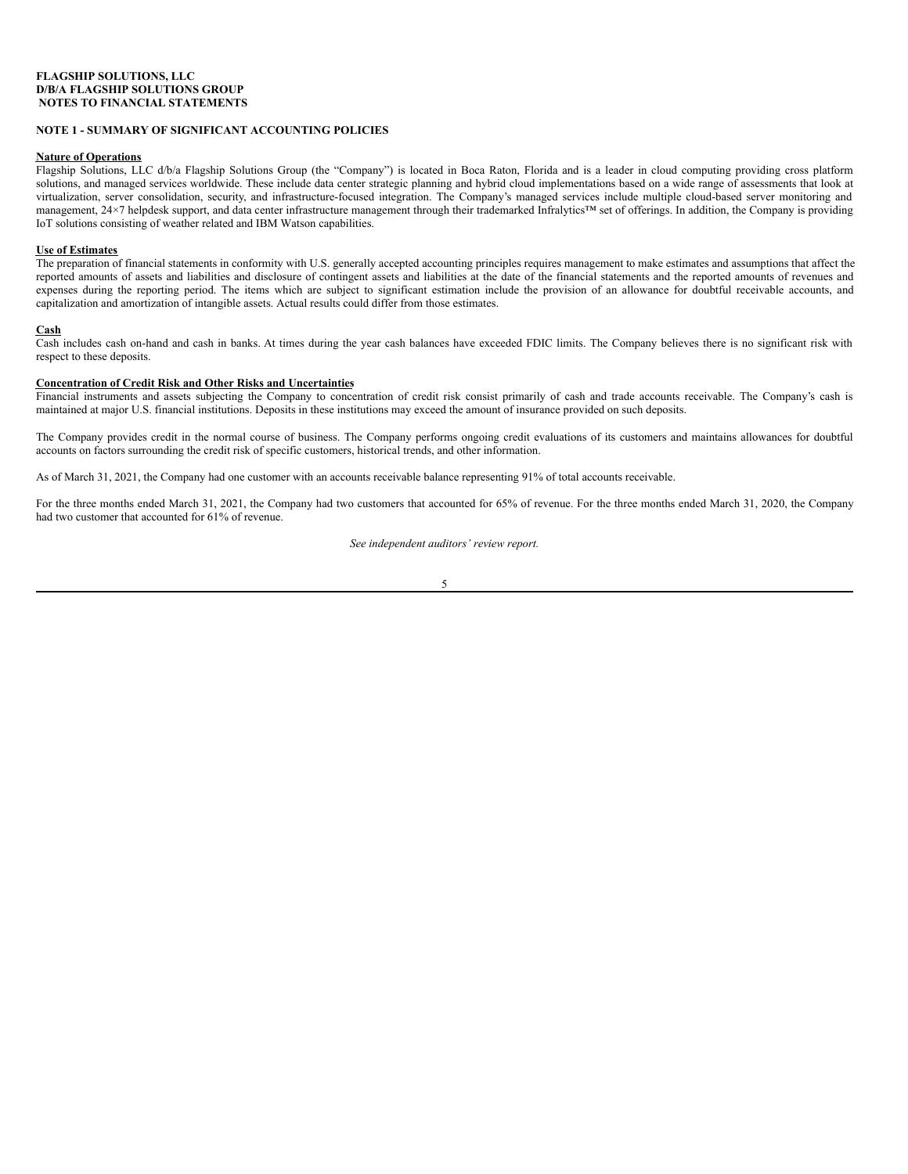# **NOTE 1 - SUMMARY OF SIGNIFICANT ACCOUNTING POLICIES**

# **Nature of Operations**

Flagship Solutions, LLC d/b/a Flagship Solutions Group (the "Company") is located in Boca Raton, Florida and is a leader in cloud computing providing cross platform solutions, and managed services worldwide. These include data center strategic planning and hybrid cloud implementations based on a wide range of assessments that look at virtualization, server consolidation, security, and infrastructure-focused integration. The Company's managed services include multiple cloud-based server monitoring and management, 24×7 helpdesk support, and data center infrastructure management through their trademarked Infralytics™ set of offerings. In addition, the Company is providing IoT solutions consisting of weather related and IBM Watson capabilities.

# **Use of Estimates**

The preparation of financial statements in conformity with U.S. generally accepted accounting principles requires management to make estimates and assumptions that affect the reported amounts of assets and liabilities and disclosure of contingent assets and liabilities at the date of the financial statements and the reported amounts of revenues and expenses during the reporting period. The items which are subject to significant estimation include the provision of an allowance for doubtful receivable accounts, and capitalization and amortization of intangible assets. Actual results could differ from those estimates.

# **Cash**

Cash includes cash on-hand and cash in banks. At times during the year cash balances have exceeded FDIC limits. The Company believes there is no significant risk with respect to these deposits.

# **Concentration of Credit Risk and Other Risks and Uncertainties**

Financial instruments and assets subjecting the Company to concentration of credit risk consist primarily of cash and trade accounts receivable. The Company's cash is maintained at major U.S. financial institutions. Deposits in these institutions may exceed the amount of insurance provided on such deposits.

The Company provides credit in the normal course of business. The Company performs ongoing credit evaluations of its customers and maintains allowances for doubtful accounts on factors surrounding the credit risk of specific customers, historical trends, and other information.

As of March 31, 2021, the Company had one customer with an accounts receivable balance representing 91% of total accounts receivable.

For the three months ended March 31, 2021, the Company had two customers that accounted for 65% of revenue. For the three months ended March 31, 2020, the Company had two customer that accounted for 61% of revenue.

*See independent auditors' review report.*

$$
5\!\!
$$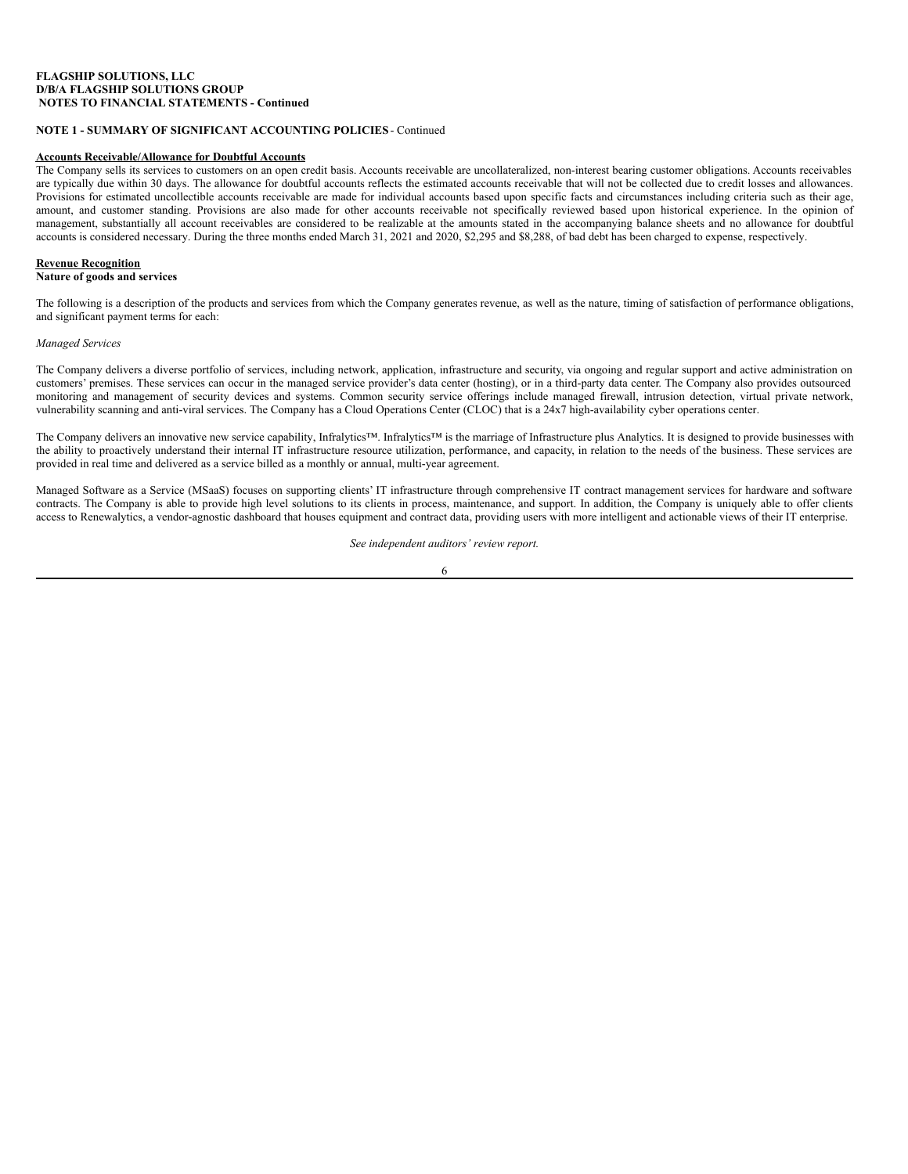# <span id="page-11-0"></span>**NOTE 1 - SUMMARY OF SIGNIFICANT ACCOUNTING POLICIES** - Continued

# **Accounts Receivable/Allowance for Doubtful Accounts**

The Company sells its services to customers on an open credit basis. Accounts receivable are uncollateralized, non-interest bearing customer obligations. Accounts receivables are typically due within 30 days. The allowance for doubtful accounts reflects the estimated accounts receivable that will not be collected due to credit losses and allowances. Provisions for estimated uncollectible accounts receivable are made for individual accounts based upon specific facts and circumstances including criteria such as their age, amount, and customer standing. Provisions are also made for other accounts receivable not specifically reviewed based upon historical experience. In the opinion of management, substantially all account receivables are considered to be realizable at the amounts stated in the accompanying balance sheets and no allowance for doubtful accounts is considered necessary. During the three months ended March 31, 2021 and 2020, \$2,295 and \$8,288, of bad debt has been charged to expense, respectively.

# **Revenue Recognition**

# **Nature of goods and services**

The following is a description of the products and services from which the Company generates revenue, as well as the nature, timing of satisfaction of performance obligations, and significant payment terms for each:

# *Managed Services*

The Company delivers a diverse portfolio of services, including network, application, infrastructure and security, via ongoing and regular support and active administration on customers' premises. These services can occur in the managed service provider's data center (hosting), or in a third-party data center. The Company also provides outsourced monitoring and management of security devices and systems. Common security service offerings include managed firewall, intrusion detection, virtual private network, vulnerability scanning and anti-viral services. The Company has a Cloud Operations Center (CLOC) that is a 24x7 high-availability cyber operations center.

The Company delivers an innovative new service capability, Infralytics™. Infralytics™ is the marriage of Infrastructure plus Analytics. It is designed to provide businesses with the ability to proactively understand their internal IT infrastructure resource utilization, performance, and capacity, in relation to the needs of the business. These services are provided in real time and delivered as a service billed as a monthly or annual, multi-year agreement.

Managed Software as a Service (MSaaS) focuses on supporting clients' IT infrastructure through comprehensive IT contract management services for hardware and software contracts. The Company is able to provide high level solutions to its clients in process, maintenance, and support. In addition, the Company is uniquely able to offer clients access to Renewalytics, a vendor-agnostic dashboard that houses equipment and contract data, providing users with more intelligent and actionable views of their IT enterprise.

*See independent auditors' review report.*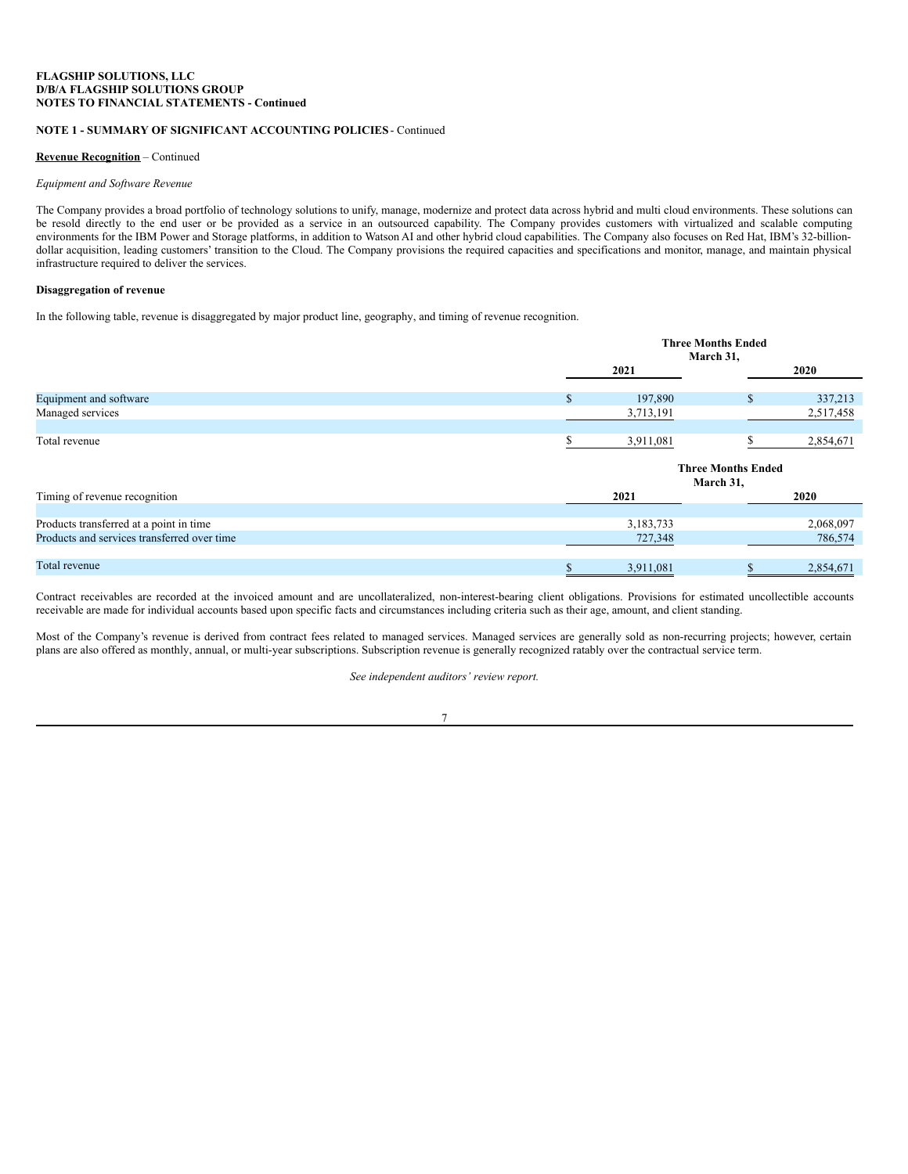# **NOTE 1 - SUMMARY OF SIGNIFICANT ACCOUNTING POLICIES** - Continued

### **Revenue Recognition** – Continued

#### *Equipment and Software Revenue*

The Company provides a broad portfolio of technology solutions to unify, manage, modernize and protect data across hybrid and multi cloud environments. These solutions can be resold directly to the end user or be provided as a service in an outsourced capability. The Company provides customers with virtualized and scalable computing environments for the IBM Power and Storage platforms, in addition to Watson AI and other hybrid cloud capabilities. The Company also focuses on Red Hat, IBM's 32-billiondollar acquisition, leading customers' transition to the Cloud. The Company provisions the required capacities and specifications and monitor, manage, and maintain physical infrastructure required to deliver the services.

# **Disaggregation of revenue**

In the following table, revenue is disaggregated by major product line, geography, and timing of revenue recognition.

|                                             |              | <b>Three Months Ended</b><br>March 31, |                                        |           |
|---------------------------------------------|--------------|----------------------------------------|----------------------------------------|-----------|
|                                             |              | 2021                                   |                                        | 2020      |
| Equipment and software                      | $\mathbb{S}$ | 197,890                                | <sup>\$</sup>                          | 337,213   |
| Managed services                            |              | 3,713,191                              |                                        | 2,517,458 |
| Total revenue                               |              | 3,911,081                              |                                        | 2,854,671 |
|                                             |              |                                        | <b>Three Months Ended</b><br>March 31, |           |
| Timing of revenue recognition               |              | 2021                                   |                                        | 2020      |
| Products transferred at a point in time     |              | 3,183,733                              |                                        | 2,068,097 |
| Products and services transferred over time |              | 727,348                                |                                        | 786,574   |
| Total revenue                               | \$           | 3,911,081                              | \$                                     | 2,854,671 |

Contract receivables are recorded at the invoiced amount and are uncollateralized, non-interest-bearing client obligations. Provisions for estimated uncollectible accounts receivable are made for individual accounts based upon specific facts and circumstances including criteria such as their age, amount, and client standing.

Most of the Company's revenue is derived from contract fees related to managed services. Managed services are generally sold as non-recurring projects; however, certain plans are also offered as monthly, annual, or multi-year subscriptions. Subscription revenue is generally recognized ratably over the contractual service term.

*See independent auditors' review report.*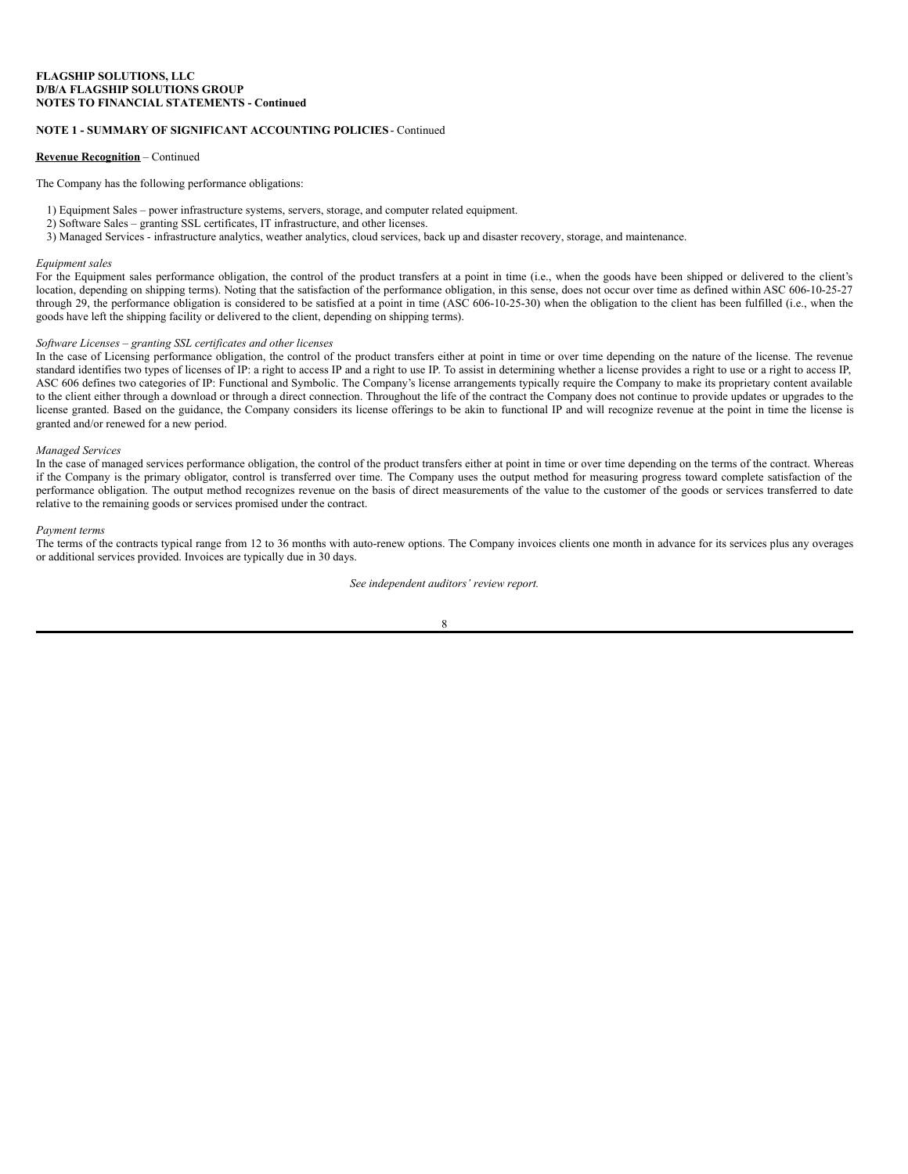# **NOTE 1 - SUMMARY OF SIGNIFICANT ACCOUNTING POLICIES** - Continued

## **Revenue Recognition** – Continued

The Company has the following performance obligations:

- 1) Equipment Sales power infrastructure systems, servers, storage, and computer related equipment.
- 2) Software Sales granting SSL certificates, IT infrastructure, and other licenses.
- 3) Managed Services infrastructure analytics, weather analytics, cloud services, back up and disaster recovery, storage, and maintenance.

#### *Equipment sales*

For the Equipment sales performance obligation, the control of the product transfers at a point in time (i.e., when the goods have been shipped or delivered to the client's location, depending on shipping terms). Noting that the satisfaction of the performance obligation, in this sense, does not occur over time as defined within ASC 606-10-25-27 through 29, the performance obligation is considered to be satisfied at a point in time (ASC 606-10-25-30) when the obligation to the client has been fulfilled (i.e., when the goods have left the shipping facility or delivered to the client, depending on shipping terms).

# *Software Licenses – granting SSL certificates and other licenses*

In the case of Licensing performance obligation, the control of the product transfers either at point in time or over time depending on the nature of the license. The revenue standard identifies two types of licenses of IP: a right to access IP and a right to use IP. To assist in determining whether a license provides a right to use or a right to access IP, ASC 606 defines two categories of IP: Functional and Symbolic. The Company's license arrangements typically require the Company to make its proprietary content available to the client either through a download or through a direct connection. Throughout the life of the contract the Company does not continue to provide updates or upgrades to the license granted. Based on the guidance, the Company considers its license offerings to be akin to functional IP and will recognize revenue at the point in time the license is granted and/or renewed for a new period.

#### *Managed Services*

In the case of managed services performance obligation, the control of the product transfers either at point in time or over time depending on the terms of the contract. Whereas if the Company is the primary obligator, control is transferred over time. The Company uses the output method for measuring progress toward complete satisfaction of the performance obligation. The output method recognizes revenue on the basis of direct measurements of the value to the customer of the goods or services transferred to date relative to the remaining goods or services promised under the contract.

#### *Payment terms*

The terms of the contracts typical range from 12 to 36 months with auto-renew options. The Company invoices clients one month in advance for its services plus any overages or additional services provided. Invoices are typically due in 30 days.

#### *See independent auditors' review report.*

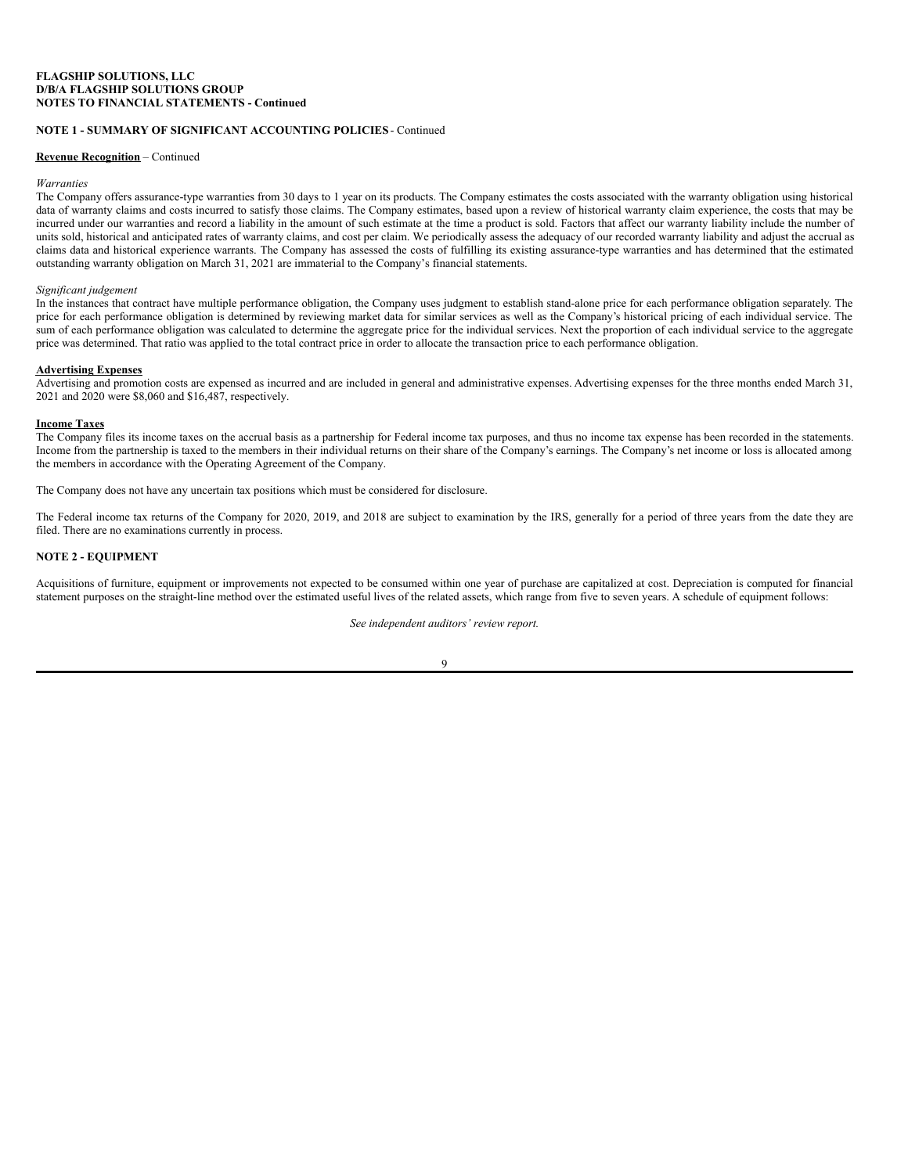# **NOTE 1 - SUMMARY OF SIGNIFICANT ACCOUNTING POLICIES** - Continued

# **Revenue Recognition** – Continued

#### *Warranties*

The Company offers assurance-type warranties from 30 days to 1 year on its products. The Company estimates the costs associated with the warranty obligation using historical data of warranty claims and costs incurred to satisfy those claims. The Company estimates, based upon a review of historical warranty claim experience, the costs that may be incurred under our warranties and record a liability in the amount of such estimate at the time a product is sold. Factors that affect our warranty liability include the number of units sold, historical and anticipated rates of warranty claims, and cost per claim. We periodically assess the adequacy of our recorded warranty liability and adjust the accrual as claims data and historical experience warrants. The Company has assessed the costs of fulfilling its existing assurance-type warranties and has determined that the estimated outstanding warranty obligation on March 31, 2021 are immaterial to the Company's financial statements.

#### *Significant judgement*

In the instances that contract have multiple performance obligation, the Company uses judgment to establish stand-alone price for each performance obligation separately. The price for each performance obligation is determined by reviewing market data for similar services as well as the Company's historical pricing of each individual service. The sum of each performance obligation was calculated to determine the aggregate price for the individual services. Next the proportion of each individual service to the aggregate price was determined. That ratio was applied to the total contract price in order to allocate the transaction price to each performance obligation.

#### **Advertising Expenses**

Advertising and promotion costs are expensed as incurred and are included in general and administrative expenses. Advertising expenses for the three months ended March 31, 2021 and 2020 were \$8,060 and \$16,487, respectively.

#### **Income Taxes**

The Company files its income taxes on the accrual basis as a partnership for Federal income tax purposes, and thus no income tax expense has been recorded in the statements. Income from the partnership is taxed to the members in their individual returns on their share of the Company's earnings. The Company's net income or loss is allocated among the members in accordance with the Operating Agreement of the Company.

The Company does not have any uncertain tax positions which must be considered for disclosure.

The Federal income tax returns of the Company for 2020, 2019, and 2018 are subject to examination by the IRS, generally for a period of three years from the date they are filed. There are no examinations currently in process.

# **NOTE 2 - EQUIPMENT**

Acquisitions of furniture, equipment or improvements not expected to be consumed within one year of purchase are capitalized at cost. Depreciation is computed for financial statement purposes on the straight-line method over the estimated useful lives of the related assets, which range from five to seven years. A schedule of equipment follows:

*See independent auditors' review report.*

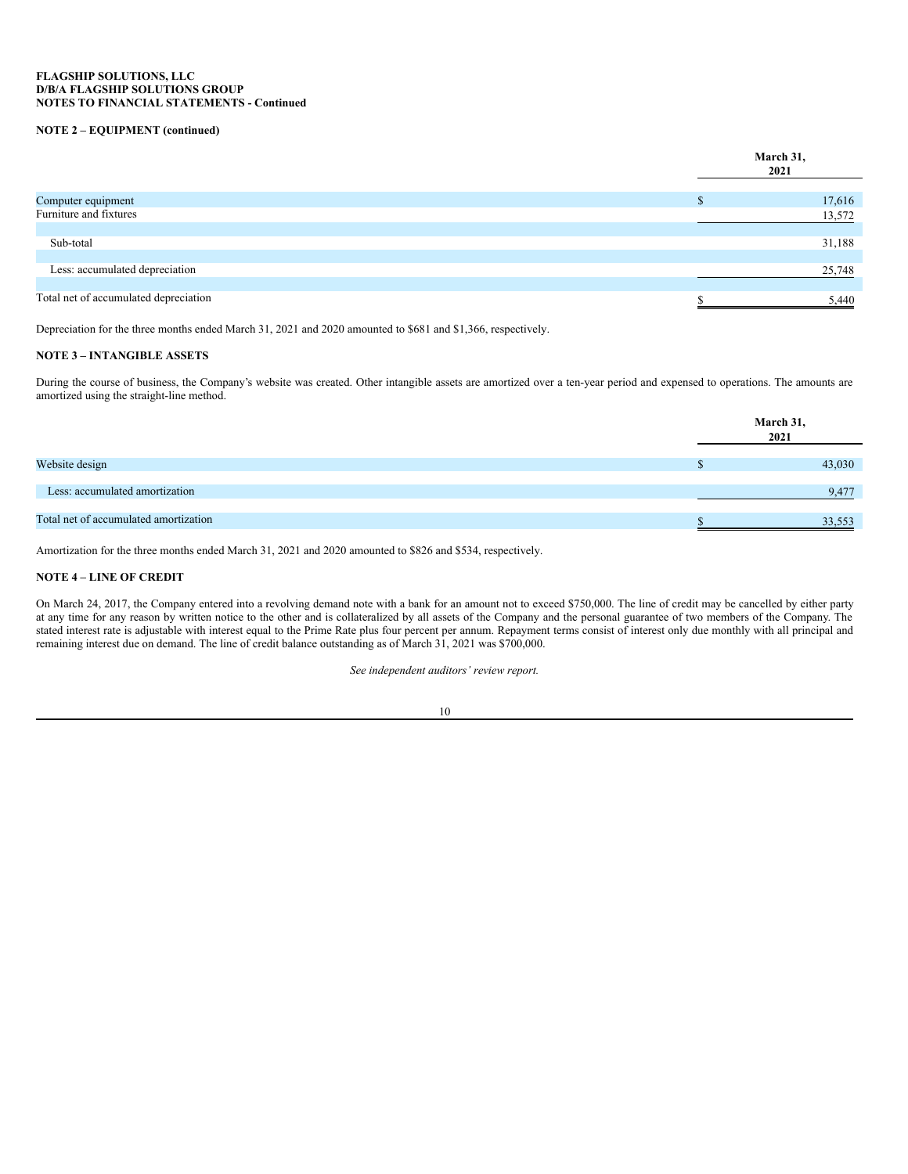# **NOTE 2 – EQUIPMENT (continued)**

|                                       | March 31,<br>2021 |
|---------------------------------------|-------------------|
| Computer equipment                    | 17,616            |
| Furniture and fixtures                | 13,572            |
|                                       |                   |
| Sub-total                             | 31,188            |
| Less: accumulated depreciation        | 25,748            |
| Total net of accumulated depreciation | 5,440             |

Depreciation for the three months ended March 31, 2021 and 2020 amounted to \$681 and \$1,366, respectively.

# **NOTE 3 – INTANGIBLE ASSETS**

During the course of business, the Company's website was created. Other intangible assets are amortized over a ten-year period and expensed to operations. The amounts are amortized using the straight-line method.

|                                       | March 31,<br>2021 |  |
|---------------------------------------|-------------------|--|
|                                       |                   |  |
| Website design                        | 43,030            |  |
|                                       |                   |  |
| Less: accumulated amortization        | 9,477             |  |
|                                       |                   |  |
| Total net of accumulated amortization | 33,553            |  |
|                                       |                   |  |

Amortization for the three months ended March 31, 2021 and 2020 amounted to \$826 and \$534, respectively.

# **NOTE 4 – LINE OF CREDIT**

On March 24, 2017, the Company entered into a revolving demand note with a bank for an amount not to exceed \$750,000. The line of credit may be cancelled by either party at any time for any reason by written notice to the other and is collateralized by all assets of the Company and the personal guarantee of two members of the Company. The stated interest rate is adjustable with interest equal to the Prime Rate plus four percent per annum. Repayment terms consist of interest only due monthly with all principal and remaining interest due on demand. The line of credit balance outstanding as of March 31, 2021 was \$700,000.

*See independent auditors' review report.*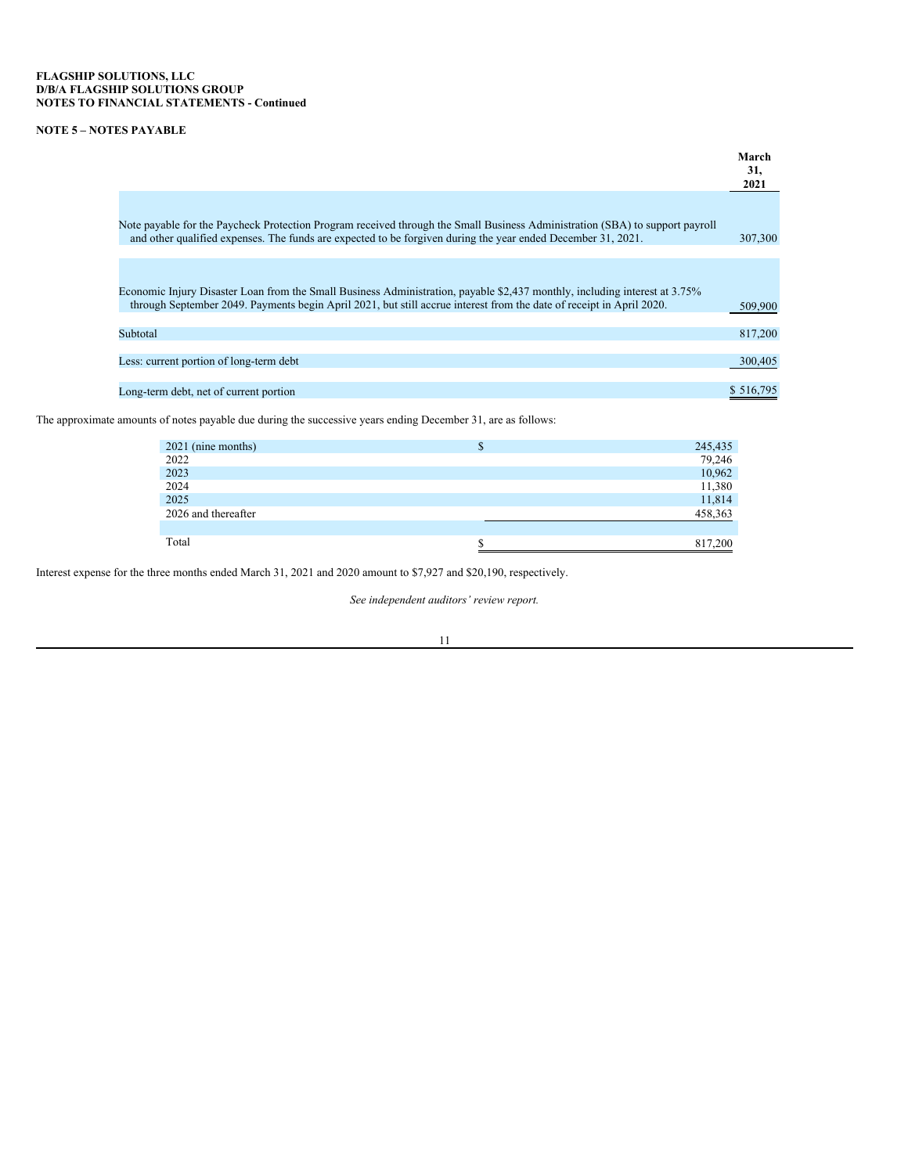# **NOTE 5 – NOTES PAYABLE**

|                                                                                                                                                                                                                                                    | March<br>31,<br>2021 |
|----------------------------------------------------------------------------------------------------------------------------------------------------------------------------------------------------------------------------------------------------|----------------------|
|                                                                                                                                                                                                                                                    |                      |
| Note payable for the Paycheck Protection Program received through the Small Business Administration (SBA) to support payroll<br>and other qualified expenses. The funds are expected to be forgiven during the year ended December 31, 2021.       | 307,300              |
|                                                                                                                                                                                                                                                    |                      |
| Economic Injury Disaster Loan from the Small Business Administration, payable \$2,437 monthly, including interest at 3.75%<br>through September 2049. Payments begin April 2021, but still accrue interest from the date of receipt in April 2020. | 509,900              |
| Subtotal                                                                                                                                                                                                                                           | 817,200              |
| Less: current portion of long-term debt                                                                                                                                                                                                            | 300,405              |
| Long-term debt, net of current portion                                                                                                                                                                                                             | \$ 516.795           |

The approximate amounts of notes payable due during the successive years ending December 31, are as follows:

| 2021 (nine months)  | Ф | 245,435 |
|---------------------|---|---------|
| 2022                |   | 79,246  |
| 2023                |   | 10,962  |
| 2024                |   | 11,380  |
| 2025                |   | 11,814  |
| 2026 and thereafter |   | 458,363 |
|                     |   |         |
| Total               |   | 817,200 |

Interest expense for the three months ended March 31, 2021 and 2020 amount to \$7,927 and \$20,190, respectively.

*See independent auditors' review report.*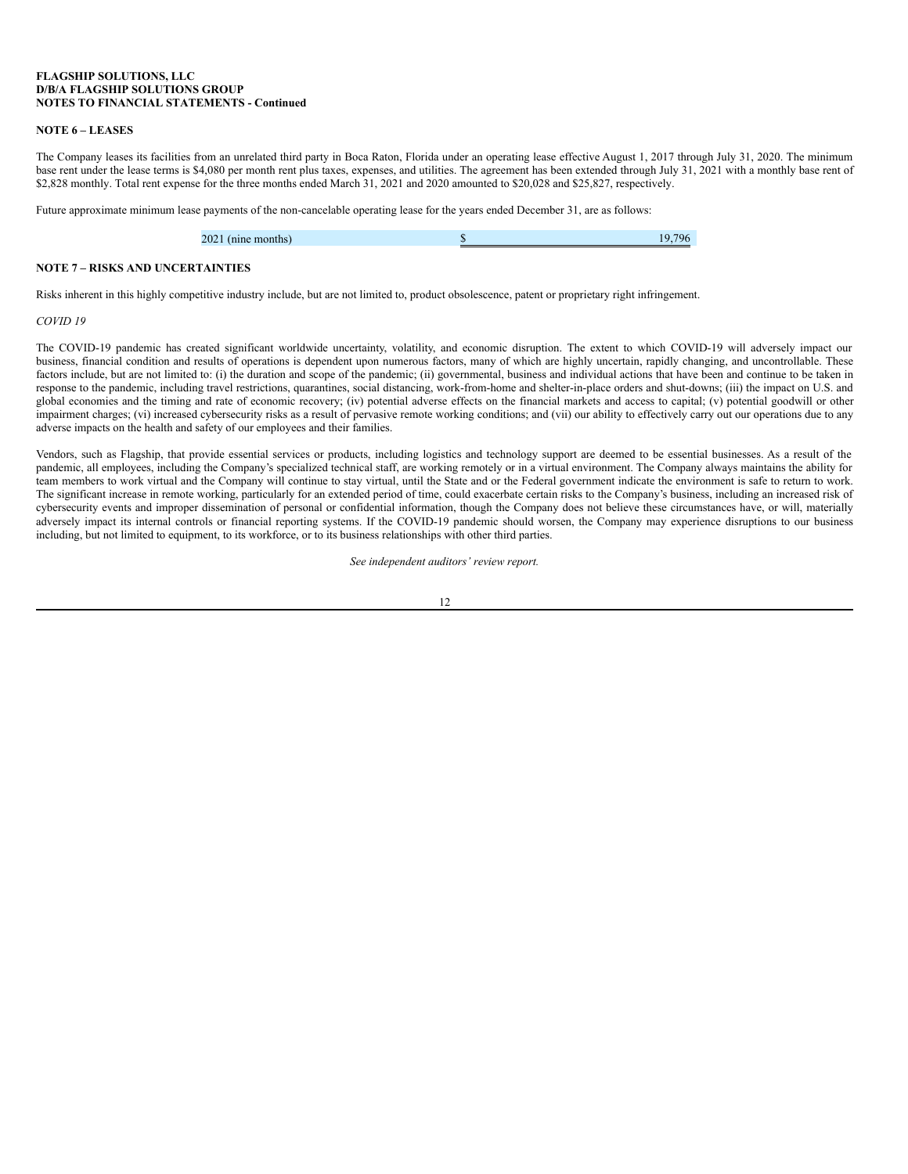## **NOTE 6 – LEASES**

The Company leases its facilities from an unrelated third party in Boca Raton, Florida under an operating lease effective August 1, 2017 through July 31, 2020. The minimum base rent under the lease terms is \$4,080 per month rent plus taxes, expenses, and utilities. The agreement has been extended through July 31, 2021 with a monthly base rent of \$2,828 monthly. Total rent expense for the three months ended March 31, 2021 and 2020 amounted to \$20,028 and \$25,827, respectively.

Future approximate minimum lease payments of the non-cancelable operating lease for the years ended December 31, are as follows:

| 2021 (nine months) | 796<br>1 Q |
|--------------------|------------|
|                    |            |

# **NOTE 7 – RISKS AND UNCERTAINTIES**

Risks inherent in this highly competitive industry include, but are not limited to, product obsolescence, patent or proprietary right infringement.

#### *COVID 19*

The COVID-19 pandemic has created significant worldwide uncertainty, volatility, and economic disruption. The extent to which COVID-19 will adversely impact our business, financial condition and results of operations is dependent upon numerous factors, many of which are highly uncertain, rapidly changing, and uncontrollable. These factors include, but are not limited to: (i) the duration and scope of the pandemic; (ii) governmental, business and individual actions that have been and continue to be taken in response to the pandemic, including travel restrictions, quarantines, social distancing, work-from-home and shelter-in-place orders and shut-downs; (iii) the impact on U.S. and global economies and the timing and rate of economic recovery; (iv) potential adverse effects on the financial markets and access to capital; (v) potential goodwill or other impairment charges; (vi) increased cybersecurity risks as a result of pervasive remote working conditions; and (vii) our ability to effectively carry out our operations due to any adverse impacts on the health and safety of our employees and their families.

Vendors, such as Flagship, that provide essential services or products, including logistics and technology support are deemed to be essential businesses. As a result of the pandemic, all employees, including the Company's specialized technical staff, are working remotely or in a virtual environment. The Company always maintains the ability for team members to work virtual and the Company will continue to stay virtual, until the State and or the Federal government indicate the environment is safe to return to work. The significant increase in remote working, particularly for an extended period of time, could exacerbate certain risks to the Company's business, including an increased risk of cybersecurity events and improper dissemination of personal or confidential information, though the Company does not believe these circumstances have, or will, materially adversely impact its internal controls or financial reporting systems. If the COVID-19 pandemic should worsen, the Company may experience disruptions to our business including, but not limited to equipment, to its workforce, or to its business relationships with other third parties.

*See independent auditors' review report.*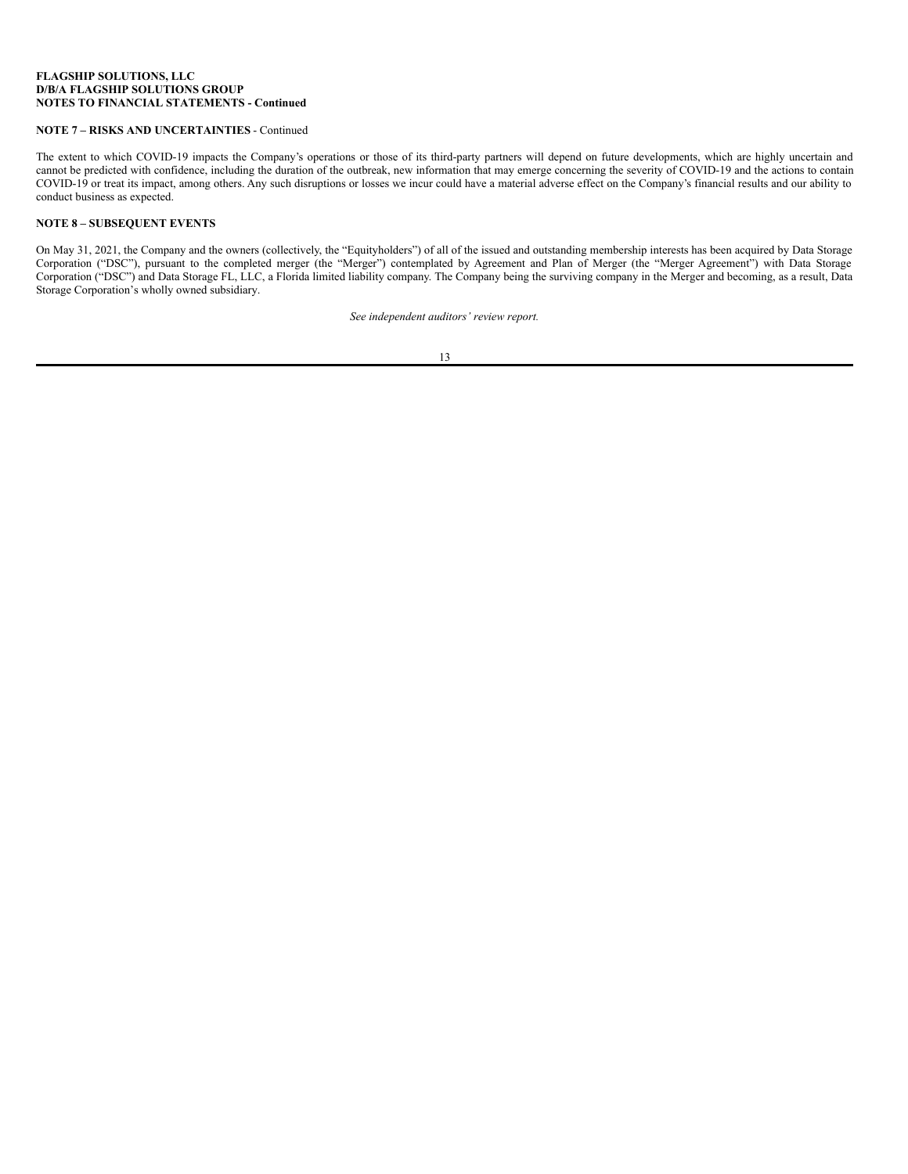# <span id="page-18-0"></span>**NOTE 7 – RISKS AND UNCERTAINTIES** - Continued

The extent to which COVID-19 impacts the Company's operations or those of its third-party partners will depend on future developments, which are highly uncertain and cannot be predicted with confidence, including the duration of the outbreak, new information that may emerge concerning the severity of COVID-19 and the actions to contain COVID-19 or treat its impact, among others. Any such disruptions or losses we incur could have a material adverse effect on the Company's financial results and our ability to conduct business as expected.

# **NOTE 8 – SUBSEQUENT EVENTS**

On May 31, 2021, the Company and the owners (collectively, the "Equityholders") of all of the issued and outstanding membership interests has been acquired by Data Storage Corporation ("DSC"), pursuant to the completed merger (the "Merger") contemplated by Agreement and Plan of Merger (the "Merger Agreement") with Data Storage Corporation ("DSC") and Data Storage FL, LLC, a Florida limited liability company. The Company being the surviving company in the Merger and becoming, as a result, Data Storage Corporation's wholly owned subsidiary.

*See independent auditors' review report.*

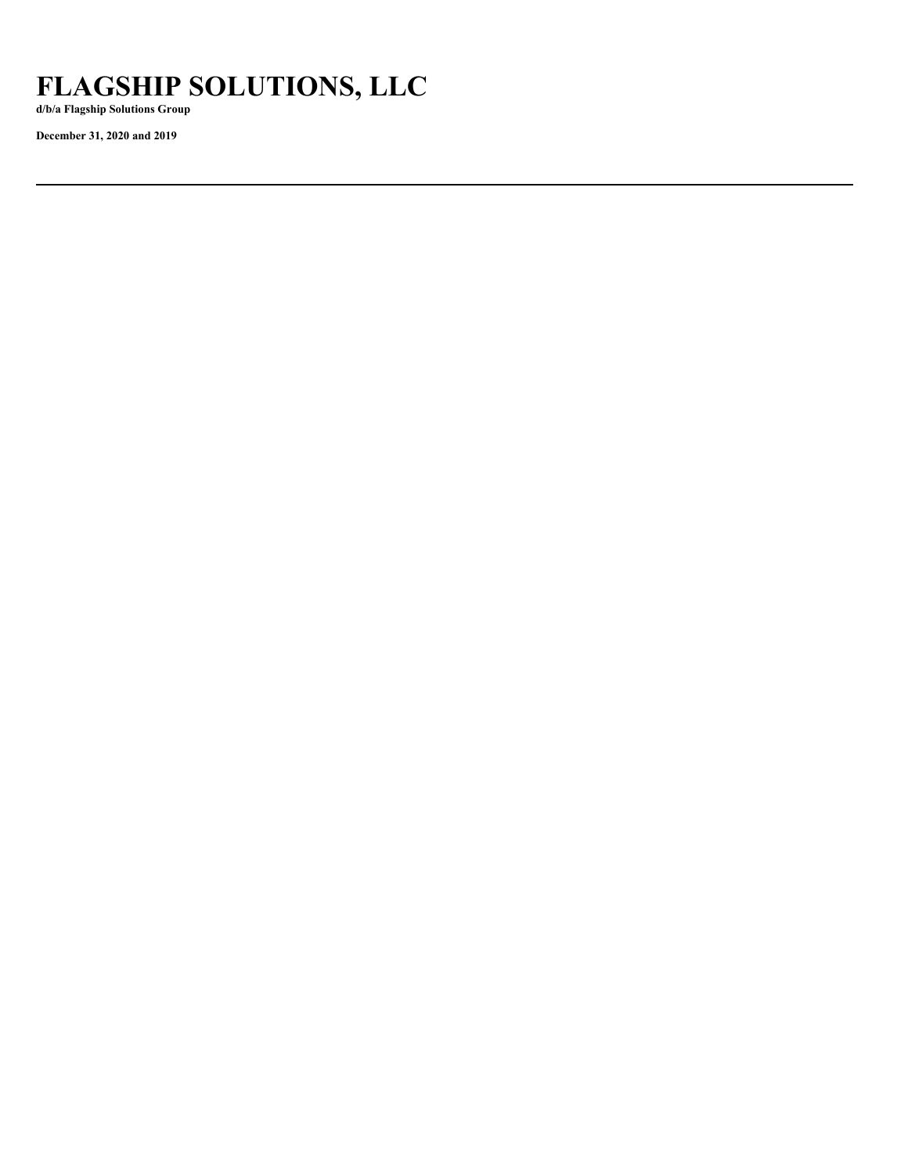# **FLAGSHIP SOLUTIONS, LLC**

**d/b/a Flagship Solutions Group**

**December 31, 2020 and 2019**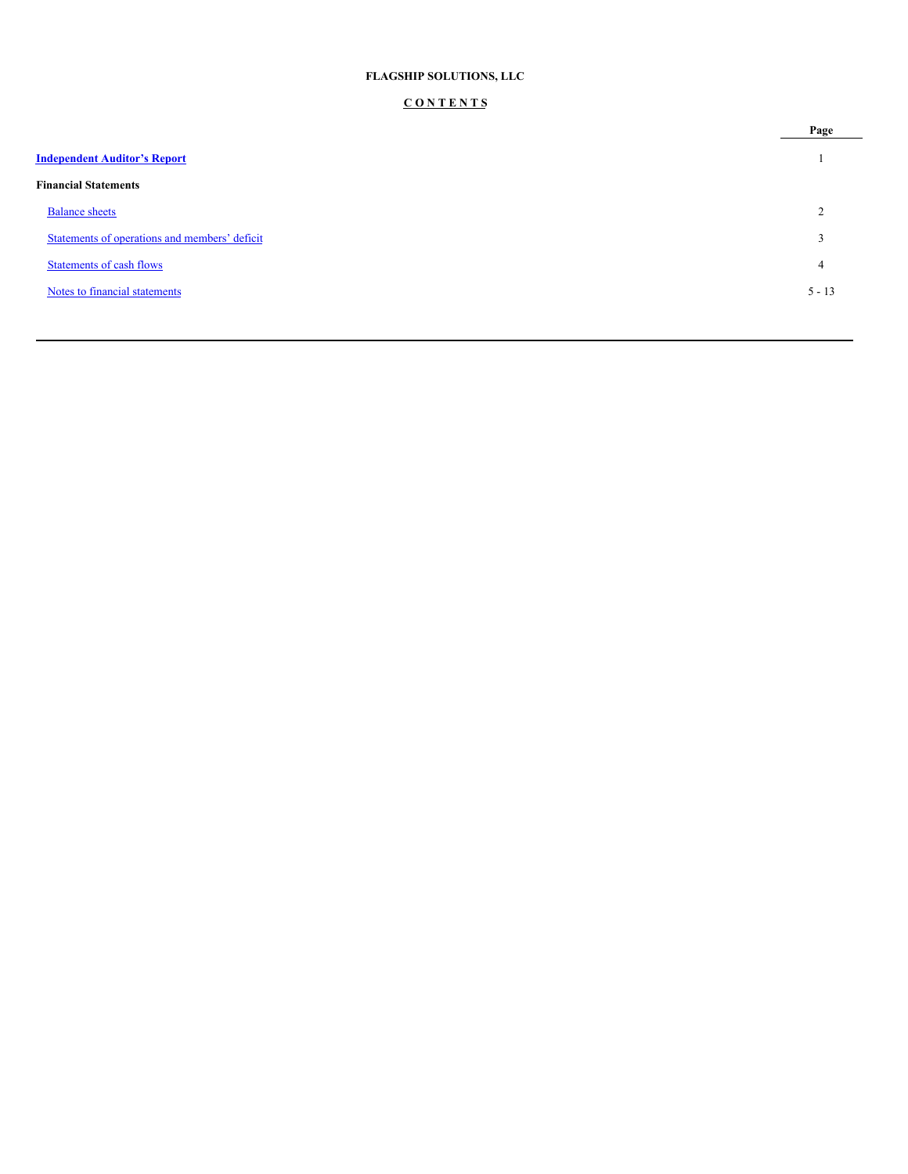# **FLAGSHIP SOLUTIONS, LLC**

# **C O N T E N T S**

|                                               | Page     |
|-----------------------------------------------|----------|
| <b>Independent Auditor's Report</b>           |          |
| <b>Financial Statements</b>                   |          |
| <b>Balance sheets</b>                         | ◠        |
| Statements of operations and members' deficit | $\sim$   |
| <b>Statements of cash flows</b>               | 4        |
| Notes to financial statements                 | $5 - 13$ |
|                                               |          |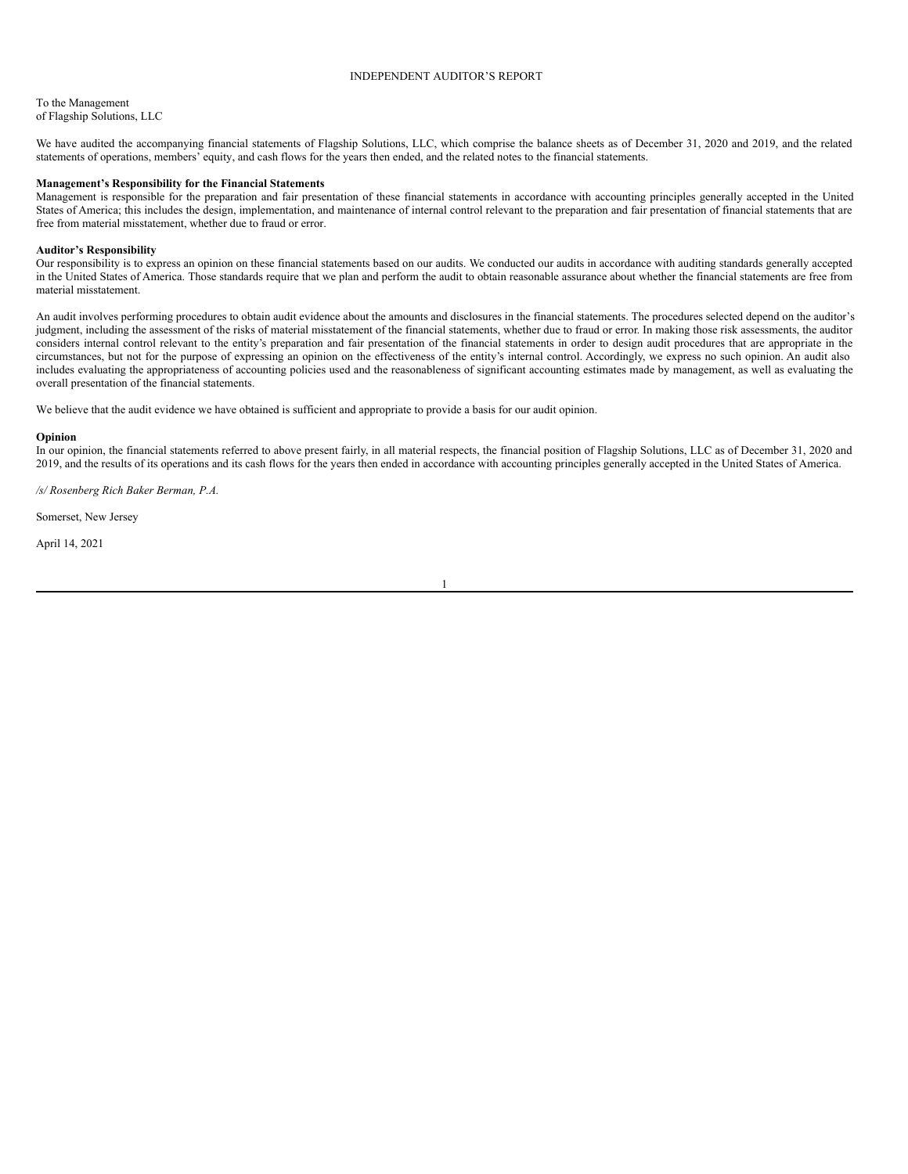# <span id="page-21-0"></span>INDEPENDENT AUDITOR'S REPORT

To the Management of Flagship Solutions, LLC

We have audited the accompanying financial statements of Flagship Solutions, LLC, which comprise the balance sheets as of December 31, 2020 and 2019, and the related statements of operations, members' equity, and cash flows for the years then ended, and the related notes to the financial statements.

## **Management's Responsibility for the Financial Statements**

Management is responsible for the preparation and fair presentation of these financial statements in accordance with accounting principles generally accepted in the United States of America; this includes the design, implementation, and maintenance of internal control relevant to the preparation and fair presentation of financial statements that are free from material misstatement, whether due to fraud or error.

#### **Auditor's Responsibility**

Our responsibility is to express an opinion on these financial statements based on our audits. We conducted our audits in accordance with auditing standards generally accepted in the United States of America. Those standards require that we plan and perform the audit to obtain reasonable assurance about whether the financial statements are free from material misstatement.

An audit involves performing procedures to obtain audit evidence about the amounts and disclosures in the financial statements. The procedures selected depend on the auditor's judgment, including the assessment of the risks of material misstatement of the financial statements, whether due to fraud or error. In making those risk assessments, the auditor considers internal control relevant to the entity's preparation and fair presentation of the financial statements in order to design audit procedures that are appropriate in the circumstances, but not for the purpose of expressing an opinion on the effectiveness of the entity's internal control. Accordingly, we express no such opinion. An audit also includes evaluating the appropriateness of accounting policies used and the reasonableness of significant accounting estimates made by management, as well as evaluating the overall presentation of the financial statements.

We believe that the audit evidence we have obtained is sufficient and appropriate to provide a basis for our audit opinion.

#### **Opinion**

In our opinion, the financial statements referred to above present fairly, in all material respects, the financial position of Flagship Solutions, LLC as of December 31, 2020 and 2019, and the results of its operations and its cash flows for the years then ended in accordance with accounting principles generally accepted in the United States of America.

*/s/ Rosenberg Rich Baker Berman, P.A.*

Somerset, New Jersey

April 14, 2021

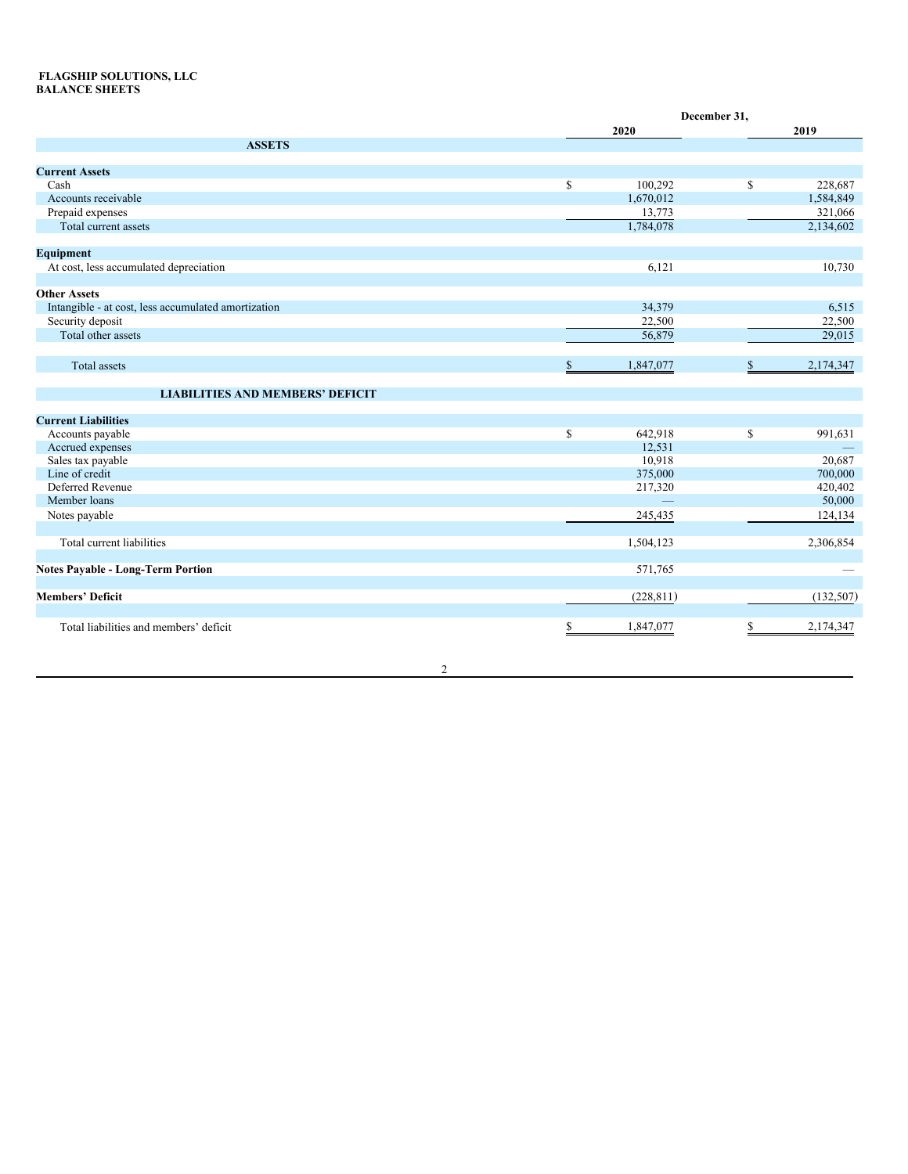# **FLAGSHIP SOLUTIONS, LLC BALANCE SHEETS**

|                                                     |    | December 31, |    |           |  |
|-----------------------------------------------------|----|--------------|----|-----------|--|
|                                                     |    | 2020         |    | 2019      |  |
| <b>ASSETS</b>                                       |    |              |    |           |  |
| <b>Current Assets</b>                               |    |              |    |           |  |
| Cash                                                | \$ | 100,292      | \$ | 228,687   |  |
| Accounts receivable                                 |    | 1,670,012    |    | 1,584,849 |  |
|                                                     |    | 13,773       |    | 321,066   |  |
| Prepaid expenses<br>Total current assets            |    | 1,784,078    |    | 2,134,602 |  |
|                                                     |    |              |    |           |  |
| <b>Equipment</b>                                    |    |              |    |           |  |
| At cost, less accumulated depreciation              |    | 6,121        |    | 10,730    |  |
|                                                     |    |              |    |           |  |
| <b>Other Assets</b>                                 |    |              |    |           |  |
| Intangible - at cost, less accumulated amortization |    | 34,379       |    | 6,515     |  |
| Security deposit                                    |    | 22,500       |    | 22,500    |  |
| Total other assets                                  |    | 56,879       |    | 29,015    |  |
|                                                     |    |              |    |           |  |
| <b>Total</b> assets                                 | \$ | 1,847,077    | S  | 2,174,347 |  |
| <b>LIABILITIES AND MEMBERS' DEFICIT</b>             |    |              |    |           |  |
| <b>Current Liabilities</b>                          |    |              |    |           |  |
| Accounts payable                                    | \$ | 642,918      | \$ | 991,631   |  |
| Accrued expenses                                    |    | 12,531       |    |           |  |
| Sales tax payable                                   |    | 10,918       |    | 20,687    |  |
| Line of credit                                      |    | 375,000      |    | 700,000   |  |
| Deferred Revenue                                    |    | 217,320      |    | 420,402   |  |
| Member loans                                        |    |              |    | 50,000    |  |
| Notes payable                                       |    | 245,435      |    | 124,134   |  |
|                                                     |    |              |    |           |  |
| Total current liabilities                           |    | 1,504,123    |    | 2,306,854 |  |
|                                                     |    |              |    |           |  |
| <b>Notes Payable - Long-Term Portion</b>            |    | 571,765      |    |           |  |
| <b>Members' Deficit</b>                             |    | (228, 811)   |    | (132,507) |  |
|                                                     |    |              |    |           |  |
| Total liabilities and members' deficit              | S  | 1,847,077    |    | 2,174,347 |  |
|                                                     |    |              |    |           |  |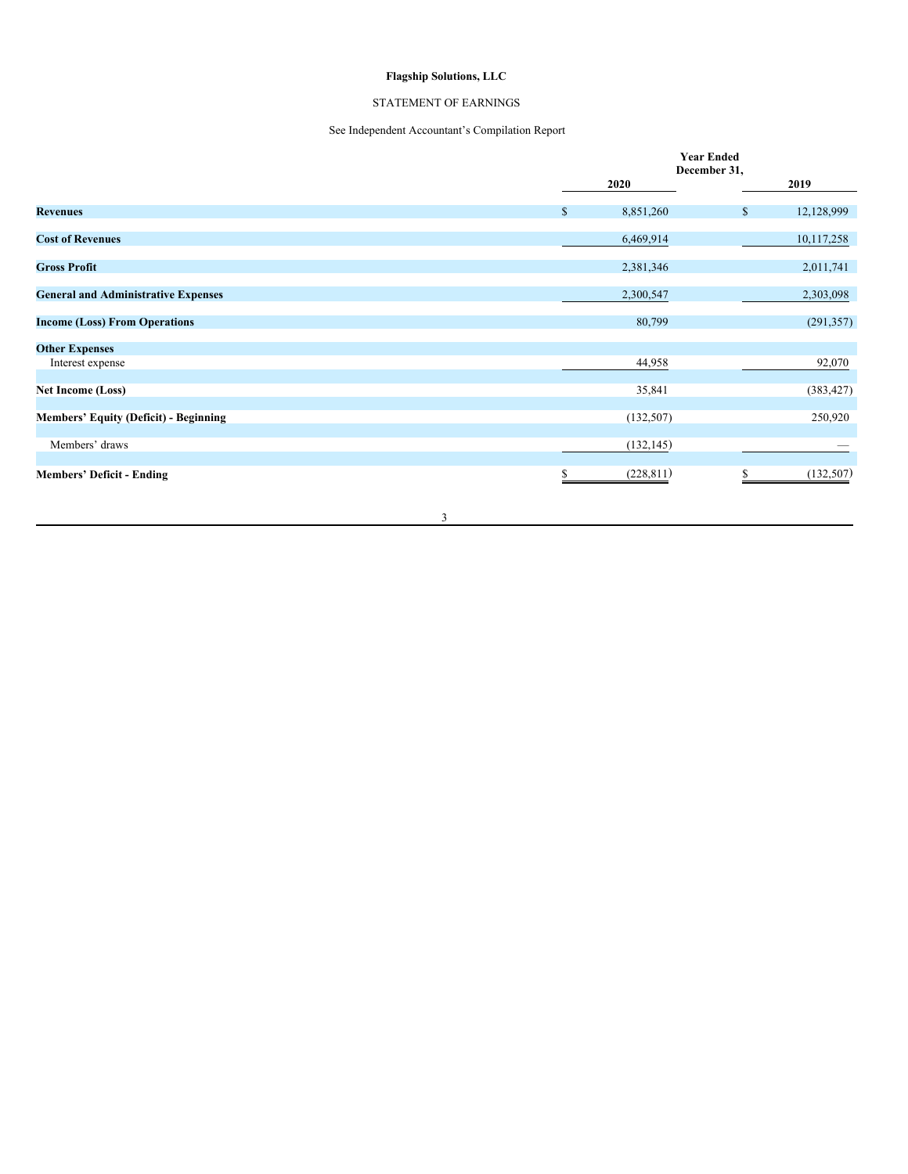# **Flagship Solutions, LLC**

# STATEMENT OF EARNINGS

# See Independent Accountant's Compilation Report

|                                              |                 | <b>Year Ended</b><br>December 31, |            |
|----------------------------------------------|-----------------|-----------------------------------|------------|
|                                              | 2020            |                                   | 2019       |
| <b>Revenues</b>                              | \$<br>8,851,260 | $\mathbb S$                       | 12,128,999 |
| <b>Cost of Revenues</b>                      | 6,469,914       |                                   | 10,117,258 |
| <b>Gross Profit</b>                          | 2,381,346       |                                   | 2,011,741  |
| <b>General and Administrative Expenses</b>   | 2,300,547       |                                   | 2,303,098  |
| <b>Income (Loss) From Operations</b>         | 80,799          |                                   | (291, 357) |
| <b>Other Expenses</b>                        |                 |                                   |            |
| Interest expense                             | 44,958          |                                   | 92,070     |
| <b>Net Income (Loss)</b>                     | 35,841          |                                   | (383, 427) |
| <b>Members' Equity (Deficit) - Beginning</b> | (132, 507)      |                                   | 250,920    |
| Members' draws                               | (132, 145)      |                                   |            |
| <b>Members' Deficit - Ending</b>             | (228, 811)<br>S |                                   | (132,507)  |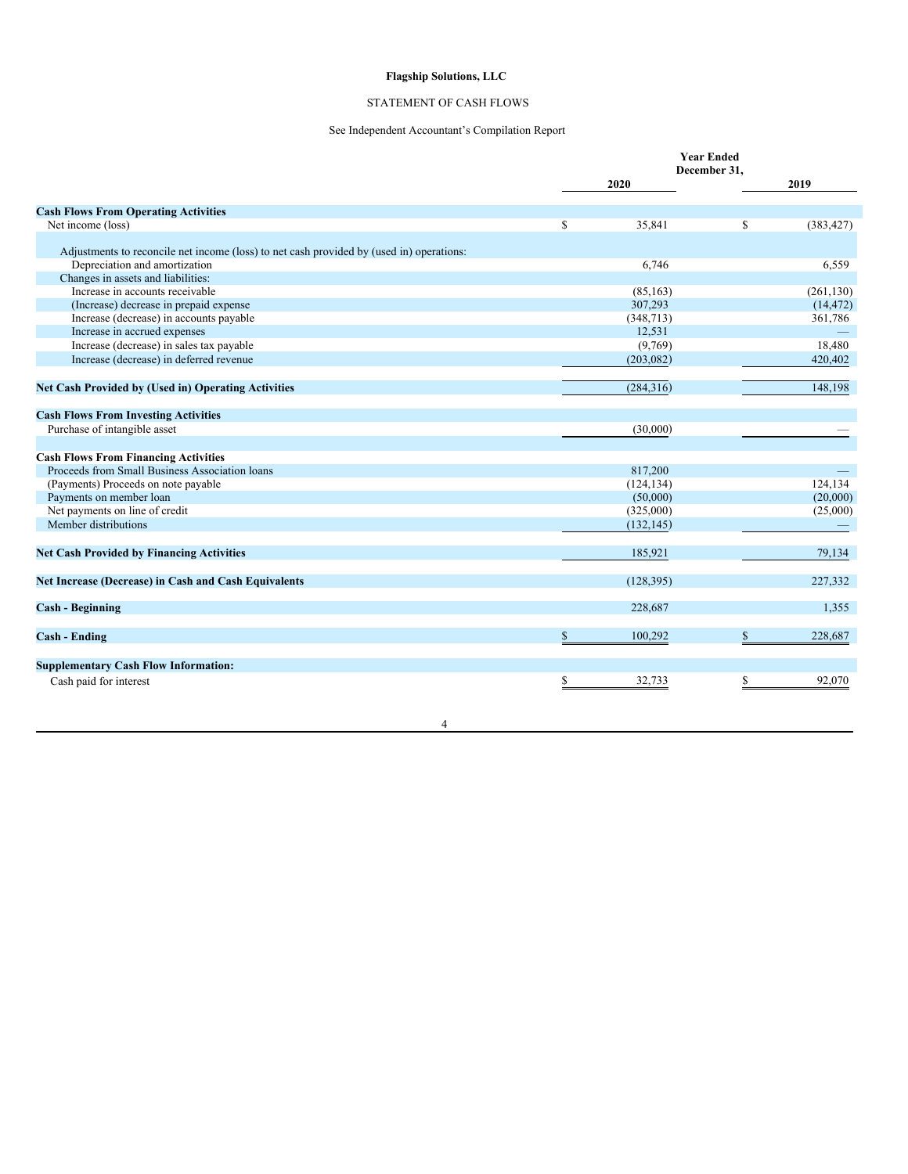# **Flagship Solutions, LLC**

# STATEMENT OF CASH FLOWS

# See Independent Accountant's Compilation Report

|                                                                                          |              |            | <b>Year Ended</b><br>December 31. |            |
|------------------------------------------------------------------------------------------|--------------|------------|-----------------------------------|------------|
|                                                                                          |              | 2020       |                                   | 2019       |
| <b>Cash Flows From Operating Activities</b>                                              |              |            |                                   |            |
| Net income (loss)                                                                        | \$           | 35,841     | \$                                | (383, 427) |
|                                                                                          |              |            |                                   |            |
| Adjustments to reconcile net income (loss) to net cash provided by (used in) operations: |              |            |                                   |            |
| Depreciation and amortization                                                            |              | 6,746      |                                   | 6,559      |
| Changes in assets and liabilities:                                                       |              |            |                                   |            |
| Increase in accounts receivable                                                          |              | (85, 163)  |                                   | (261, 130) |
| (Increase) decrease in prepaid expense                                                   |              | 307,293    |                                   | (14, 472)  |
| Increase (decrease) in accounts payable                                                  |              | (348, 713) |                                   | 361,786    |
| Increase in accrued expenses                                                             |              | 12,531     |                                   |            |
| Increase (decrease) in sales tax payable                                                 |              | (9,769)    |                                   | 18,480     |
| Increase (decrease) in deferred revenue                                                  |              | (203, 082) |                                   | 420,402    |
|                                                                                          |              |            |                                   |            |
| <b>Net Cash Provided by (Used in) Operating Activities</b>                               |              | (284, 316) |                                   | 148,198    |
| <b>Cash Flows From Investing Activities</b>                                              |              |            |                                   |            |
| Purchase of intangible asset                                                             |              | (30,000)   |                                   |            |
|                                                                                          |              |            |                                   |            |
| <b>Cash Flows From Financing Activities</b>                                              |              |            |                                   |            |
| Proceeds from Small Business Association loans                                           |              | 817,200    |                                   |            |
| (Payments) Proceeds on note payable                                                      |              | (124, 134) |                                   | 124,134    |
| Payments on member loan                                                                  |              | (50,000)   |                                   | (20,000)   |
| Net payments on line of credit                                                           |              | (325,000)  |                                   | (25,000)   |
| Member distributions                                                                     |              | (132, 145) |                                   |            |
|                                                                                          |              |            |                                   |            |
| <b>Net Cash Provided by Financing Activities</b>                                         |              | 185,921    |                                   | 79,134     |
| Net Increase (Decrease) in Cash and Cash Equivalents                                     |              | (128, 395) |                                   | 227,332    |
| <b>Cash - Beginning</b>                                                                  |              | 228,687    |                                   | 1,355      |
| <b>Cash - Ending</b>                                                                     | $\mathbb{S}$ | 100,292    | \$                                | 228,687    |
|                                                                                          |              |            |                                   |            |
| <b>Supplementary Cash Flow Information:</b>                                              |              |            |                                   |            |
| Cash paid for interest                                                                   | \$           | 32,733     | \$                                | 92,070     |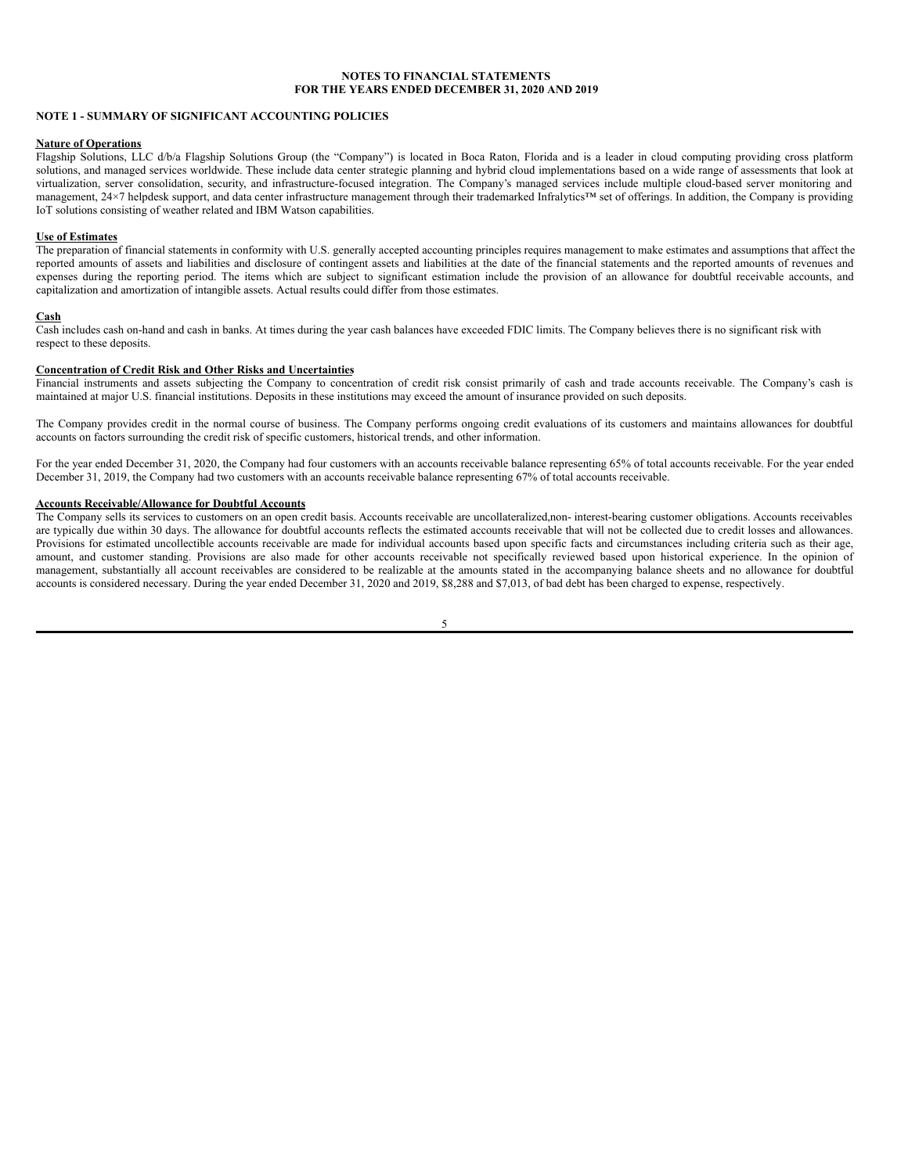# <span id="page-25-0"></span>**NOTE 1 - SUMMARY OF SIGNIFICANT ACCOUNTING POLICIES**

#### **Nature of Operations**

Flagship Solutions, LLC d/b/a Flagship Solutions Group (the "Company") is located in Boca Raton, Florida and is a leader in cloud computing providing cross platform solutions, and managed services worldwide. These include data center strategic planning and hybrid cloud implementations based on a wide range of assessments that look at virtualization, server consolidation, security, and infrastructure-focused integration. The Company's managed services include multiple cloud-based server monitoring and management, 24×7 helpdesk support, and data center infrastructure management through their trademarked Infralytics™ set of offerings. In addition, the Company is providing IoT solutions consisting of weather related and IBM Watson capabilities.

## **Use of Estimates**

The preparation of financial statements in conformity with U.S. generally accepted accounting principles requires management to make estimates and assumptions that affect the reported amounts of assets and liabilities and disclosure of contingent assets and liabilities at the date of the financial statements and the reported amounts of revenues and expenses during the reporting period. The items which are subject to significant estimation include the provision of an allowance for doubtful receivable accounts, and capitalization and amortization of intangible assets. Actual results could differ from those estimates.

#### **Cash**

Cash includes cash on-hand and cash in banks. At times during the year cash balances have exceeded FDIC limits. The Company believes there is no significant risk with respect to these deposits.

# **Concentration of Credit Risk and Other Risks and Uncertainties**

Financial instruments and assets subjecting the Company to concentration of credit risk consist primarily of cash and trade accounts receivable. The Company's cash is maintained at major U.S. financial institutions. Deposits in these institutions may exceed the amount of insurance provided on such deposits.

The Company provides credit in the normal course of business. The Company performs ongoing credit evaluations of its customers and maintains allowances for doubtful accounts on factors surrounding the credit risk of specific customers, historical trends, and other information.

For the year ended December 31, 2020, the Company had four customers with an accounts receivable balance representing 65% of total accounts receivable. For the year ended December 31, 2019, the Company had two customers with an accounts receivable balance representing 67% of total accounts receivable.

# **Accounts Receivable/Allowance for Doubtful Accounts**

The Company sells its services to customers on an open credit basis. Accounts receivable are uncollateralized,non- interest-bearing customer obligations. Accounts receivables are typically due within 30 days. The allowance for doubtful accounts reflects the estimated accounts receivable that will not be collected due to credit losses and allowances. Provisions for estimated uncollectible accounts receivable are made for individual accounts based upon specific facts and circumstances including criteria such as their age, amount, and customer standing. Provisions are also made for other accounts receivable not specifically reviewed based upon historical experience. In the opinion of management, substantially all account receivables are considered to be realizable at the amounts stated in the accompanying balance sheets and no allowance for doubtful accounts is considered necessary. During the year ended December 31, 2020 and 2019, \$8,288 and \$7,013, of bad debt has been charged to expense, respectively.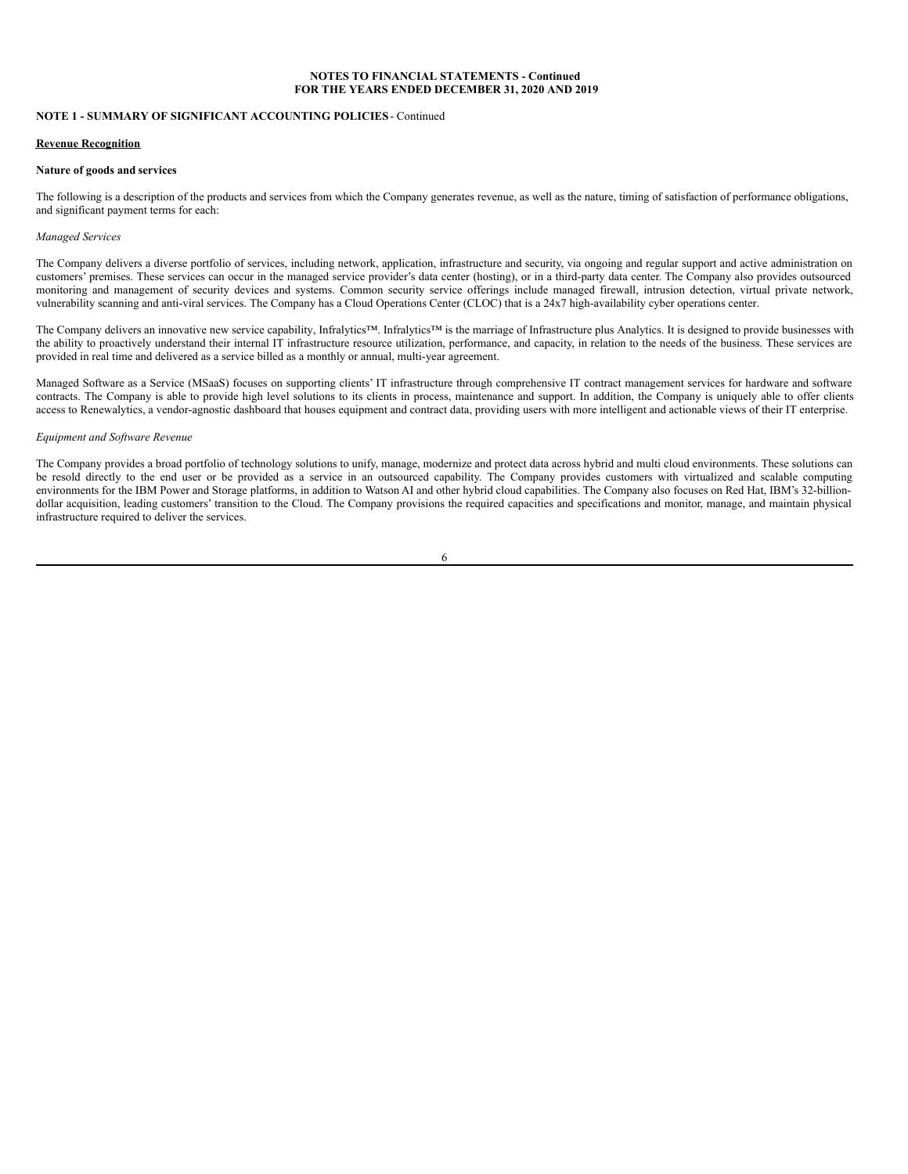# **NOTE 1 - SUMMARY OF SIGNIFICANT ACCOUNTING POLICIES**- Continued

## **Revenue Recognition**

### **Nature of goods and services**

The following is a description of the products and services from which the Company generates revenue, as well as the nature, timing of satisfaction of performance obligations, and significant payment terms for each:

## *Managed Services*

The Company delivers a diverse portfolio of services, including network, application, infrastructure and security, via ongoing and regular support and active administration on customers' premises. These services can occur in the managed service provider's data center (hosting), or in a third-party data center. The Company also provides outsourced monitoring and management of security devices and systems. Common security service offerings include managed firewall, intrusion detection, virtual private network, vulnerability scanning and anti-viral services. The Company has a Cloud Operations Center (CLOC) that is a 24x7 high-availability cyber operations center.

The Company delivers an innovative new service capability, Infralytics™. Infralytics™ is the marriage of Infrastructure plus Analytics. It is designed to provide businesses with the ability to proactively understand their internal IT infrastructure resource utilization, performance, and capacity, in relation to the needs of the business. These services are provided in real time and delivered as a service billed as a monthly or annual, multi-year agreement.

Managed Software as a Service (MSaaS) focuses on supporting clients' IT infrastructure through comprehensive IT contract management services for hardware and software contracts. The Company is able to provide high level solutions to its clients in process, maintenance and support. In addition, the Company is uniquely able to offer clients access to Renewalytics, a vendor-agnostic dashboard that houses equipment and contract data, providing users with more intelligent and actionable views of their IT enterprise.

#### *Equipment and Software Revenue*

The Company provides a broad portfolio of technology solutions to unify, manage, modernize and protect data across hybrid and multi cloud environments. These solutions can be resold directly to the end user or be provided as a service in an outsourced capability. The Company provides customers with virtualized and scalable computing environments for the IBM Power and Storage platforms, in addition to Watson AI and other hybrid cloud capabilities. The Company also focuses on Red Hat, IBM's 32-billiondollar acquisition, leading customers' transition to the Cloud. The Company provisions the required capacities and specifications and monitor, manage, and maintain physical infrastructure required to deliver the services.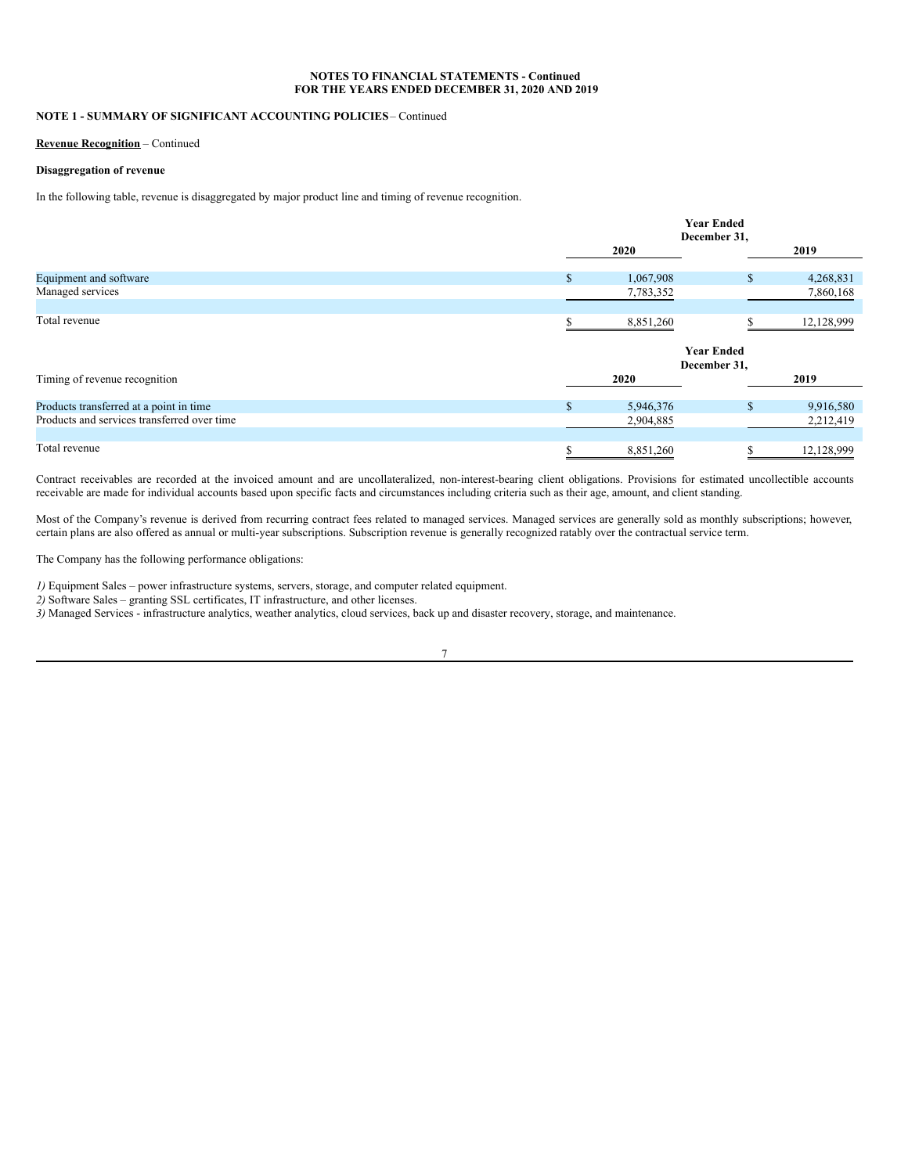# **NOTE 1 - SUMMARY OF SIGNIFICANT ACCOUNTING POLICIES**– Continued

#### **Revenue Recognition** – Continued

# **Disaggregation of revenue**

In the following table, revenue is disaggregated by major product line and timing of revenue recognition.

|                                             |               | <b>Year Ended</b><br>December 31, |            |  |  |
|---------------------------------------------|---------------|-----------------------------------|------------|--|--|
|                                             | 2020          |                                   |            |  |  |
| Equipment and software                      | <sup>\$</sup> | 1,067,908<br>\$                   | 4,268,831  |  |  |
| Managed services                            |               | 7,783,352                         | 7,860,168  |  |  |
| Total revenue                               |               | 8,851,260                         | 12,128,999 |  |  |
|                                             |               | <b>Year Ended</b><br>December 31, |            |  |  |
| Timing of revenue recognition               | 2020          |                                   | 2019       |  |  |
| Products transferred at a point in time     | $\mathbb{S}$  | \$<br>5,946,376                   | 9,916,580  |  |  |
| Products and services transferred over time |               | 2,904,885                         | 2,212,419  |  |  |
| Total revenue                               | \$            | 8,851,260<br>\$                   | 12,128,999 |  |  |

Contract receivables are recorded at the invoiced amount and are uncollateralized, non-interest-bearing client obligations. Provisions for estimated uncollectible accounts receivable are made for individual accounts based upon specific facts and circumstances including criteria such as their age, amount, and client standing.

Most of the Company's revenue is derived from recurring contract fees related to managed services. Managed services are generally sold as monthly subscriptions; however, certain plans are also offered as annual or multi-year subscriptions. Subscription revenue is generally recognized ratably over the contractual service term.

The Company has the following performance obligations:

*1)* Equipment Sales – power infrastructure systems, servers, storage, and computer related equipment.

*2)* Software Sales – granting SSL certificates, IT infrastructure, and other licenses.

*3)* Managed Services - infrastructure analytics, weather analytics, cloud services, back up and disaster recovery, storage, and maintenance.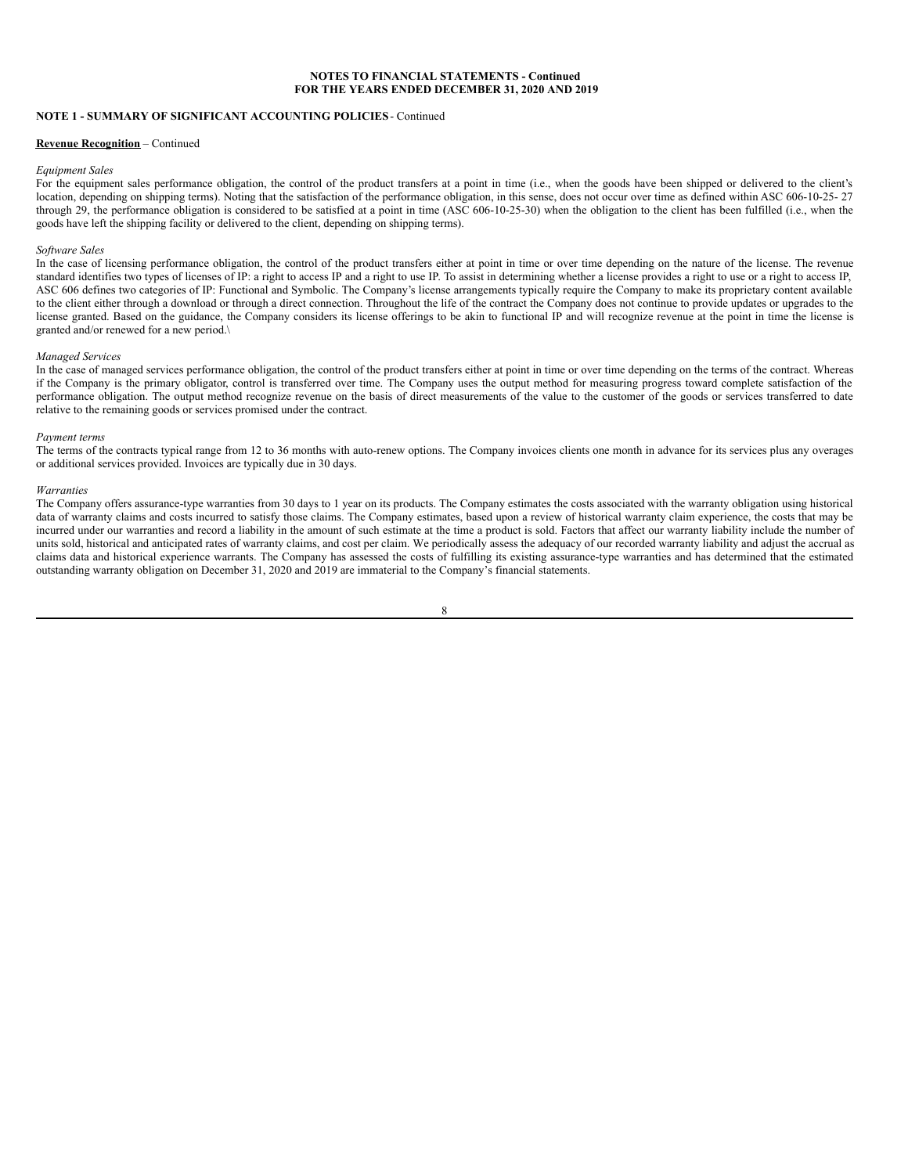# **NOTE 1 - SUMMARY OF SIGNIFICANT ACCOUNTING POLICIES**- Continued

#### **Revenue Recognition** – Continued

#### *Equipment Sales*

For the equipment sales performance obligation, the control of the product transfers at a point in time (i.e., when the goods have been shipped or delivered to the client's location, depending on shipping terms). Noting that the satisfaction of the performance obligation, in this sense, does not occur over time as defined within ASC 606-10-25- 27 through 29, the performance obligation is considered to be satisfied at a point in time (ASC 606-10-25-30) when the obligation to the client has been fulfilled (i.e., when the goods have left the shipping facility or delivered to the client, depending on shipping terms).

#### *Software Sales*

In the case of licensing performance obligation, the control of the product transfers either at point in time or over time depending on the nature of the license. The revenue standard identifies two types of licenses of IP: a right to access IP and a right to use IP. To assist in determining whether a license provides a right to use or a right to access IP, ASC 606 defines two categories of IP: Functional and Symbolic. The Company's license arrangements typically require the Company to make its proprietary content available to the client either through a download or through a direct connection. Throughout the life of the contract the Company does not continue to provide updates or upgrades to the license granted. Based on the guidance, the Company considers its license offerings to be akin to functional IP and will recognize revenue at the point in time the license is granted and/or renewed for a new period.\

#### *Managed Services*

In the case of managed services performance obligation, the control of the product transfers either at point in time or over time depending on the terms of the contract. Whereas if the Company is the primary obligator, control is transferred over time. The Company uses the output method for measuring progress toward complete satisfaction of the performance obligation. The output method recognize revenue on the basis of direct measurements of the value to the customer of the goods or services transferred to date relative to the remaining goods or services promised under the contract.

#### *Payment terms*

The terms of the contracts typical range from 12 to 36 months with auto-renew options. The Company invoices clients one month in advance for its services plus any overages or additional services provided. Invoices are typically due in 30 days.

#### *Warranties*

The Company offers assurance-type warranties from 30 days to 1 year on its products. The Company estimates the costs associated with the warranty obligation using historical data of warranty claims and costs incurred to satisfy those claims. The Company estimates, based upon a review of historical warranty claim experience, the costs that may be incurred under our warranties and record a liability in the amount of such estimate at the time a product is sold. Factors that affect our warranty liability include the number of units sold, historical and anticipated rates of warranty claims, and cost per claim. We periodically assess the adequacy of our recorded warranty liability and adjust the accrual as claims data and historical experience warrants. The Company has assessed the costs of fulfilling its existing assurance-type warranties and has determined that the estimated outstanding warranty obligation on December 31, 2020 and 2019 are immaterial to the Company's financial statements.

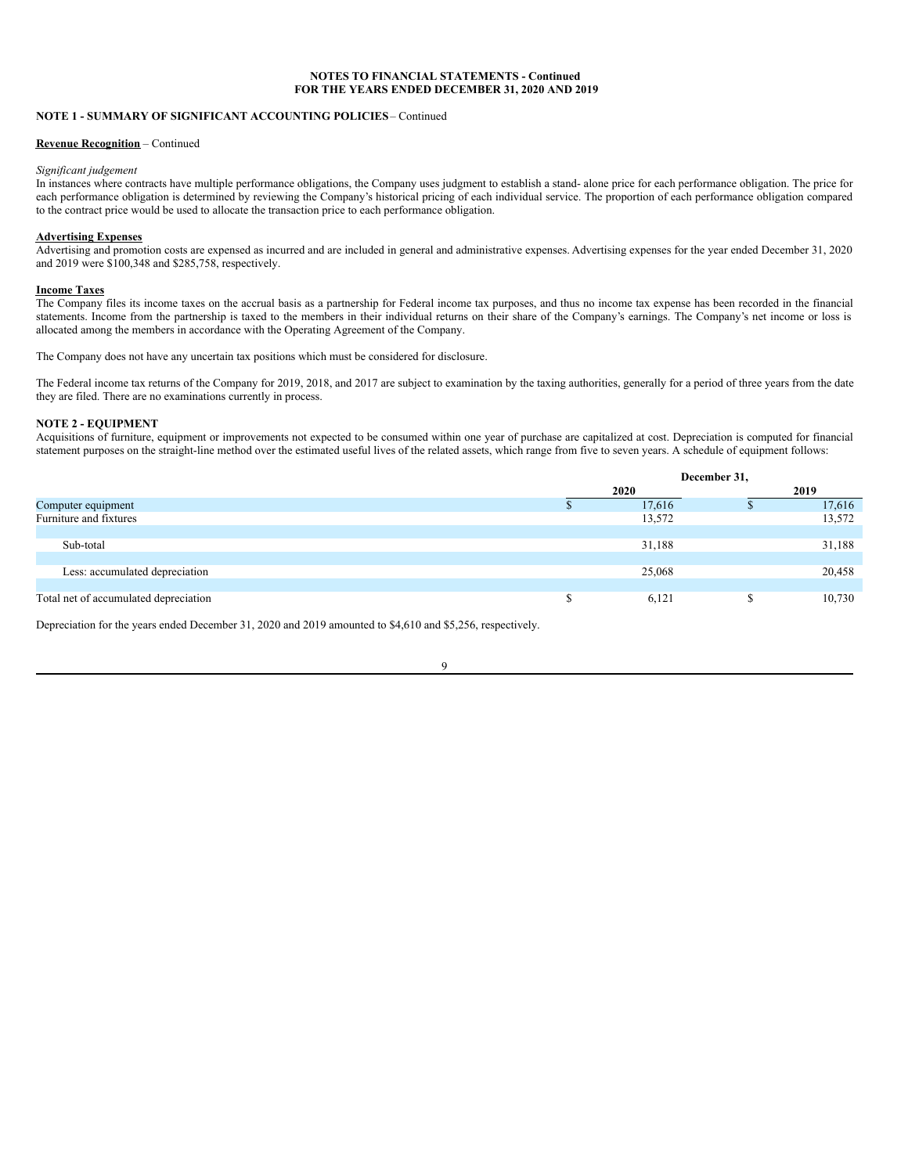# **NOTE 1 - SUMMARY OF SIGNIFICANT ACCOUNTING POLICIES**– Continued

#### **Revenue Recognition** – Continued

## *Significant judgement*

In instances where contracts have multiple performance obligations, the Company uses judgment to establish a stand- alone price for each performance obligation. The price for each performance obligation is determined by reviewing the Company's historical pricing of each individual service. The proportion of each performance obligation compared to the contract price would be used to allocate the transaction price to each performance obligation.

## **Advertising Expenses**

Advertising and promotion costs are expensed as incurred and are included in general and administrative expenses. Advertising expenses for the year ended December 31, 2020 and 2019 were \$100,348 and \$285,758, respectively.

#### **Income Taxes**

The Company files its income taxes on the accrual basis as a partnership for Federal income tax purposes, and thus no income tax expense has been recorded in the financial statements. Income from the partnership is taxed to the members in their individual returns on their share of the Company's earnings. The Company's net income or loss is allocated among the members in accordance with the Operating Agreement of the Company.

The Company does not have any uncertain tax positions which must be considered for disclosure.

The Federal income tax returns of the Company for 2019, 2018, and 2017 are subject to examination by the taxing authorities, generally for a period of three years from the date they are filed. There are no examinations currently in process.

# **NOTE 2 - EQUIPMENT**

Acquisitions of furniture, equipment or improvements not expected to be consumed within one year of purchase are capitalized at cost. Depreciation is computed for financial statement purposes on the straight-line method over the estimated useful lives of the related assets, which range from five to seven years. A schedule of equipment follows:

|                                       |   | December 31, |  |        |  |
|---------------------------------------|---|--------------|--|--------|--|
|                                       |   | 2020         |  | 2019   |  |
| Computer equipment                    |   | 17,616       |  | 17,616 |  |
| Furniture and fixtures                |   | 13,572       |  | 13,572 |  |
|                                       |   |              |  |        |  |
| Sub-total                             |   | 31,188       |  | 31,188 |  |
|                                       |   |              |  |        |  |
| Less: accumulated depreciation        |   | 25,068       |  | 20,458 |  |
|                                       |   |              |  |        |  |
| Total net of accumulated depreciation | ъ | 6,121        |  | 10,730 |  |

9

Depreciation for the years ended December 31, 2020 and 2019 amounted to \$4,610 and \$5,256, respectively.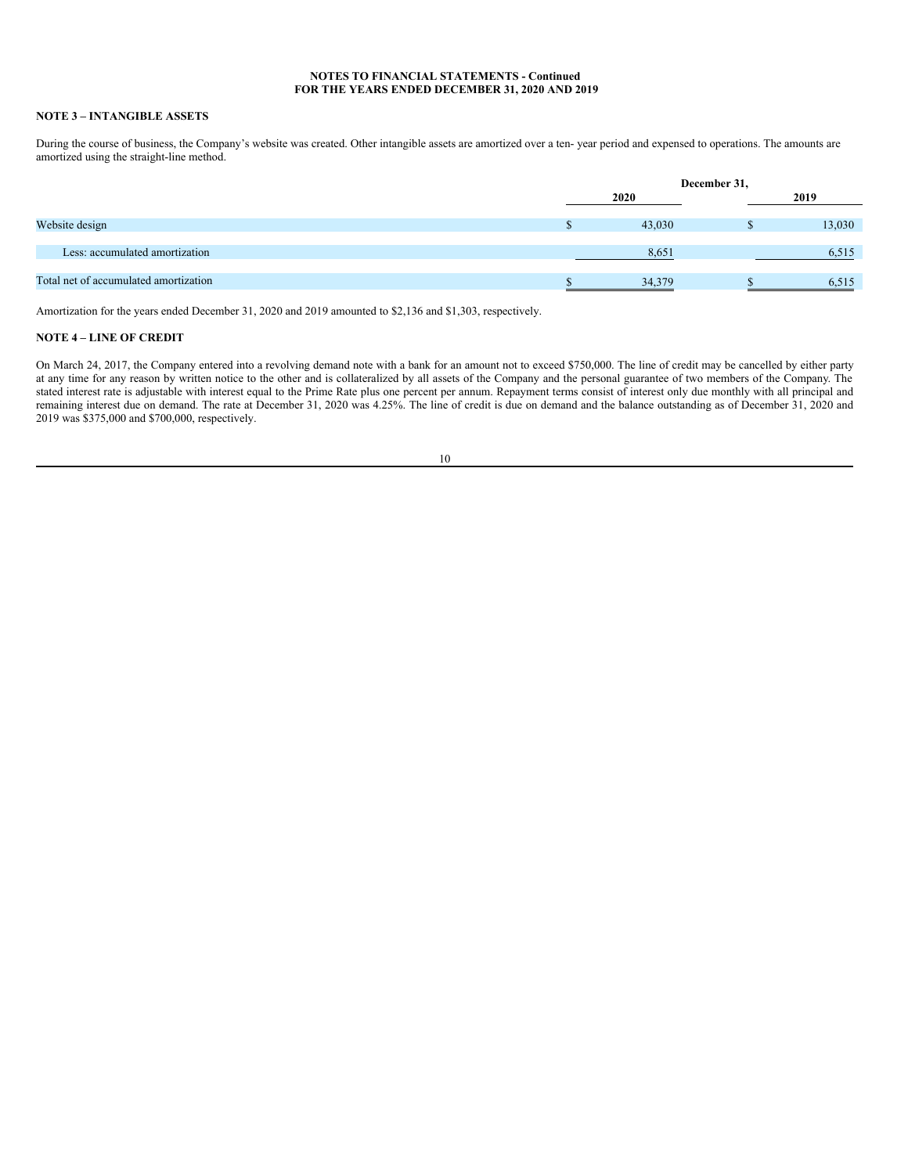# **NOTE 3 – INTANGIBLE ASSETS**

During the course of business, the Company's website was created. Other intangible assets are amortized over a ten- year period and expensed to operations. The amounts are amortized using the straight-line method.

|                                       | December 31, |  |        |  |  |
|---------------------------------------|--------------|--|--------|--|--|
|                                       | 2020         |  | 2019   |  |  |
| Website design                        | 43,030       |  | 13,030 |  |  |
| Less: accumulated amortization        | 8,651        |  | 6,515  |  |  |
| Total net of accumulated amortization | 34,379       |  | 6.515  |  |  |

Amortization for the years ended December 31, 2020 and 2019 amounted to \$2,136 and \$1,303, respectively.

# **NOTE 4 – LINE OF CREDIT**

On March 24, 2017, the Company entered into a revolving demand note with a bank for an amount not to exceed \$750,000. The line of credit may be cancelled by either party at any time for any reason by written notice to the other and is collateralized by all assets of the Company and the personal guarantee of two members of the Company. The stated interest rate is adjustable with interest equal to the Prime Rate plus one percent per annum. Repayment terms consist of interest only due monthly with all principal and remaining interest due on demand. The rate at December 31, 2020 was 4.25%. The line of credit is due on demand and the balance outstanding as of December 31, 2020 and 2019 was \$375,000 and \$700,000, respectively.

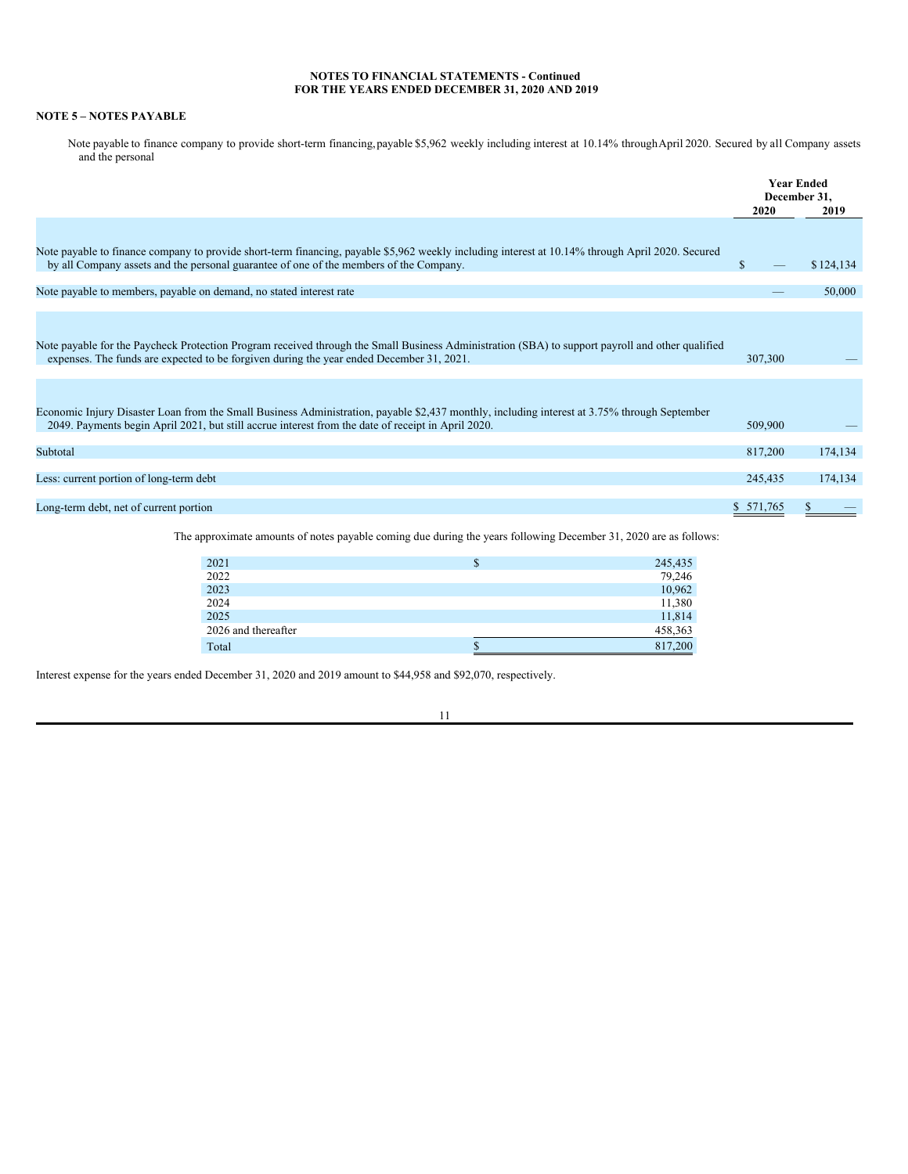# **NOTE 5 – NOTES PAYABLE**

Note payable to finance company to provide short-term financing,payable \$5,962 weekly including interest at 10.14% throughApril 2020. Secured by all Company assets and the personal

|                                                                                                                                                                                                                                                    | 2020    | <b>Year Ended</b><br>December 31,<br>2019 |
|----------------------------------------------------------------------------------------------------------------------------------------------------------------------------------------------------------------------------------------------------|---------|-------------------------------------------|
|                                                                                                                                                                                                                                                    |         |                                           |
| Note payable to finance company to provide short-term financing, payable \$5,962 weekly including interest at 10.14% through April 2020. Secured<br>by all Company assets and the personal guarantee of one of the members of the Company.         | S.      | \$124,134                                 |
| Note payable to members, payable on demand, no stated interest rate                                                                                                                                                                                |         | 50,000                                    |
| Note payable for the Paycheck Protection Program received through the Small Business Administration (SBA) to support payroll and other qualified<br>expenses. The funds are expected to be forgiven during the year ended December 31, 2021.       | 307,300 |                                           |
|                                                                                                                                                                                                                                                    |         |                                           |
| Economic Injury Disaster Loan from the Small Business Administration, payable \$2,437 monthly, including interest at 3.75% through September<br>2049. Payments begin April 2021, but still accrue interest from the date of receipt in April 2020. | 509,900 |                                           |
| Subtotal                                                                                                                                                                                                                                           | 817,200 | 174,134                                   |
| Less: current portion of long-term debt                                                                                                                                                                                                            | 245,435 | 174,134                                   |
| Long-term debt, net of current portion                                                                                                                                                                                                             | 571.765 |                                           |

The approximate amounts of notes payable coming due during the years following December 31, 2020 are as follows:

| 2021                | ъ | 245,435 |
|---------------------|---|---------|
| 2022                |   | 79,246  |
| 2023                |   | 10,962  |
| 2024                |   | 11,380  |
| 2025                |   | 11,814  |
| 2026 and thereafter |   | 458,363 |
| Total               |   | 817,200 |

Interest expense for the years ended December 31, 2020 and 2019 amount to \$44,958 and \$92,070, respectively.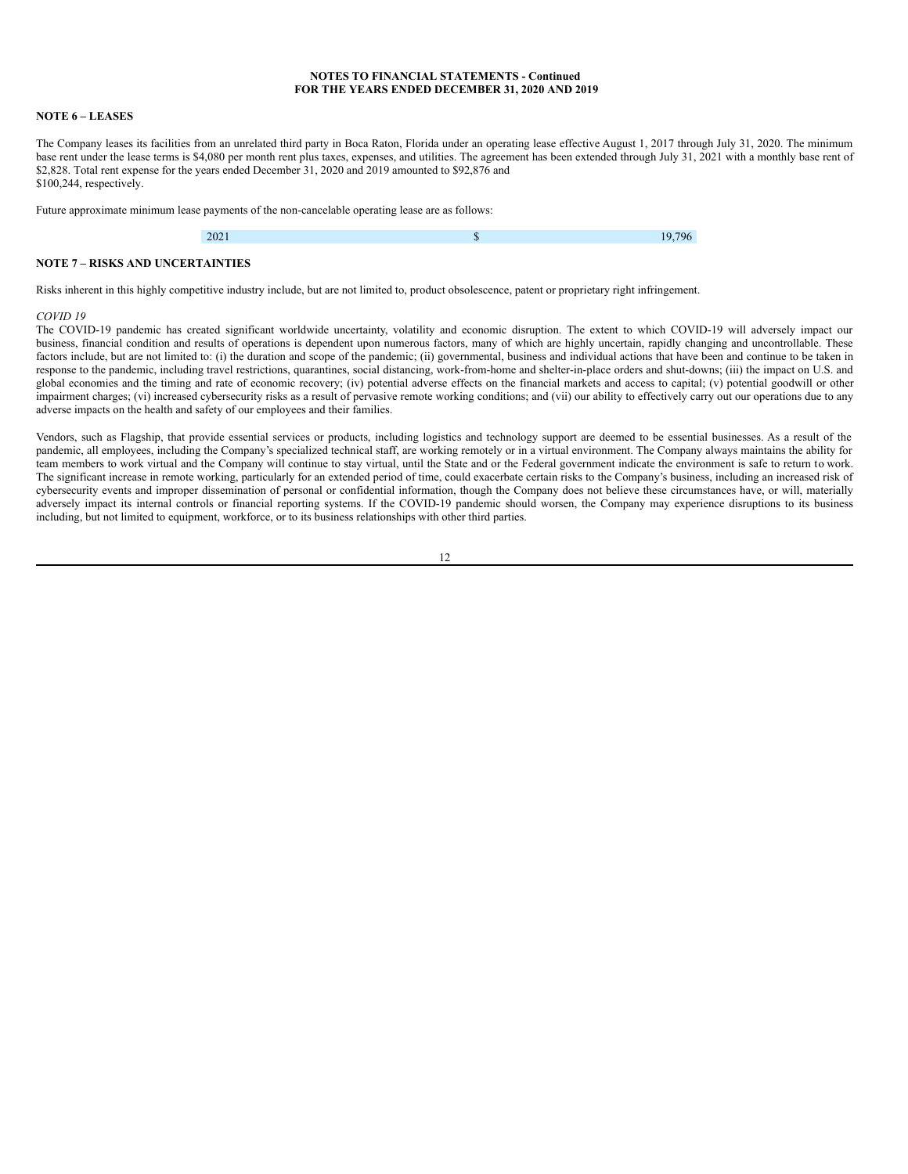### **NOTE 6 – LEASES**

The Company leases its facilities from an unrelated third party in Boca Raton, Florida under an operating lease effective August 1, 2017 through July 31, 2020. The minimum base rent under the lease terms is \$4,080 per month rent plus taxes, expenses, and utilities. The agreement has been extended through July 31, 2021 with a monthly base rent of \$2,828. Total rent expense for the years ended December 31, 2020 and 2019 amounted to \$92,876 and \$100,244, respectively.

Future approximate minimum lease payments of the non-cancelable operating lease are as follows:

# **NOTE 7 – RISKS AND UNCERTAINTIES**

Risks inherent in this highly competitive industry include, but are not limited to, product obsolescence, patent or proprietary right infringement.

#### *COVID 19*

The COVID-19 pandemic has created significant worldwide uncertainty, volatility and economic disruption. The extent to which COVID-19 will adversely impact our business, financial condition and results of operations is dependent upon numerous factors, many of which are highly uncertain, rapidly changing and uncontrollable. These factors include, but are not limited to: (i) the duration and scope of the pandemic; (ii) governmental, business and individual actions that have been and continue to be taken in response to the pandemic, including travel restrictions, quarantines, social distancing, work-from-home and shelter-in-place orders and shut-downs; (iii) the impact on U.S. and global economies and the timing and rate of economic recovery; (iv) potential adverse effects on the financial markets and access to capital; (v) potential goodwill or other impairment charges; (vi) increased cybersecurity risks as a result of pervasive remote working conditions; and (vii) our ability to effectively carry out our operations due to any adverse impacts on the health and safety of our employees and their families.

Vendors, such as Flagship, that provide essential services or products, including logistics and technology support are deemed to be essential businesses. As a result of the pandemic, all employees, including the Company's specialized technical staff, are working remotely or in a virtual environment. The Company always maintains the ability for team members to work virtual and the Company will continue to stay virtual, until the State and or the Federal government indicate the environment is safe to return to work. The significant increase in remote working, particularly for an extended period of time, could exacerbate certain risks to the Company's business, including an increased risk of cybersecurity events and improper dissemination of personal or confidential information, though the Company does not believe these circumstances have, or will, materially adversely impact its internal controls or financial reporting systems. If the COVID-19 pandemic should worsen, the Company may experience disruptions to its business including, but not limited to equipment, workforce, or to its business relationships with other third parties.

|  | v |
|--|---|
|  |   |
|  |   |
|  |   |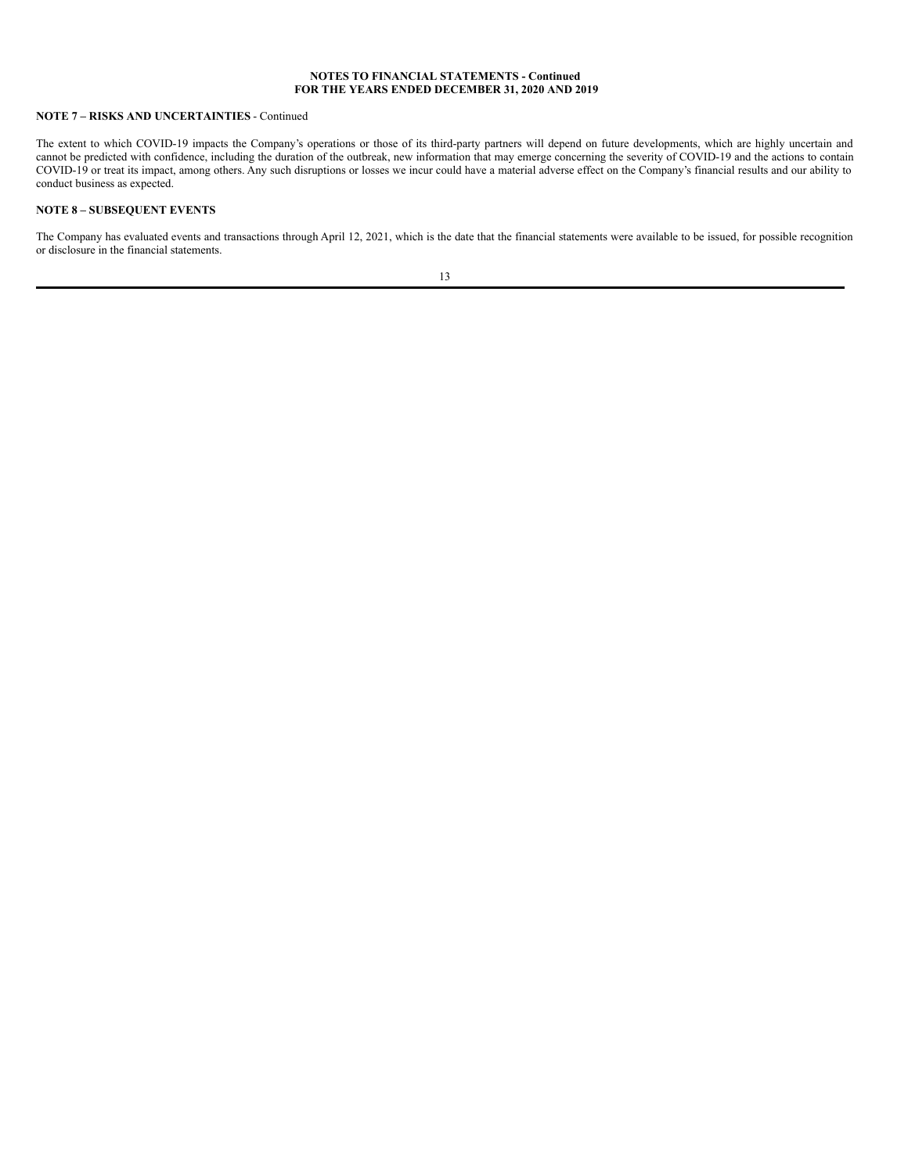# **NOTE 7 – RISKS AND UNCERTAINTIES** - Continued

The extent to which COVID-19 impacts the Company's operations or those of its third-party partners will depend on future developments, which are highly uncertain and cannot be predicted with confidence, including the duration of the outbreak, new information that may emerge concerning the severity of COVID-19 and the actions to contain COVID-19 or treat its impact, among others. Any such disruptions or losses we incur could have a material adverse effect on the Company's financial results and our ability to conduct business as expected.

# **NOTE 8 – SUBSEQUENT EVENTS**

The Company has evaluated events and transactions through April 12, 2021, which is the date that the financial statements were available to be issued, for possible recognition or disclosure in the financial statements.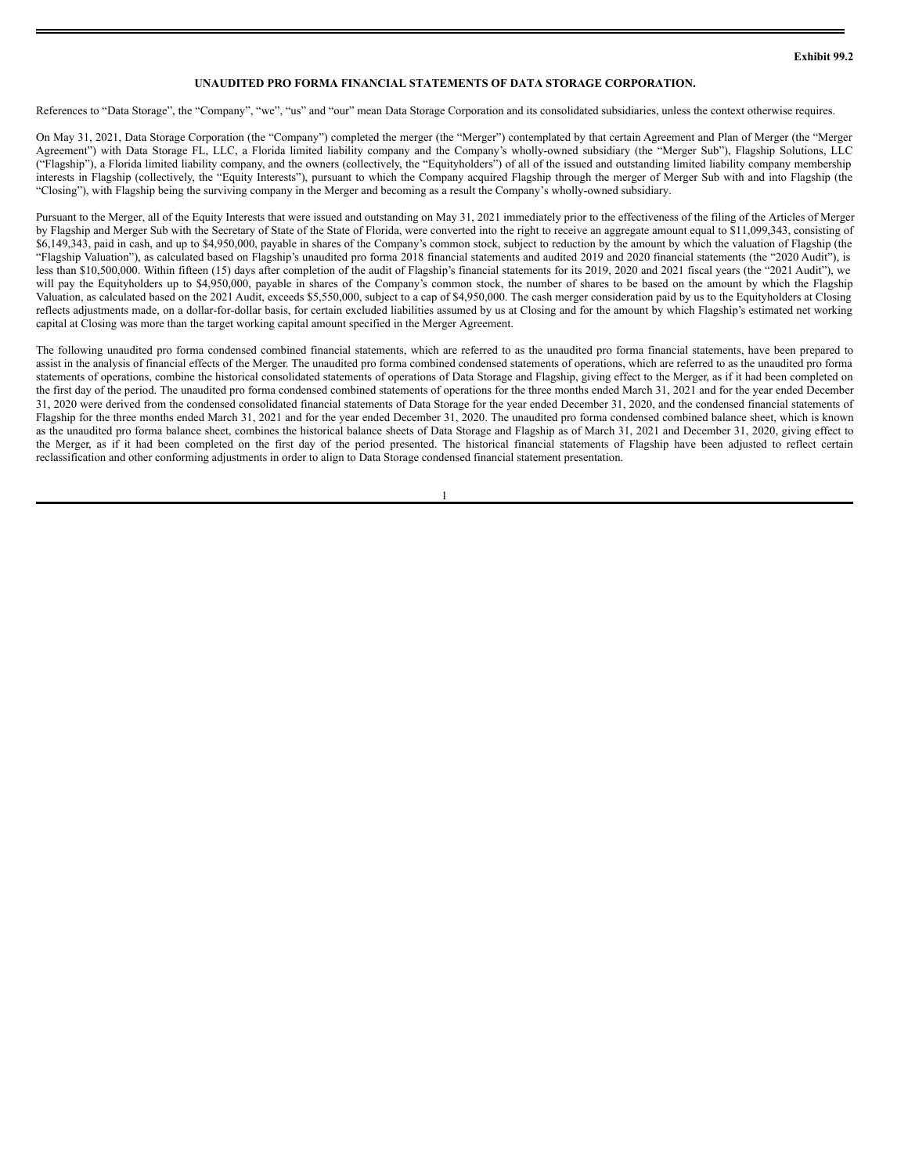# **UNAUDITED PRO FORMA FINANCIAL STATEMENTS OF DATA STORAGE CORPORATION.**

References to "Data Storage", the "Company", "we", "us" and "our" mean Data Storage Corporation and its consolidated subsidiaries, unless the context otherwise requires.

On May 31, 2021, Data Storage Corporation (the "Company") completed the merger (the "Merger") contemplated by that certain Agreement and Plan of Merger (the "Merger Agreement") with Data Storage FL, LLC, a Florida limited liability company and the Company's wholly-owned subsidiary (the "Merger Sub"), Flagship Solutions, LLC ("Flagship"), a Florida limited liability company, and the owners (collectively, the "Equityholders") of all of the issued and outstanding limited liability company membership interests in Flagship (collectively, the "Equity Interests"), pursuant to which the Company acquired Flagship through the merger of Merger Sub with and into Flagship (the "Closing"), with Flagship being the surviving company in the Merger and becoming as a result the Company's wholly-owned subsidiary.

Pursuant to the Merger, all of the Equity Interests that were issued and outstanding on May 31, 2021 immediately prior to the effectiveness of the filing of the Articles of Merger by Flagship and Merger Sub with the Secretary of State of the State of Florida, were converted into the right to receive an aggregate amount equal to \$11,099,343, consisting of \$6,149,343, paid in cash, and up to \$4,950,000, payable in shares of the Company's common stock, subject to reduction by the amount by which the valuation of Flagship (the "Flagship Valuation"), as calculated based on Flagship's unaudited pro forma 2018 financial statements and audited 2019 and 2020 financial statements (the "2020 Audit"), is less than \$10,500,000. Within fifteen (15) days after completion of the audit of Flagship's financial statements for its 2019, 2020 and 2021 fiscal years (the "2021 Audit"), we will pay the Equityholders up to \$4,950,000, payable in shares of the Company's common stock, the number of shares to be based on the amount by which the Flagship Valuation, as calculated based on the 2021 Audit, exceeds \$5,550,000, subject to a cap of \$4,950,000. The cash merger consideration paid by us to the Equityholders at Closing reflects adjustments made, on a dollar-for-dollar basis, for certain excluded liabilities assumed by us at Closing and for the amount by which Flagship's estimated net working capital at Closing was more than the target working capital amount specified in the Merger Agreement.

The following unaudited pro forma condensed combined financial statements, which are referred to as the unaudited pro forma financial statements, have been prepared to assist in the analysis of financial effects of the Merger. The unaudited pro forma combined condensed statements of operations, which are referred to as the unaudited pro forma statements of operations, combine the historical consolidated statements of operations of Data Storage and Flagship, giving effect to the Merger, as if it had been completed on the first day of the period. The unaudited pro forma condensed combined statements of operations for the three months ended March 31, 2021 and for the year ended December 31, 2020 were derived from the condensed consolidated financial statements of Data Storage for the year ended December 31, 2020, and the condensed financial statements of Flagship for the three months ended March 31, 2021 and for the year ended December 31, 2020. The unaudited pro forma condensed combined balance sheet, which is known as the unaudited pro forma balance sheet, combines the historical balance sheets of Data Storage and Flagship as of March 31, 2021 and December 31, 2020, giving effect to the Merger, as if it had been completed on the first day of the period presented. The historical financial statements of Flagship have been adjusted to reflect certain reclassification and other conforming adjustments in order to align to Data Storage condensed financial statement presentation.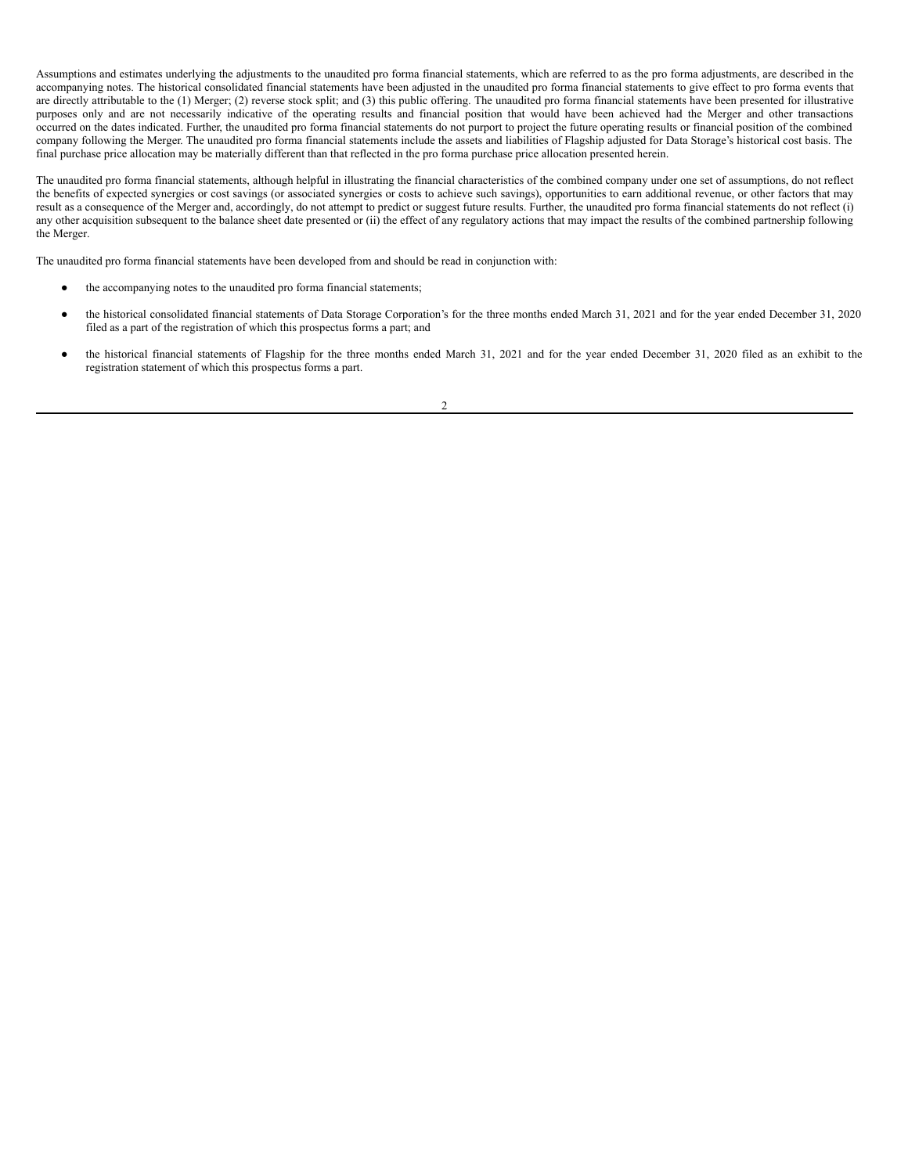Assumptions and estimates underlying the adjustments to the unaudited pro forma financial statements, which are referred to as the pro forma adjustments, are described in the accompanying notes. The historical consolidated financial statements have been adjusted in the unaudited pro forma financial statements to give effect to pro forma events that are directly attributable to the (1) Merger; (2) reverse stock split; and (3) this public offering. The unaudited pro forma financial statements have been presented for illustrative purposes only and are not necessarily indicative of the operating results and financial position that would have been achieved had the Merger and other transactions occurred on the dates indicated. Further, the unaudited pro forma financial statements do not purport to project the future operating results or financial position of the combined company following the Merger. The unaudited pro forma financial statements include the assets and liabilities of Flagship adjusted for Data Storage's historical cost basis. The final purchase price allocation may be materially different than that reflected in the pro forma purchase price allocation presented herein.

The unaudited pro forma financial statements, although helpful in illustrating the financial characteristics of the combined company under one set of assumptions, do not reflect the benefits of expected synergies or cost savings (or associated synergies or costs to achieve such savings), opportunities to earn additional revenue, or other factors that may result as a consequence of the Merger and, accordingly, do not attempt to predict or suggest future results. Further, the unaudited pro forma financial statements do not reflect (i) any other acquisition subsequent to the balance sheet date presented or (ii) the effect of any regulatory actions that may impact the results of the combined partnership following the Merger.

The unaudited pro forma financial statements have been developed from and should be read in conjunction with:

- the accompanying notes to the unaudited pro forma financial statements;
- the historical consolidated financial statements of Data Storage Corporation's for the three months ended March 31, 2021 and for the year ended December 31, 2020 filed as a part of the registration of which this prospectus forms a part; and
- the historical financial statements of Flagship for the three months ended March 31, 2021 and for the year ended December 31, 2020 filed as an exhibit to the registration statement of which this prospectus forms a part.

 $\overline{\phantom{a}}$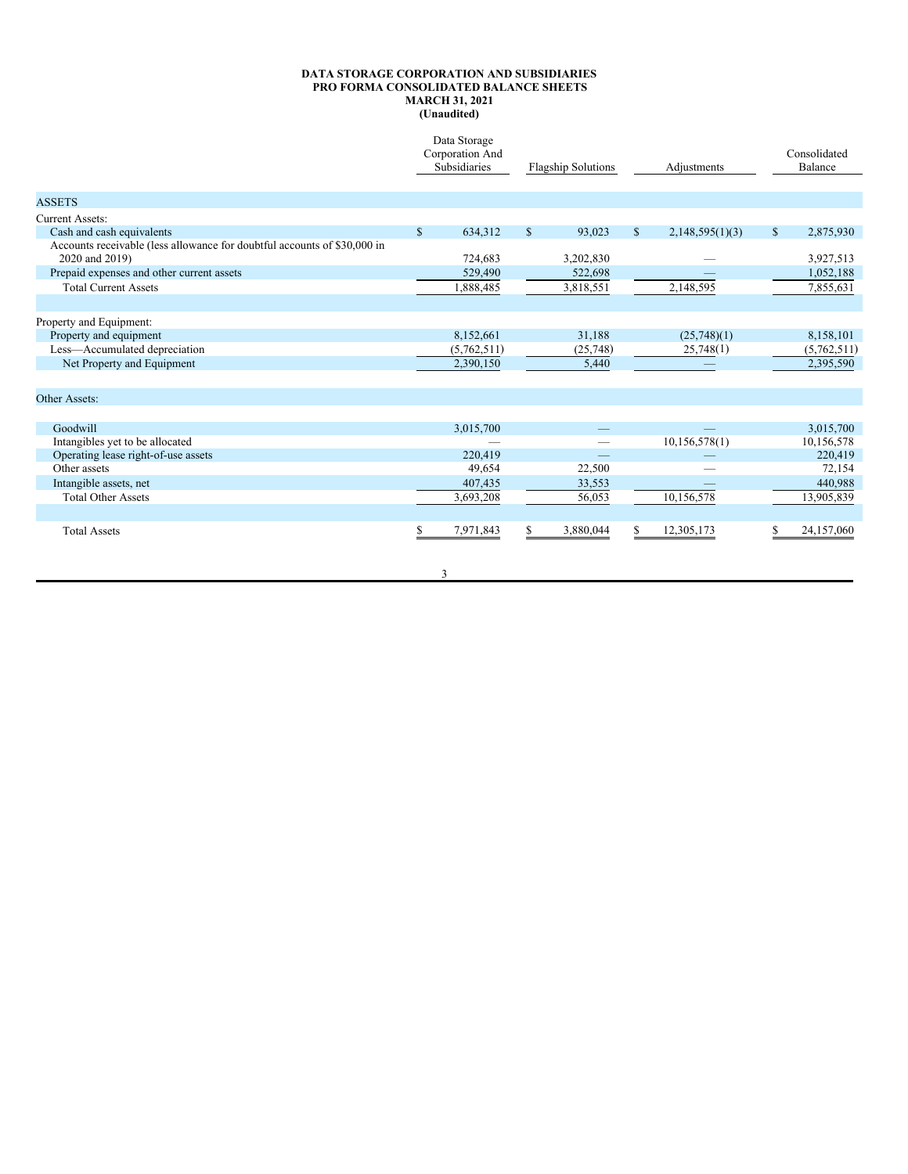#### **DATA STORAGE CORPORATION AND SUBSIDIARIES PRO FORMA CONSOLIDATED BALANCE SHEETS MARCH 31, 2021 (Unaudited)**

|                                                                                            |              | Data Storage<br>Corporation And<br>Subsidiaries | <b>Flagship Solutions</b><br>Adjustments |           |              | Consolidated<br>Balance |    |             |
|--------------------------------------------------------------------------------------------|--------------|-------------------------------------------------|------------------------------------------|-----------|--------------|-------------------------|----|-------------|
| <b>ASSETS</b>                                                                              |              |                                                 |                                          |           |              |                         |    |             |
| Current Assets:                                                                            |              |                                                 |                                          |           |              |                         |    |             |
| Cash and cash equivalents                                                                  | $\mathbb{S}$ | 634,312                                         | $\mathbb{S}$                             | 93,023    | $\mathbb{S}$ | 2,148,595(1)(3)         | \$ | 2,875,930   |
| Accounts receivable (less allowance for doubtful accounts of \$30,000 in<br>2020 and 2019) |              | 724,683                                         |                                          | 3,202,830 |              |                         |    | 3,927,513   |
| Prepaid expenses and other current assets                                                  |              | 529,490                                         |                                          | 522,698   |              |                         |    | 1,052,188   |
| <b>Total Current Assets</b>                                                                |              | 1,888,485                                       |                                          | 3,818,551 |              | 2,148,595               |    | 7,855,631   |
|                                                                                            |              |                                                 |                                          |           |              |                         |    |             |
| Property and Equipment:                                                                    |              |                                                 |                                          |           |              |                         |    |             |
| Property and equipment                                                                     |              | 8,152,661                                       |                                          | 31,188    |              | (25,748)(1)             |    | 8,158,101   |
| Less-Accumulated depreciation                                                              |              | (5,762,511)                                     |                                          | (25, 748) |              | 25,748(1)               |    | (5,762,511) |
| Net Property and Equipment                                                                 |              | 2,390,150                                       |                                          | 5,440     |              |                         |    | 2,395,590   |
|                                                                                            |              |                                                 |                                          |           |              |                         |    |             |
| Other Assets:                                                                              |              |                                                 |                                          |           |              |                         |    |             |
|                                                                                            |              |                                                 |                                          |           |              |                         |    |             |
| Goodwill                                                                                   |              | 3,015,700                                       |                                          |           |              |                         |    | 3,015,700   |
| Intangibles yet to be allocated                                                            |              |                                                 |                                          |           |              | 10,156,578(1)           |    | 10,156,578  |
| Operating lease right-of-use assets                                                        |              | 220,419                                         |                                          |           |              |                         |    | 220,419     |
| Other assets                                                                               |              | 49,654                                          |                                          | 22,500    |              |                         |    | 72,154      |
| Intangible assets, net                                                                     |              | 407,435                                         |                                          | 33,553    |              |                         |    | 440,988     |
| <b>Total Other Assets</b>                                                                  |              | 3,693,208                                       |                                          | 56,053    |              | 10,156,578              |    | 13,905,839  |
|                                                                                            |              |                                                 |                                          |           |              |                         |    |             |

3

Total Assets 6 12,305,173 5 24,157,060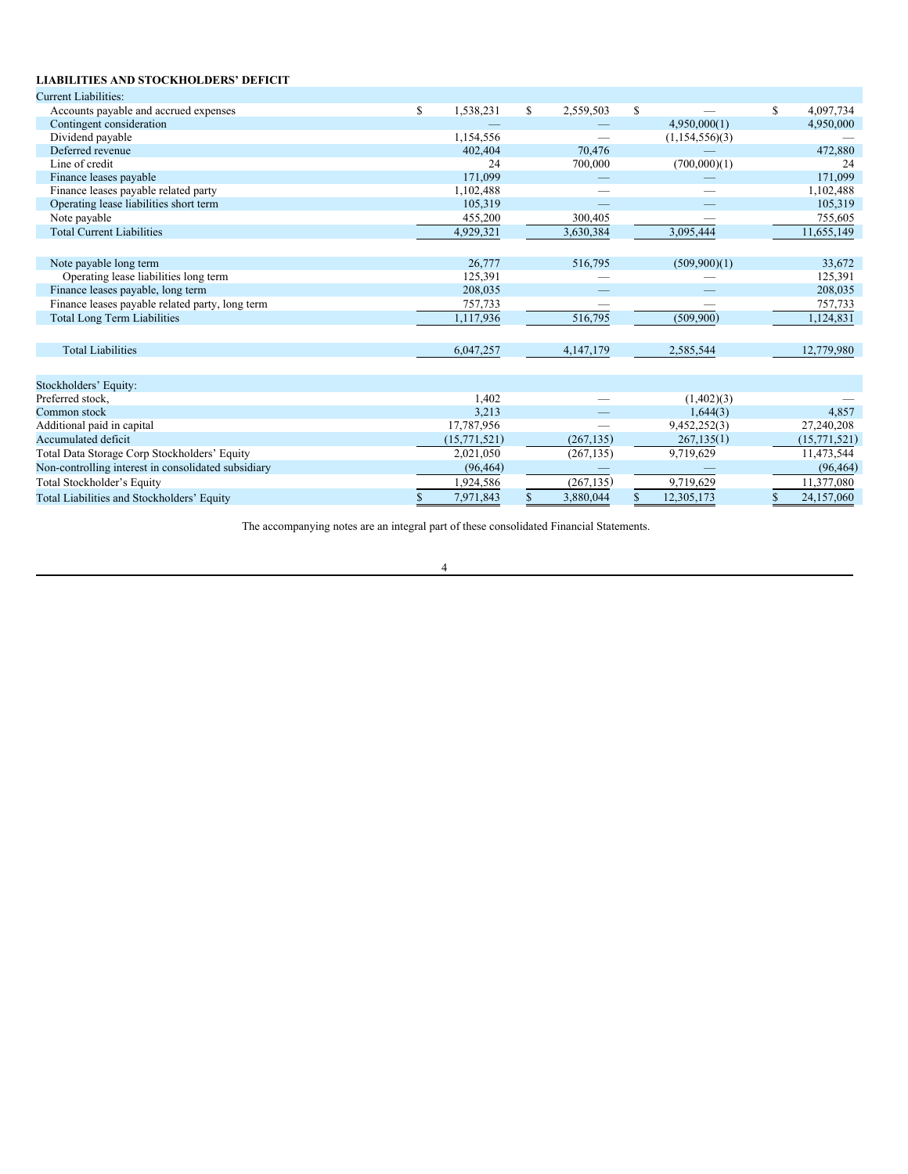# **LIABILITIES AND STOCKHOLDERS' DEFICIT**

| <b>Current Liabilities:</b>                         |                 |               |            |                |                  |
|-----------------------------------------------------|-----------------|---------------|------------|----------------|------------------|
| Accounts payable and accrued expenses               | \$<br>1,538,231 | \$            | 2,559,503  | \$             | \$<br>4,097,734  |
| Contingent consideration                            |                 |               |            | 4,950,000(1)   | 4,950,000        |
| Dividend payable                                    | 1,154,556       |               |            | (1,154,556)(3) |                  |
| Deferred revenue                                    | 402,404         |               | 70,476     |                | 472,880          |
| Line of credit                                      | 24              |               | 700,000    | (700,000)(1)   | 24               |
| Finance leases payable                              | 171,099         |               |            |                | 171.099          |
| Finance leases payable related party                | 1,102,488       |               |            |                | 1,102,488        |
| Operating lease liabilities short term              | 105,319         |               |            |                | 105,319          |
| Note payable                                        | 455,200         |               | 300,405    |                | 755,605          |
| <b>Total Current Liabilities</b>                    | 4,929,321       |               | 3,630,384  | 3,095,444      | 11,655,149       |
|                                                     |                 |               |            |                |                  |
| Note payable long term                              | 26,777          |               | 516,795    | (509,900)(1)   | 33,672           |
| Operating lease liabilities long term               | 125,391         |               |            |                | 125,391          |
| Finance leases payable, long term                   | 208,035         |               |            |                | 208,035          |
| Finance leases payable related party, long term     | 757,733         |               |            |                | 757,733          |
| <b>Total Long Term Liabilities</b>                  | 1,117,936       |               | 516,795    | (509,900)      | 1,124,831        |
|                                                     |                 |               |            |                |                  |
| <b>Total Liabilities</b>                            | 6,047,257       |               | 4,147,179  | 2,585,544      | 12,779,980       |
|                                                     |                 |               |            |                |                  |
| Stockholders' Equity:                               |                 |               |            |                |                  |
| Preferred stock.                                    | 1.402           |               |            | (1,402)(3)     |                  |
| Common stock                                        | 3,213           |               |            | 1,644(3)       | 4,857            |
| Additional paid in capital                          | 17,787,956      |               |            | 9,452,252(3)   | 27,240,208       |
| Accumulated deficit                                 | (15, 771, 521)  |               | (267.135)  | 267,135(1)     | (15,771,521)     |
| Total Data Storage Corp Stockholders' Equity        | 2,021,050       |               | (267, 135) | 9,719,629      | 11,473,544       |
| Non-controlling interest in consolidated subsidiary | (96, 464)       |               |            |                | (96, 464)        |
| Total Stockholder's Equity                          | 1,924,586       |               | (267, 135) | 9,719,629      | 11,377,080       |
| Total Liabilities and Stockholders' Equity          | 7,971,843       | <sup>\$</sup> | 3,880,044  | 12,305,173     | \$<br>24,157,060 |
|                                                     |                 |               |            |                |                  |

The accompanying notes are an integral part of these consolidated Financial Statements.

# 4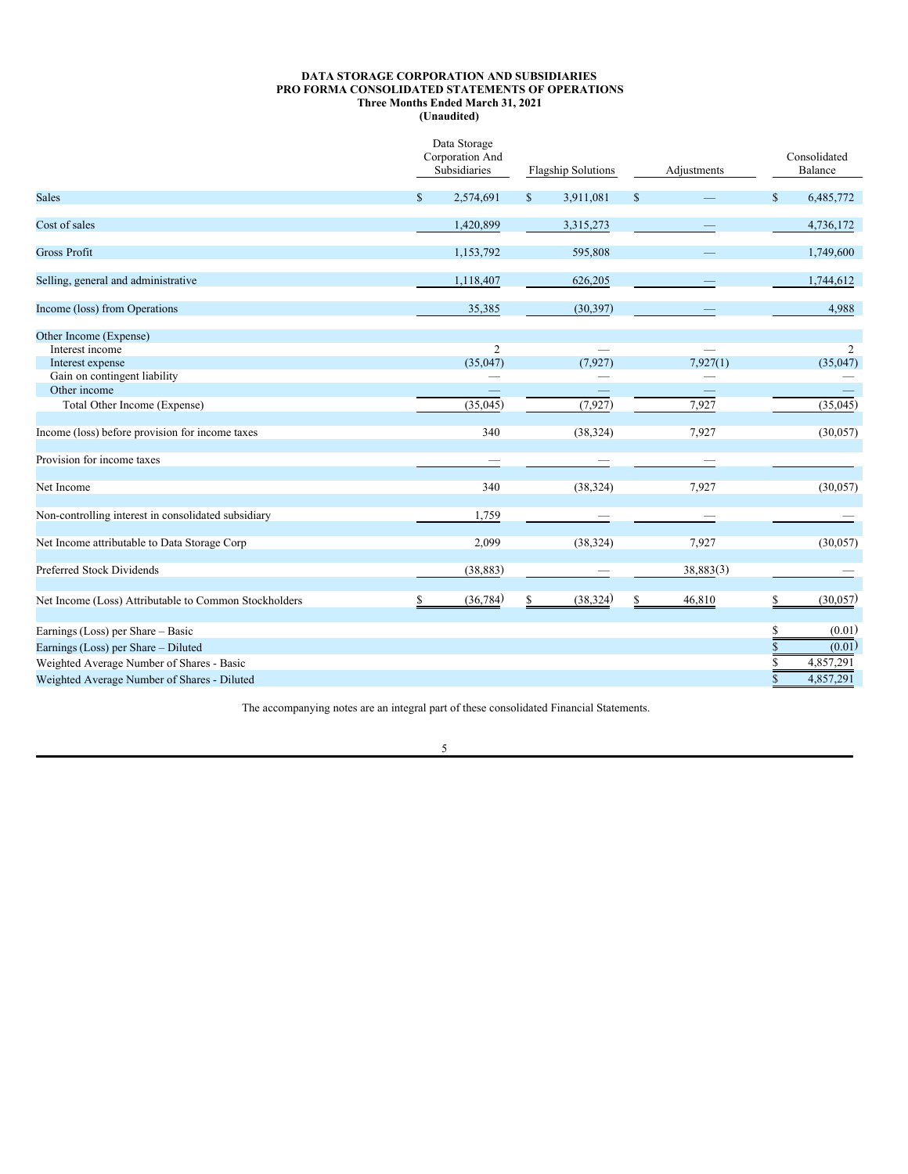#### <span id="page-38-0"></span>**DATA STORAGE CORPORATION AND SUBSIDIARIES PRO FORMA CONSOLIDATED STATEMENTS OF OPERATIONS Three Months Ended March 31, 2021 (Unaudited)**

|                                                       | Data Storage<br>Corporation And<br>Subsidiaries |              | <b>Flagship Solutions</b> |              | Adjustments |              | Consolidated<br>Balance |
|-------------------------------------------------------|-------------------------------------------------|--------------|---------------------------|--------------|-------------|--------------|-------------------------|
| <b>Sales</b>                                          | \$<br>2,574,691                                 | $\mathbb{S}$ | 3,911,081                 | $\mathbb{S}$ |             | $\mathbb{S}$ | 6,485,772               |
| Cost of sales                                         | 1,420,899                                       |              | 3,315,273                 |              |             |              | 4,736,172               |
| Gross Profit                                          | 1,153,792                                       |              | 595,808                   |              |             |              | 1,749,600               |
| Selling, general and administrative                   | 1,118,407                                       |              | 626,205                   |              |             |              | 1,744,612               |
| Income (loss) from Operations                         | 35,385                                          |              | (30, 397)                 |              |             |              | 4,988                   |
| Other Income (Expense)                                |                                                 |              |                           |              |             |              |                         |
| Interest income                                       | $\overline{2}$                                  |              |                           |              |             |              | 2                       |
| Interest expense                                      | (35,047)                                        |              | (7, 927)                  |              | 7,927(1)    |              | (35,047)                |
| Gain on contingent liability                          |                                                 |              |                           |              |             |              |                         |
| Other income                                          |                                                 |              |                           |              |             |              |                         |
| Total Other Income (Expense)                          | (35,045)                                        |              | (7, 927)                  |              | 7,927       |              | (35,045)                |
| Income (loss) before provision for income taxes       | 340                                             |              | (38, 324)                 |              | 7,927       |              | (30,057)                |
| Provision for income taxes                            |                                                 |              |                           |              |             |              |                         |
| Net Income                                            | 340                                             |              | (38, 324)                 |              | 7,927       |              | (30,057)                |
| Non-controlling interest in consolidated subsidiary   | 1,759                                           |              |                           |              |             |              |                         |
| Net Income attributable to Data Storage Corp          | 2,099                                           |              | (38, 324)                 |              | 7,927       |              | (30,057)                |
| Preferred Stock Dividends                             | (38, 883)                                       |              |                           |              | 38,883(3)   |              |                         |
| Net Income (Loss) Attributable to Common Stockholders | \$<br>(36, 784)                                 | \$           | (38, 324)                 | \$           | 46,810      | S            | (30,057)                |
|                                                       |                                                 |              |                           |              |             |              |                         |
| Earnings (Loss) per Share - Basic                     |                                                 |              |                           |              |             |              | (0.01)                  |
| Earnings (Loss) per Share - Diluted                   |                                                 |              |                           |              |             |              | (0.01)                  |
| Weighted Average Number of Shares - Basic             |                                                 |              |                           |              |             |              | 4,857,291               |
| Weighted Average Number of Shares - Diluted           |                                                 |              |                           |              |             |              | 4,857,291               |
|                                                       |                                                 |              |                           |              |             |              |                         |

The accompanying notes are an integral part of these consolidated Financial Statements.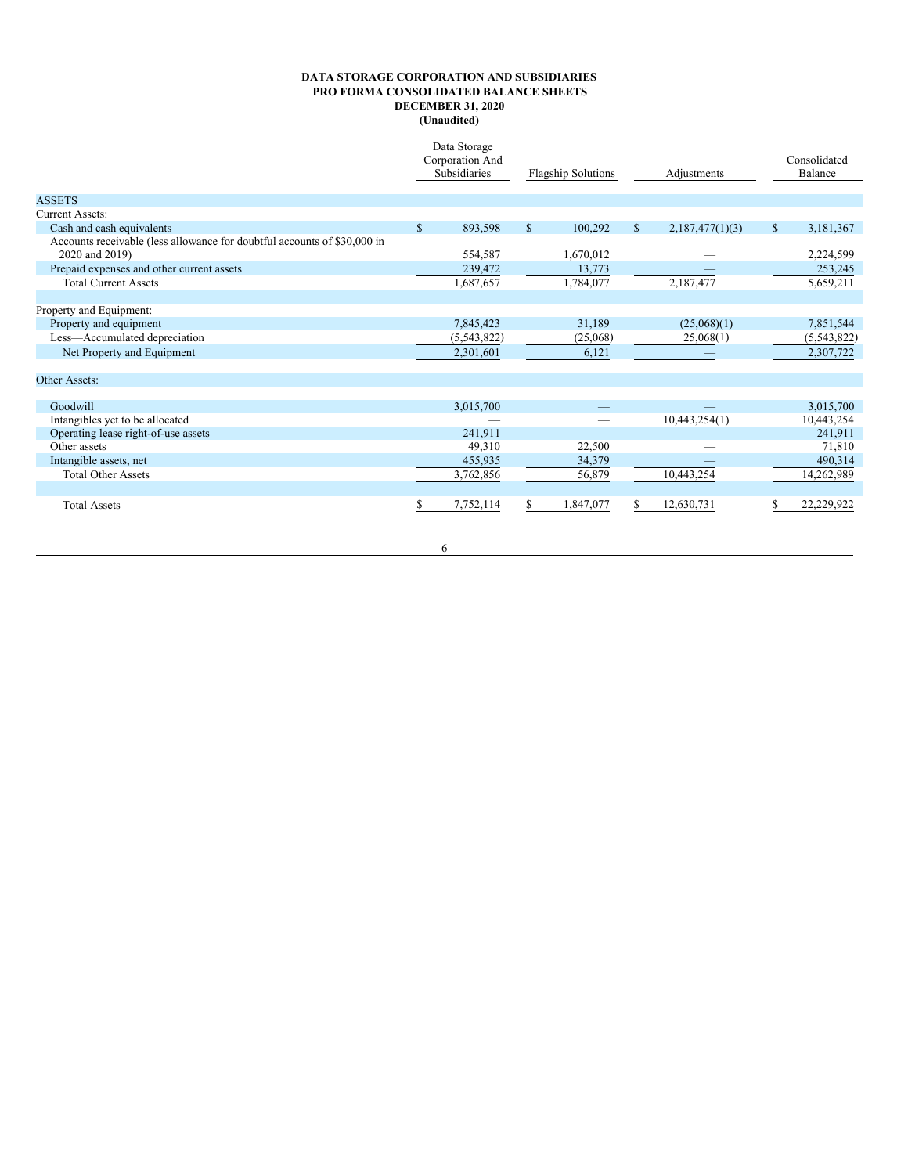# **DATA STORAGE CORPORATION AND SUBSIDIARIES PRO FORMA CONSOLIDATED BALANCE SHEETS DECEMBER 31, 2020 (Unaudited)**

|                                                                          |              | Data Storage<br>Corporation And<br><b>Subsidiaries</b> |              | <b>Flagship Solutions</b> |              | Adjustments     |              | Consolidated<br>Balance |
|--------------------------------------------------------------------------|--------------|--------------------------------------------------------|--------------|---------------------------|--------------|-----------------|--------------|-------------------------|
| <b>ASSETS</b>                                                            |              |                                                        |              |                           |              |                 |              |                         |
| Current Assets:                                                          |              |                                                        |              |                           |              |                 |              |                         |
| Cash and cash equivalents                                                | $\mathbb{S}$ | 893,598                                                | <sup>S</sup> | 100,292                   | $\mathbb{S}$ | 2,187,477(1)(3) | $\mathbb{S}$ | 3,181,367               |
| Accounts receivable (less allowance for doubtful accounts of \$30,000 in |              |                                                        |              |                           |              |                 |              |                         |
| 2020 and 2019)                                                           |              | 554,587                                                |              | 1,670,012                 |              |                 |              | 2,224,599               |
| Prepaid expenses and other current assets                                |              | 239,472                                                |              | 13,773                    |              |                 |              | 253,245                 |
| <b>Total Current Assets</b>                                              |              | ,687,657                                               |              | 1,784,077                 |              | 2,187,477       |              | 5,659,211               |
|                                                                          |              |                                                        |              |                           |              |                 |              |                         |
| Property and Equipment:                                                  |              |                                                        |              |                           |              |                 |              |                         |
| Property and equipment                                                   |              | 7,845,423                                              |              | 31,189                    |              | (25,068)(1)     |              | 7,851,544               |
| Less-Accumulated depreciation                                            |              | (5,543,822)                                            |              | (25,068)                  |              | 25,068(1)       |              | (5,543,822)             |
| Net Property and Equipment                                               |              | 2,301,601                                              |              | 6,121                     |              |                 |              | 2,307,722               |
|                                                                          |              |                                                        |              |                           |              |                 |              |                         |
| Other Assets:                                                            |              |                                                        |              |                           |              |                 |              |                         |
|                                                                          |              |                                                        |              |                           |              |                 |              |                         |
| Goodwill                                                                 |              | 3,015,700                                              |              |                           |              |                 |              | 3,015,700               |
| Intangibles yet to be allocated                                          |              |                                                        |              |                           |              | 10,443,254(1)   |              | 10,443,254              |
| Operating lease right-of-use assets                                      |              | 241.911                                                |              |                           |              |                 |              | 241,911                 |
| Other assets                                                             |              | 49,310                                                 |              | 22,500                    |              |                 |              | 71,810                  |
| Intangible assets, net                                                   |              | 455,935                                                |              | 34,379                    |              |                 |              | 490,314                 |
| <b>Total Other Assets</b>                                                |              | 3,762,856                                              |              | 56,879                    |              | 10,443,254      |              | 14,262,989              |
|                                                                          |              |                                                        |              |                           |              |                 |              |                         |
| <b>Total Assets</b>                                                      | S.           | 7,752,114                                              | S.           | 1,847,077                 | S            | 12,630,731      |              | 22,229,922              |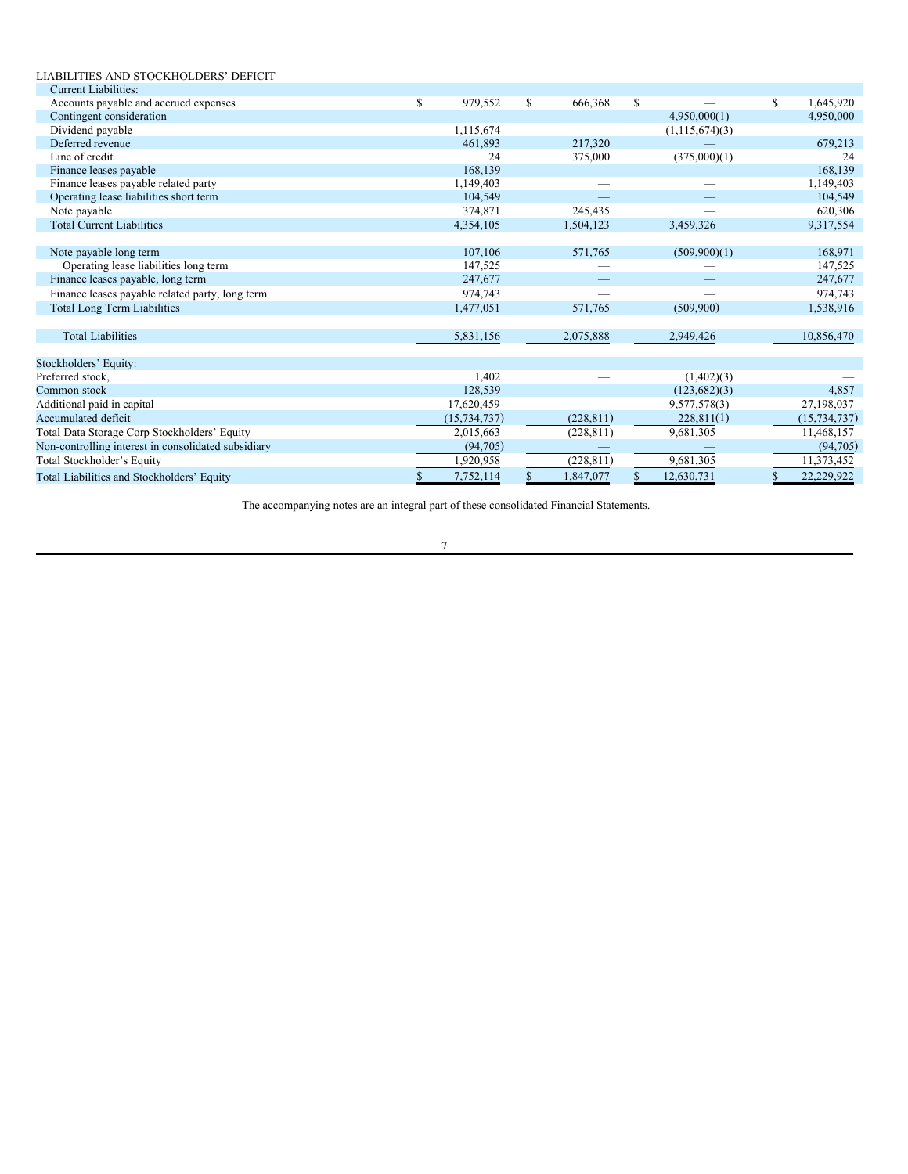| LIABILITIES AND STOCKHOLDERS' DEFICIT               |                 |               |            |              |                  |               |                |
|-----------------------------------------------------|-----------------|---------------|------------|--------------|------------------|---------------|----------------|
| <b>Current Liabilities:</b>                         |                 |               |            |              |                  |               |                |
| Accounts payable and accrued expenses               | \$<br>979,552   | <sup>\$</sup> | 666,368    | $\mathbb{S}$ |                  | $\mathbf S$   | 1,645,920      |
| Contingent consideration                            |                 |               |            |              | 4,950,000(1)     |               | 4,950,000      |
| Dividend payable                                    | 1,115,674       |               |            |              | (1, 115, 674)(3) |               |                |
| Deferred revenue                                    | 461.893         |               | 217,320    |              |                  |               | 679.213        |
| Line of credit                                      | 24              |               | 375,000    |              | (375,000)(1)     |               | 24             |
| Finance leases payable                              | 168,139         |               |            |              |                  |               | 168,139        |
| Finance leases payable related party                | 1,149,403       |               |            |              |                  |               | 1,149,403      |
| Operating lease liabilities short term              | 104.549         |               |            |              |                  |               | 104.549        |
| Note payable                                        | 374,871         |               | 245,435    |              |                  |               | 620,306        |
| <b>Total Current Liabilities</b>                    | 4,354,105       |               | 1,504,123  |              | 3,459,326        |               | 9,317,554      |
|                                                     |                 |               |            |              |                  |               |                |
| Note payable long term                              | 107,106         |               | 571,765    |              | (509,900)(1)     |               | 168,971        |
| Operating lease liabilities long term               | 147,525         |               |            |              |                  |               | 147,525        |
| Finance leases payable, long term                   | 247,677         |               |            |              |                  |               | 247,677        |
| Finance leases payable related party, long term     | 974,743         |               |            |              |                  |               | 974,743        |
| <b>Total Long Term Liabilities</b>                  | 1,477,051       |               | 571,765    |              | (509.900)        |               | 1,538,916      |
|                                                     |                 |               |            |              |                  |               |                |
| <b>Total Liabilities</b>                            | 5,831,156       |               | 2,075,888  |              | 2,949,426        |               | 10,856,470     |
|                                                     |                 |               |            |              |                  |               |                |
| Stockholders' Equity:                               |                 |               |            |              |                  |               |                |
| Preferred stock,                                    | 1,402           |               |            |              | (1,402)(3)       |               |                |
| Common stock                                        | 128,539         |               |            |              | (123,682)(3)     |               | 4,857          |
| Additional paid in capital                          | 17,620,459      |               |            |              | 9,577,578(3)     |               | 27,198,037     |
| Accumulated deficit                                 | (15, 734, 737)  |               | (228, 811) |              | 228,811(1)       |               | (15, 734, 737) |
| Total Data Storage Corp Stockholders' Equity        | 2,015,663       |               | (228, 811) |              | 9,681,305        |               | 11,468,157     |
| Non-controlling interest in consolidated subsidiary | (94,705)        |               |            |              |                  |               | (94,705)       |
| Total Stockholder's Equity                          | 1,920,958       |               | (228, 811) |              | 9.681.305        |               | 11,373,452     |
| Total Liabilities and Stockholders' Equity          | \$<br>7,752,114 | <sup>\$</sup> | 1,847,077  | S            | 12,630,731       | <sup>\$</sup> | 22,229,922     |

The accompanying notes are an integral part of these consolidated Financial Statements.

7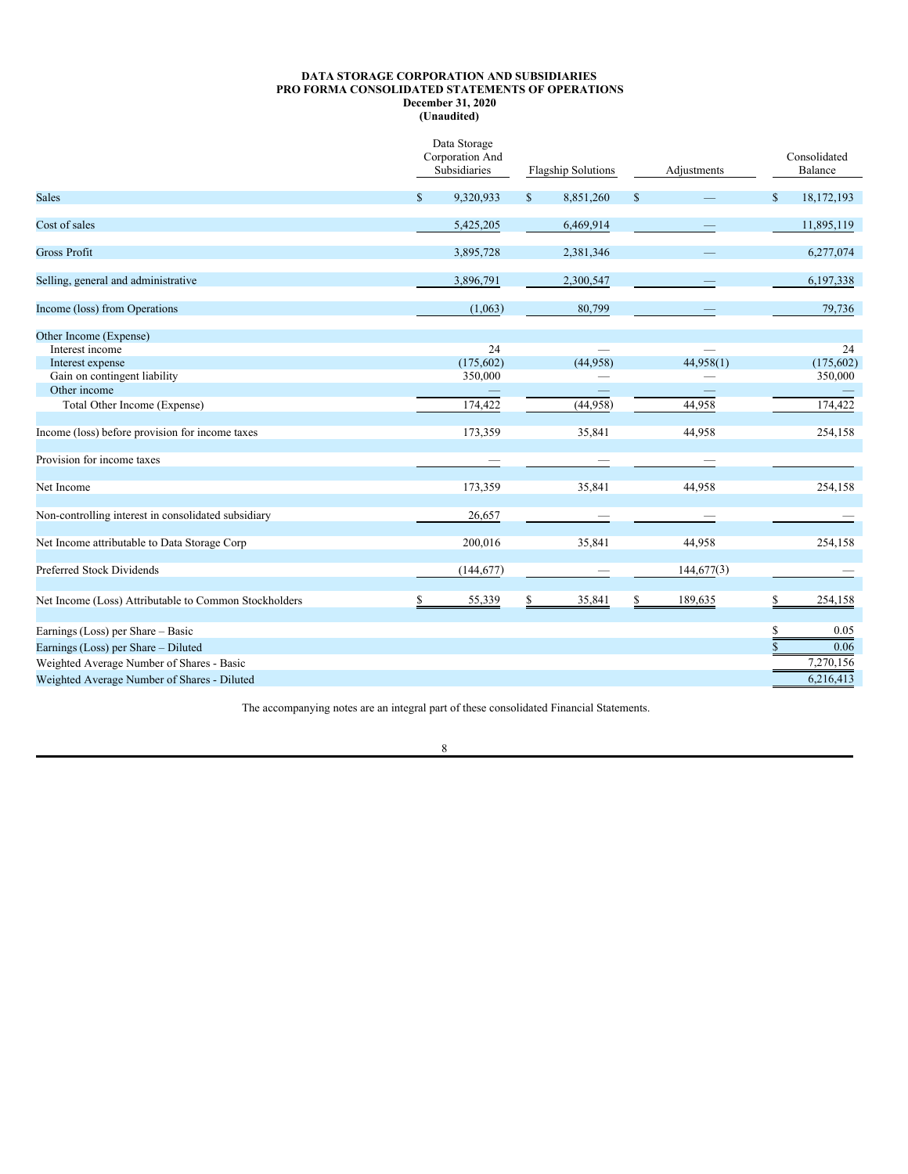# **DATA STORAGE CORPORATION AND SUBSIDIARIES PRO FORMA CONSOLIDATED STATEMENTS OF OPERATIONS December 31, 2020**

**(Unaudited)**

|                                                       | Data Storage<br>Corporation And<br>Subsidiaries |              | <b>Flagship Solutions</b> |              | Adjustments |              | Consolidated<br>Balance |
|-------------------------------------------------------|-------------------------------------------------|--------------|---------------------------|--------------|-------------|--------------|-------------------------|
| <b>Sales</b>                                          | \$<br>9,320,933                                 | $\mathbb{S}$ | 8,851,260                 | $\mathbb{S}$ |             | $\mathbb{S}$ | 18,172,193              |
| Cost of sales                                         | 5,425,205                                       |              | 6,469,914                 |              |             |              | 11,895,119              |
| <b>Gross Profit</b>                                   | 3,895,728                                       |              | 2,381,346                 |              |             |              | 6,277,074               |
| Selling, general and administrative                   | 3,896,791                                       |              | 2,300,547                 |              |             |              | 6,197,338               |
| Income (loss) from Operations                         | (1,063)                                         |              | 80,799                    |              |             |              | 79,736                  |
| Other Income (Expense)                                |                                                 |              |                           |              |             |              |                         |
| Interest income                                       | 24                                              |              |                           |              |             |              | 24                      |
| Interest expense                                      | (175, 602)                                      |              | (44,958)                  |              | 44,958(1)   |              | (175, 602)              |
| Gain on contingent liability                          | 350,000                                         |              |                           |              |             |              | 350,000                 |
| Other income                                          |                                                 |              |                           |              |             |              |                         |
| Total Other Income (Expense)                          | 174,422                                         |              | (44,958)                  |              | 44,958      |              | 174,422                 |
| Income (loss) before provision for income taxes       | 173,359                                         |              | 35,841                    |              | 44,958      |              | 254,158                 |
| Provision for income taxes                            |                                                 |              |                           |              |             |              |                         |
| Net Income                                            | 173,359                                         |              | 35,841                    |              | 44,958      |              | 254,158                 |
| Non-controlling interest in consolidated subsidiary   | 26,657                                          |              |                           |              |             |              |                         |
| Net Income attributable to Data Storage Corp          | 200,016                                         |              | 35,841                    |              | 44,958      |              | 254,158                 |
| Preferred Stock Dividends                             | (144, 677)                                      |              |                           |              | 144,677(3)  |              |                         |
| Net Income (Loss) Attributable to Common Stockholders | 55,339                                          | \$           | 35,841                    | \$           | 189,635     | \$           | 254,158                 |
| Earnings (Loss) per Share - Basic                     |                                                 |              |                           |              |             | \$           | 0.05                    |
| Earnings (Loss) per Share – Diluted                   |                                                 |              |                           |              |             | $\mathbf{s}$ | 0.06                    |
| Weighted Average Number of Shares - Basic             |                                                 |              |                           |              |             |              | 7,270,156               |
| Weighted Average Number of Shares - Diluted           |                                                 |              |                           |              |             |              | 6,216,413               |
|                                                       |                                                 |              |                           |              |             |              |                         |

The accompanying notes are an integral part of these consolidated Financial Statements.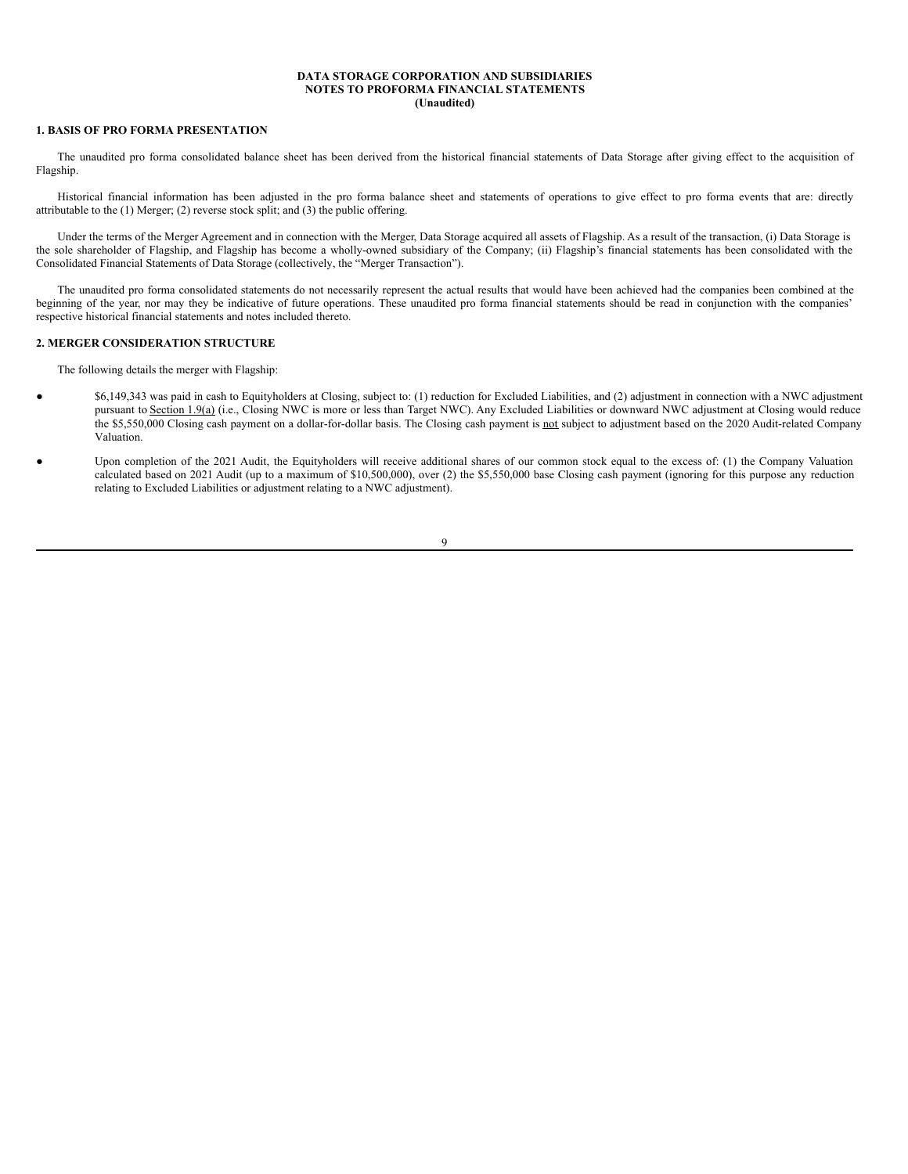### **DATA STORAGE CORPORATION AND SUBSIDIARIES NOTES TO PROFORMA FINANCIAL STATEMENTS (Unaudited)**

# **1. BASIS OF PRO FORMA PRESENTATION**

The unaudited pro forma consolidated balance sheet has been derived from the historical financial statements of Data Storage after giving effect to the acquisition of Flagship.

Historical financial information has been adjusted in the pro forma balance sheet and statements of operations to give effect to pro forma events that are: directly attributable to the (1) Merger; (2) reverse stock split; and (3) the public offering.

Under the terms of the Merger Agreement and in connection with the Merger, Data Storage acquired all assets of Flagship. As a result of the transaction, (i) Data Storage is the sole shareholder of Flagship, and Flagship has become a wholly-owned subsidiary of the Company; (ii) Flagship's financial statements has been consolidated with the Consolidated Financial Statements of Data Storage (collectively, the "Merger Transaction").

The unaudited pro forma consolidated statements do not necessarily represent the actual results that would have been achieved had the companies been combined at the beginning of the year, nor may they be indicative of future operations. These unaudited pro forma financial statements should be read in conjunction with the companies' respective historical financial statements and notes included thereto.

# **2. MERGER CONSIDERATION STRUCTURE**

The following details the merger with Flagship:

- \$6,149,343 was paid in cash to Equityholders at Closing, subject to: (1) reduction for Excluded Liabilities, and (2) adjustment in connection with a NWC adjustment pursuant to Section 1.9(a) (i.e., Closing NWC is more or less than Target NWC). Any Excluded Liabilities or downward NWC adjustment at Closing would reduce the \$5,550,000 Closing cash payment on a dollar-for-dollar basis. The Closing cash payment is not subject to adjustment based on the 2020 Audit-related Company Valuation.
- Upon completion of the 2021 Audit, the Equityholders will receive additional shares of our common stock equal to the excess of: (1) the Company Valuation calculated based on 2021 Audit (up to a maximum of \$10,500,000), over (2) the \$5,550,000 base Closing cash payment (ignoring for this purpose any reduction relating to Excluded Liabilities or adjustment relating to a NWC adjustment).